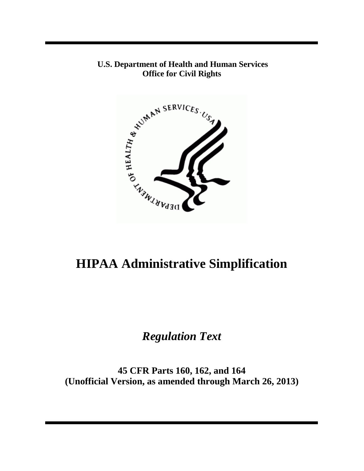# **U.S. Department of Health and Human Services**



## **HIPAA Administrative Simplification**

*Regulation Text* 

**45 CFR Parts 160, 162, and 164 (Unofficial Version, as amended through March 26, 2013)**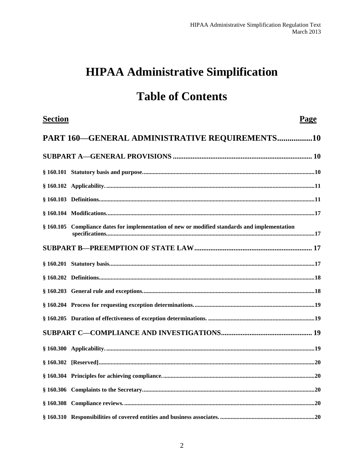## **HIPAA Administrative Simplification**

## **Table of Contents**

**Section** 

| <b>Section</b> | Page                                                                                          |
|----------------|-----------------------------------------------------------------------------------------------|
|                | PART 160–GENERAL ADMINISTRATIVE REQUIREMENTS10                                                |
|                |                                                                                               |
|                |                                                                                               |
|                |                                                                                               |
|                |                                                                                               |
|                |                                                                                               |
|                | § 160.105 Compliance dates for implementation of new or modified standards and implementation |
|                |                                                                                               |
|                |                                                                                               |
|                |                                                                                               |
|                |                                                                                               |
|                |                                                                                               |
|                |                                                                                               |
|                |                                                                                               |
|                |                                                                                               |
|                |                                                                                               |
|                |                                                                                               |
|                |                                                                                               |
|                |                                                                                               |
|                |                                                                                               |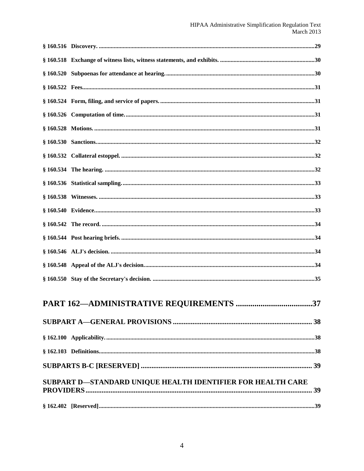| .37                                                               |
|-------------------------------------------------------------------|
|                                                                   |
|                                                                   |
|                                                                   |
|                                                                   |
| SUBPART D-STANDARD UNIQUE HEALTH IDENTIFIER FOR HEALTH CARE<br>39 |
|                                                                   |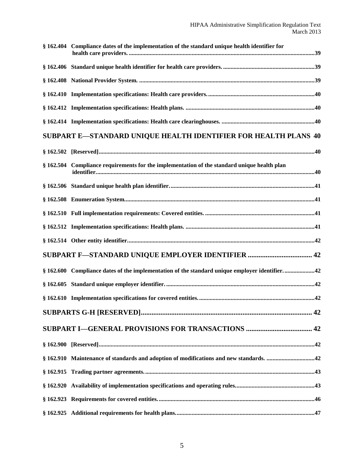| § 162.404 Compliance dates of the implementation of the standard unique health identifier for  |
|------------------------------------------------------------------------------------------------|
|                                                                                                |
|                                                                                                |
|                                                                                                |
|                                                                                                |
|                                                                                                |
| SUBPART E-STANDARD UNIQUE HEALTH IDENTIFIER FOR HEALTH PLANS 40                                |
|                                                                                                |
| § 162.504 Compliance requirements for the implementation of the standard unique health plan    |
|                                                                                                |
|                                                                                                |
|                                                                                                |
|                                                                                                |
|                                                                                                |
| SUBPART F-STANDARD UNIQUE EMPLOYER IDENTIFIER  42                                              |
| § 162.600 Compliance dates of the implementation of the standard unique employer identifier 42 |
|                                                                                                |
|                                                                                                |
|                                                                                                |
|                                                                                                |
|                                                                                                |
|                                                                                                |
|                                                                                                |
|                                                                                                |
|                                                                                                |
|                                                                                                |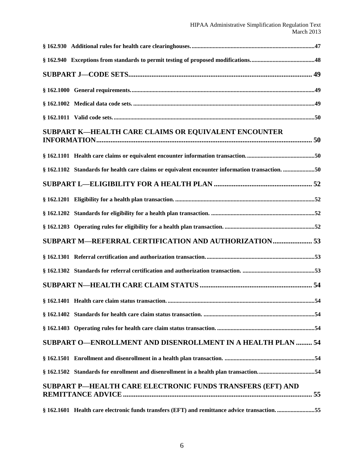| SUBPART K-HEALTH CARE CLAIMS OR EQUIVALENT ENCOUNTER                                            |  |
|-------------------------------------------------------------------------------------------------|--|
|                                                                                                 |  |
| § 162.1102 Standards for health care claims or equivalent encounter information transaction. 50 |  |
|                                                                                                 |  |
|                                                                                                 |  |
|                                                                                                 |  |
|                                                                                                 |  |
| SUBPART M-REFERRAL CERTIFICATION AND AUTHORIZATION 53                                           |  |
|                                                                                                 |  |
|                                                                                                 |  |
|                                                                                                 |  |
|                                                                                                 |  |
|                                                                                                 |  |
|                                                                                                 |  |
| SUBPART O-ENROLLMENT AND DISENROLLMENT IN A HEALTH PLAN  54                                     |  |
|                                                                                                 |  |
|                                                                                                 |  |
| SUBPART P-HEALTH CARE ELECTRONIC FUNDS TRANSFERS (EFT) AND                                      |  |
| § 162.1601 Health care electronic funds transfers (EFT) and remittance advice transaction. 55   |  |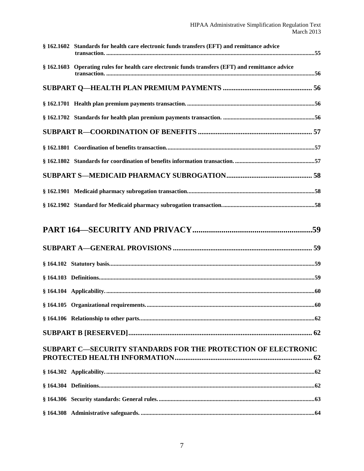|            | § 162.1602 Standards for health care electronic funds transfers (EFT) and remittance advice |
|------------|---------------------------------------------------------------------------------------------|
| \$162.1603 | Operating rules for health care electronic funds transfers (EFT) and remittance advice      |
|            |                                                                                             |
|            |                                                                                             |
|            |                                                                                             |
|            |                                                                                             |
|            |                                                                                             |
|            |                                                                                             |
|            |                                                                                             |
|            |                                                                                             |
|            |                                                                                             |
|            |                                                                                             |
|            |                                                                                             |
|            |                                                                                             |
|            |                                                                                             |
|            |                                                                                             |
|            |                                                                                             |
|            |                                                                                             |
|            |                                                                                             |
|            | SUBPART C-SECURITY STANDARDS FOR THE PROTECTION OF ELECTRONIC                               |
|            |                                                                                             |
|            |                                                                                             |
|            |                                                                                             |
|            |                                                                                             |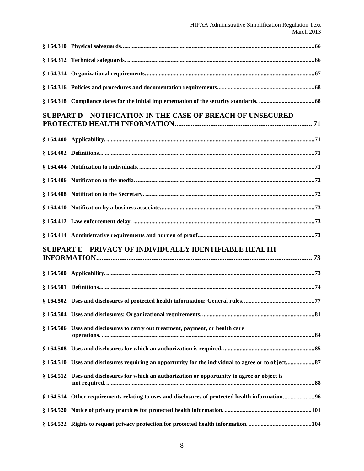| <b>SUBPART D-NOTIFICATION IN THE CASE OF BREACH OF UNSECURED</b>                                |  |
|-------------------------------------------------------------------------------------------------|--|
|                                                                                                 |  |
|                                                                                                 |  |
|                                                                                                 |  |
|                                                                                                 |  |
|                                                                                                 |  |
|                                                                                                 |  |
|                                                                                                 |  |
|                                                                                                 |  |
| <b>SUBPART E-PRIVACY OF INDIVIDUALLY IDENTIFIABLE HEALTH</b>                                    |  |
|                                                                                                 |  |
|                                                                                                 |  |
|                                                                                                 |  |
|                                                                                                 |  |
| § 164.506 Uses and disclosures to carry out treatment, payment, or health care                  |  |
|                                                                                                 |  |
|                                                                                                 |  |
| § 164.512 Uses and disclosures for which an authorization or opportunity to agree or object is  |  |
| § 164.514 Other requirements relating to uses and disclosures of protected health information96 |  |
|                                                                                                 |  |
|                                                                                                 |  |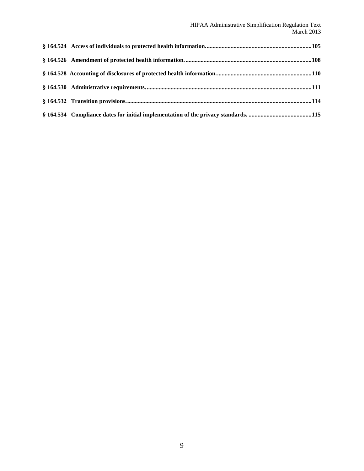#### HIPAA Administrative Simplification Regulation Text March 2013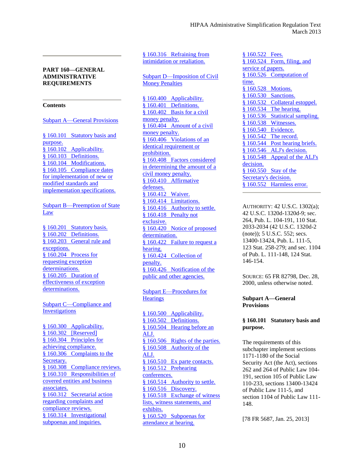### **PART 160—GENERAL ADMINISTRATIVE REQUIREMENTS**

#### **Contents**

[Subpart A—General Provisions](#page-9-0)

[§ 160.101 Statutory basis and](#page-9-1)  [purpose.](#page-9-1) [§ 160.102 Applicability.](#page-10-0) [§ 160.103 Definitions.](#page-10-1) [§ 160.104 Modifications.](#page-16-0) [§ 160.105 Compliance dates](#page-16-1)  [for implementation of new or](#page-16-1)  [modified standards and](#page-16-1)  [implementation specifications.](#page-16-1)

[Subpart B—Preemption of State](#page-16-2)  [Law](#page-16-2)

[§ 160.201 Statutory basis.](#page-16-3) [§ 160.202 Definitions.](#page-17-0) [§ 160.203 General rule and](#page-17-1)  [exceptions.](#page-17-1)  $\sqrt{$}160.204$  Process for [requesting exception](#page-18-0)  [determinations.](#page-18-0) [§ 160.205 Duration of](#page-18-1)  [effectiveness of exception](#page-18-1)  [determinations.](#page-18-1)

[Subpart C—Compliance and](#page-18-2)  [Investigations](#page-18-2)

[§ 160.300 Applicability.](#page-18-3) [§ 160.302 \[Reserved\]](#page-19-0) [§ 160.304 Principles for](#page-19-1)  [achieving compliance.](#page-19-1) [§ 160.306 Complaints to the](#page-19-2)  [Secretary.](#page-19-2) [§ 160.308 Compliance reviews.](#page-19-3) [§ 160.310 Responsibilities of](#page-19-4)  [covered entities and business](#page-19-4)  [associates.](#page-19-4) [§ 160.312 Secretarial action](#page-20-0)  [regarding complaints and](#page-20-0)  [compliance reviews.](#page-20-0) § 160.314 Investigational [subpoenas and inquiries.](#page-20-1)

[§ 160.316 Refraining from](#page-22-0)  [intimidation or retaliation.](#page-22-0)

[Subpart D—Imposition of Civil](#page-22-1)  [Money Penalties](#page-22-1)

[§ 160.400 Applicability.](#page-22-2) [§ 160.401 Definitions.](#page-22-3) [§ 160.402 Basis for a civil](#page-22-4)  [money penalty.](#page-22-4) [§ 160.404 Amount of a civil](#page-23-0)  [money penalty.](#page-23-0) [§ 160.406 Violations of an](#page-23-1)  identical requirement or [prohibition.](#page-23-1) [§ 160.408 Factors considered](#page-24-0)  [in determining the amount of a](#page-24-0)  [civil money penalty.](#page-24-0) [§ 160.410 Affirmative](#page-24-1)  [defenses.](#page-24-1) [§ 160.412 Waiver.](#page-25-0) [§ 160.414 Limitations.](#page-25-1) [§ 160.416 Authority to settle.](#page-25-2) [§ 160.418 Penalty not](#page-25-3)  [exclusive.](#page-25-3) [§ 160.420 Notice of proposed](#page-25-4)  [determination.](#page-25-4) [§ 160.422 Failure to request a](#page-25-5)  [hearing.](#page-25-5) [§ 160.424 Collection of](#page-26-0)  [penalty.](#page-26-0) [§ 160.426 Notification of the](#page-26-1)  [public and other agencies.](#page-26-1)

[Subpart E—Procedures for](#page-26-2)  **[Hearings](#page-26-2)** 

[§ 160.500 Applicability.](#page-26-3) [§ 160.502 Definitions.](#page-26-4) [§ 160.504 Hearing before an](#page-26-5)  [ALJ.](#page-26-5) [§ 160.506 Rights of the parties.](#page-27-0) § 160.508 Authority of the [ALJ.](#page-27-1) [§ 160.510 Ex parte contacts.](#page-28-0) [§ 160.512 Prehearing](#page-28-1)  [conferences.](#page-28-1) [§ 160.514 Authority to settle.](#page-28-2) [§ 160.516 Discovery.](#page-28-3) [§ 160.518 Exchange of witness](#page-29-0)  [lists, witness statements, and](#page-29-0)  [exhibits.](#page-29-0) [§ 160.520 Subpoenas for](#page-29-1)  [attendance at hearing.](#page-29-1)

[§ 160.522 Fees.](#page-30-0) [§ 160.524 Form, filing, and](#page-30-1)  [service of papers.](#page-30-1) [§ 160.526 Computation of](#page-30-2)  [time.](#page-30-2) [§ 160.528 Motions.](#page-30-3) [§ 160.530 Sanctions.](#page-31-0) [§ 160.532 Collateral estoppel.](#page-31-1) [§ 160.534 The hearing.](#page-31-2) [§ 160.536 Statistical sampling.](#page-32-0) [§ 160.538 Witnesses.](#page-32-1) [§ 160.540 Evidence.](#page-32-2) [§ 160.542 The record.](#page-33-0) [§ 160.544 Post hearing briefs.](#page-33-1) [§ 160.546 ALJ's decision.](#page-33-2) § 160.548 Appeal of the ALJ's [decision.](#page-33-3) [§ 160.550 Stay of the](#page-34-0)  [Secretary's decision.](#page-34-0) [§ 160.552 Harmless error.](#page-35-0)

AUTHORITY: 42 U.S.C. 1302(a); 42 U.S.C. 1320d-1320d-9; sec. 264, Pub. L. 104-191, 110 Stat. 2033-2034 (42 U.S.C. 1320d-2 (note)); 5 U.S.C. 552; secs. 13400-13424, Pub. L. 111-5, 123 Stat. 258-279; and sec. 1104 of Pub. L. 111-148, 124 Stat. 146-154.

SOURCE: 65 FR 82798, Dec. 28, 2000, unless otherwise noted.

#### <span id="page-9-0"></span>**Subpart A—General Provisions**

### <span id="page-9-1"></span>**§ 160.101 Statutory basis and purpose.**

The requirements of this subchapter implement sections 1171-1180 of the Social Security Act (the Act), sections 262 and 264 of Public Law 104- 191, section 105 of Public Law 110-233, sections 13400-13424 of Public Law 111-5, and section 1104 of Public Law 111- 148.

[78 FR 5687, Jan. 25, 2013]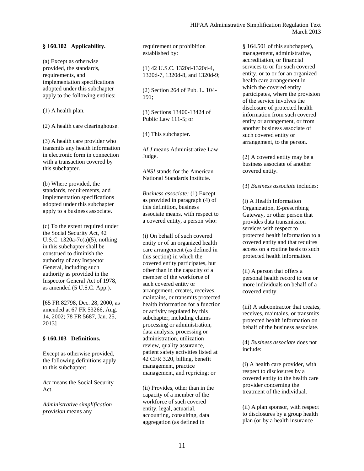## <span id="page-10-0"></span>**§ 160.102 Applicability.**

(a) Except as otherwise provided, the standards, requirements, and implementation specifications adopted under this subchapter apply to the following entities:

(1) A health plan.

(2) A health care clearinghouse.

(3) A health care provider who transmits any health information in electronic form in connection with a transaction covered by this subchapter.

(b) Where provided, the standards, requirements, and implementation specifications adopted under this subchapter apply to a business associate.

(c) To the extent required under the Social Security Act, 42 U.S.C. 1320a-7c(a)(5), nothing in this subchapter shall be construed to diminish the authority of any Inspector General, including such authority as provided in the Inspector General Act of 1978, as amended (5 U.S.C. App.).

[65 FR 82798, Dec. 28, 2000, as amended at 67 FR 53266, Aug. 14, 2002; 78 FR 5687, Jan. 25, 2013]

#### <span id="page-10-1"></span>**§ 160.103 Definitions.**

Except as otherwise provided, the following definitions apply to this subchapter:

*Act* means the Social Security Act.

*Administrative simplification provision* means any

requirement or prohibition established by:

(1) 42 U.S.C. 1320d-1320d-4, 1320d-7, 1320d-8, and 1320d-9;

(2) Section 264 of Pub. L. 104- 191;

(3) Sections 13400-13424 of Public Law 111-5; or

(4) This subchapter.

*ALJ* means Administrative Law Judge.

*ANSI* stands for the American National Standards Institute.

*Business associate:* (1) Except as provided in paragraph (4) of this definition, business associate means, with respect to a covered entity, a person who:

(i) On behalf of such covered entity or of an organized health care arrangement (as defined in this section) in which the covered entity participates, but other than in the capacity of a member of the workforce of such covered entity or arrangement, creates, receives, maintains, or transmits protected health information for a function or activity regulated by this subchapter, including claims processing or administration, data analysis, processing or administration, utilization review, quality assurance, patient safety activities listed at 42 CFR 3.20, billing, benefit management, practice management, and repricing; or

(ii) Provides, other than in the capacity of a member of the workforce of such covered entity, legal, actuarial, accounting, consulting, data aggregation (as defined in

§ 164.501 of this subchapter), management, administrative, accreditation, or financial services to or for such covered entity, or to or for an organized health care arrangement in which the covered entity participates, where the provision of the service involves the disclosure of protected health information from such covered entity or arrangement, or from another business associate of such covered entity or arrangement, to the person.

(2) A covered entity may be a business associate of another covered entity.

(3) *Business associate* includes:

(i) A Health Information Organization, E-prescribing Gateway, or other person that provides data transmission services with respect to protected health information to a covered entity and that requires access on a routine basis to such protected health information.

(ii) A person that offers a personal health record to one or more individuals on behalf of a covered entity.

(iii) A subcontractor that creates, receives, maintains, or transmits protected health information on behalf of the business associate.

(4) *Business associate* does not include:

(i) A health care provider, with respect to disclosures by a covered entity to the health care provider concerning the treatment of the individual.

(ii) A plan sponsor, with respect to disclosures by a group health plan (or by a health insurance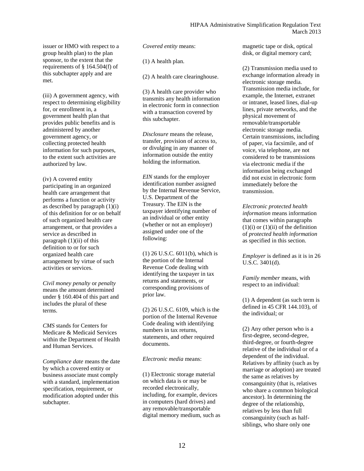issuer or HMO with respect to a group health plan) to the plan sponsor, to the extent that the requirements of § 164.504(f) of this subchapter apply and are met.

(iii) A government agency, with respect to determining eligibility for, or enrollment in, a government health plan that provides public benefits and is administered by another government agency, or collecting protected health information for such purposes, to the extent such activities are authorized by law.

(iv) A covered entity participating in an organized health care arrangement that performs a function or activity as described by paragraph  $(1)(i)$ of this definition for or on behalf of such organized health care arrangement, or that provides a service as described in paragraph  $(1)(ii)$  of this definition to or for such organized health care arrangement by virtue of such activities or services.

*Civil money penalty* or *penalty* means the amount determined under § 160.404 of this part and includes the plural of these terms.

*CMS* stands for Centers for Medicare & Medicaid Services within the Department of Health and Human Services.

*Compliance date* means the date by which a covered entity or business associate must comply with a standard, implementation specification, requirement, or modification adopted under this subchapter.

## *Covered entity* means:

(1) A health plan.

(2) A health care clearinghouse.

(3) A health care provider who transmits any health information in electronic form in connection with a transaction covered by this subchapter.

*Disclosure* means the release, transfer, provision of access to, or divulging in any manner of information outside the entity holding the information.

*EIN* stands for the employer identification number assigned by the Internal Revenue Service, U.S. Department of the Treasury. The EIN is the taxpayer identifying number of an individual or other entity (whether or not an employer) assigned under one of the following:

(1) 26 U.S.C. 6011(b), which is the portion of the Internal Revenue Code dealing with identifying the taxpayer in tax returns and statements, or corresponding provisions of prior law.

(2) 26 U.S.C. 6109, which is the portion of the Internal Revenue Code dealing with identifying numbers in tax returns, statements, and other required documents.

#### *Electronic media* means:

(1) Electronic storage material on which data is or may be recorded electronically, including, for example, devices in computers (hard drives) and any removable/transportable digital memory medium, such as magnetic tape or disk, optical disk, or digital memory card;

(2) Transmission media used to exchange information already in electronic storage media. Transmission media include, for example, the Internet, extranet or intranet, leased lines, dial-up lines, private networks, and the physical movement of removable/transportable electronic storage media. Certain transmissions, including of paper, via facsimile, and of voice, via telephone, are not considered to be transmissions via electronic media if the information being exchanged did not exist in electronic form immediately before the transmission.

*Electronic protected health information* means information that comes within paragraphs  $(1)(i)$  or  $(1)(ii)$  of the definition of *protected health information* as specified in this section.

*Employer* is defined as it is in 26 U.S.C. 3401(d).

*Family member* means, with respect to an individual:

(1) A dependent (as such term is defined in 45 CFR 144.103), of the individual; or

(2) Any other person who is a first-degree, second-degree, third-degree, or fourth-degree relative of the individual or of a dependent of the individual. Relatives by affinity (such as by marriage or adoption) are treated the same as relatives by consanguinity (that is, relatives who share a common biological ancestor). In determining the degree of the relationship, relatives by less than full consanguinity (such as halfsiblings, who share only one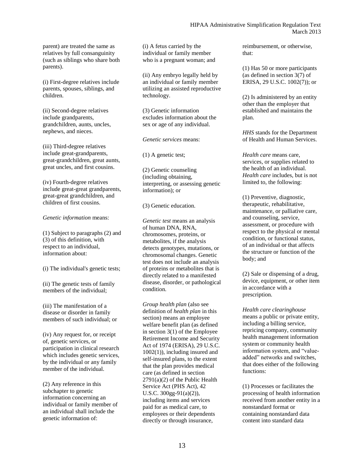parent) are treated the same as relatives by full consanguinity (such as siblings who share both parents).

(i) First-degree relatives include parents, spouses, siblings, and children.

(ii) Second-degree relatives include grandparents, grandchildren, aunts, uncles, nephews, and nieces.

(iii) Third-degree relatives include great-grandparents, great-grandchildren, great aunts, great uncles, and first cousins.

(iv) Fourth-degree relatives include great-great grandparents, great-great grandchildren, and children of first cousins.

#### *Genetic information* means:

(1) Subject to paragraphs (2) and (3) of this definition, with respect to an individual, information about:

(i) The individual's genetic tests;

(ii) The genetic tests of family members of the individual;

(iii) The manifestation of a disease or disorder in family members of such individual; or

(iv) Any request for, or receipt of, genetic services, or participation in clinical research which includes genetic services, by the individual or any family member of the individual.

(2) Any reference in this subchapter to genetic information concerning an individual or family member of an individual shall include the genetic information of:

(i) A fetus carried by the individual or family member who is a pregnant woman; and

(ii) Any embryo legally held by an individual or family member utilizing an assisted reproductive technology.

(3) Genetic information excludes information about the sex or age of any individual.

*Genetic services* means:

(1) A genetic test;

(2) Genetic counseling (including obtaining, interpreting, or assessing genetic information); or

(3) Genetic education.

*Genetic test* means an analysis of human DNA, RNA, chromosomes, proteins, or metabolites, if the analysis detects genotypes, mutations, or chromosomal changes. Genetic test does not include an analysis of proteins or metabolites that is directly related to a manifested disease, disorder, or pathological condition.

*Group health plan* (also see definition of *health plan* in this section) means an employee welfare benefit plan (as defined in section 3(1) of the Employee Retirement Income and Security Act of 1974 (ERISA), 29 U.S.C. 1002(1)), including insured and self-insured plans, to the extent that the plan provides medical care (as defined in section 2791(a)(2) of the Public Health Service Act (PHS Act), 42 U.S.C. 300gg-91(a)(2)), including items and services paid for as medical care, to employees or their dependents directly or through insurance,

reimbursement, or otherwise, that:

(1) Has 50 or more participants (as defined in section 3(7) of ERISA, 29 U.S.C. 1002(7)); or

(2) Is administered by an entity other than the employer that established and maintains the plan.

*HHS* stands for the Department of Health and Human Services.

*Health care* means care, services, or supplies related to the health of an individual. *Health care* includes, but is not limited to, the following:

(1) Preventive, diagnostic, therapeutic, rehabilitative, maintenance, or palliative care, and counseling, service, assessment, or procedure with respect to the physical or mental condition, or functional status, of an individual or that affects the structure or function of the body; and

(2) Sale or dispensing of a drug, device, equipment, or other item in accordance with a prescription.

*Health care clearinghouse* means a public or private entity, including a billing service, repricing company, community health management information system or community health information system, and "valueadded" networks and switches, that does either of the following functions:

(1) Processes or facilitates the processing of health information received from another entity in a nonstandard format or containing nonstandard data content into standard data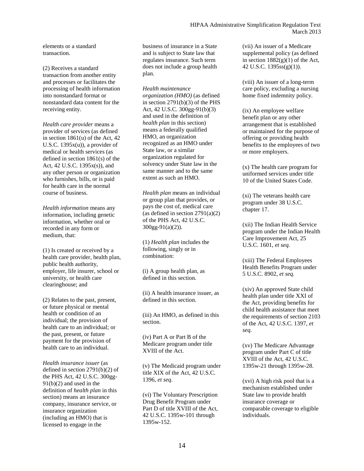elements or a standard transaction.

(2) Receives a standard transaction from another entity and processes or facilitates the processing of health information into nonstandard format or nonstandard data content for the receiving entity.

*Health care provider* means a provider of services (as defined in section  $1861(u)$  of the Act, 42 U.S.C. 1395x(u)), a provider of medical or health services (as defined in section 1861(s) of the Act, 42 U.S.C. 1395x(s)), and any other person or organization who furnishes, bills, or is paid for health care in the normal course of business.

*Health information* means any information, including genetic information, whether oral or recorded in any form or medium, that:

(1) Is created or received by a health care provider, health plan, public health authority, employer, life insurer, school or university, or health care clearinghouse; and

(2) Relates to the past, present, or future physical or mental health or condition of an individual; the provision of health care to an individual; or the past, present, or future payment for the provision of health care to an individual.

*Health insurance issuer* (as defined in section 2791(b)(2) of the PHS Act, 42 U.S.C. 300gg-91(b)(2) and used in the definition of *health plan* in this section) means an insurance company, insurance service, or insurance organization (including an HMO) that is licensed to engage in the

business of insurance in a State and is subject to State law that regulates insurance. Such term does not include a group health plan.

*Health maintenance organization (HMO)* (as defined in section 2791(b)(3) of the PHS Act, 42 U.S.C. 300gg-91(b)(3) and used in the definition of *health plan* in this section) means a federally qualified HMO, an organization recognized as an HMO under State law, or a similar organization regulated for solvency under State law in the same manner and to the same extent as such an HMO.

*Health plan* means an individual or group plan that provides, or pays the cost of, medical care (as defined in section 2791(a)(2) of the PHS Act, 42 U.S.C. 300gg-91(a)(2)).

(1) *Health plan* includes the following, singly or in combination:

(i) A group health plan, as defined in this section.

(ii) A health insurance issuer, as defined in this section.

(iii) An HMO, as defined in this section.

(iv) Part A or Part B of the Medicare program under title XVIII of the Act.

(v) The Medicaid program under title XIX of the Act, 42 U.S.C. 1396, *et seq.*

(vi) The Voluntary Prescription Drug Benefit Program under Part D of title XVIII of the Act, 42 U.S.C. 1395w-101 through 1395w-152.

(vii) An issuer of a Medicare supplemental policy (as defined in section  $1882(g)(1)$  of the Act, 42 U.S.C. 1395ss(g)(1)).

(viii) An issuer of a long-term care policy, excluding a nursing home fixed indemnity policy.

(ix) An employee welfare benefit plan or any other arrangement that is established or maintained for the purpose of offering or providing health benefits to the employees of two or more employers.

(x) The health care program for uniformed services under title 10 of the United States Code.

(xi) The veterans health care program under 38 U.S.C. chapter 17.

(xii) The Indian Health Service program under the Indian Health Care Improvement Act, 25 U.S.C. 1601, *et seq.*

(xiii) The Federal Employees Health Benefits Program under 5 U.S.C. 8902, *et seq.*

(xiv) An approved State child health plan under title XXI of the Act, providing benefits for child health assistance that meet the requirements of section 2103 of the Act, 42 U.S.C. 1397, *et seq.*

(xv) The Medicare Advantage program under Part C of title XVIII of the Act, 42 U.S.C. 1395w-21 through 1395w-28.

(xvi) A high risk pool that is a mechanism established under State law to provide health insurance coverage or comparable coverage to eligible individuals.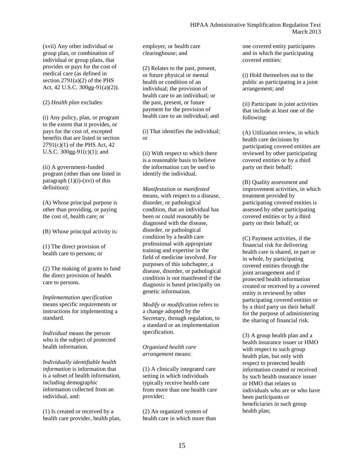(xvii) Any other individual or group plan, or combination of individual or group plans, that provides or pays for the cost of medical care (as defined in section  $2791(a)(2)$  of the PHS Act, 42 U.S.C. 300gg-91(a)(2)).

(2) *Health plan* excludes:

(i) Any policy, plan, or program to the extent that it provides, or pays for the cost of, excepted benefits that are listed in section 2791(c)(1) of the PHS Act, 42 U.S.C. 300gg-91(c)(1); and

(ii) A government-funded program (other than one listed in paragraph  $(1)(i)-(xvi)$  of this definition):

(A) Whose principal purpose is other than providing, or paying the cost of, health care; or

(B) Whose principal activity is:

(1) The direct provision of health care to persons; or

(2) The making of grants to fund the direct provision of health care to persons.

*Implementation specification* means specific requirements or instructions for implementing a standard.

*Individual* means the person who is the subject of protected health information.

*Individually identifiable health information* is information that is a subset of health information, including demographic information collected from an individual, and:

(1) Is created or received by a health care provider, health plan, employer, or health care clearinghouse; and

(2) Relates to the past, present, or future physical or mental health or condition of an individual; the provision of health care to an individual; or the past, present, or future payment for the provision of health care to an individual; and

(i) That identifies the individual; or

(ii) With respect to which there is a reasonable basis to believe the information can be used to identify the individual.

*Manifestation* or *manifested*  means, with respect to a disease, disorder, or pathological condition, that an individual has been or could reasonably be diagnosed with the disease, disorder, or pathological condition by a health care professional with appropriate training and expertise in the field of medicine involved. For purposes of this subchapter, a disease, disorder, or pathological condition is not manifested if the diagnosis is based principally on genetic information.

*Modify* or *modification* refers to a change adopted by the Secretary, through regulation, to a standard or an implementation specification.

*Organized health care arrangement* means:

(1) A clinically integrated care setting in which individuals typically receive health care from more than one health care provider;

(2) An organized system of health care in which more than one covered entity participates and in which the participating covered entities:

(i) Hold themselves out to the public as participating in a joint arrangement; and

(ii) Participate in joint activities that include at least one of the following:

(A) Utilization review, in which health care decisions by participating covered entities are reviewed by other participating covered entities or by a third party on their behalf;

(B) Quality assessment and improvement activities, in which treatment provided by participating covered entities is assessed by other participating covered entities or by a third party on their behalf; or

(C) Payment activities, if the financial risk for delivering health care is shared, in part or in whole, by participating covered entities through the joint arrangement and if protected health information created or received by a covered entity is reviewed by other participating covered entities or by a third party on their behalf for the purpose of administering the sharing of financial risk.

(3) A group health plan and a health insurance issuer or HMO with respect to such group health plan, but only with respect to protected health information created or received by such health insurance issuer or HMO that relates to individuals who are or who have been participants or beneficiaries in such group health plan;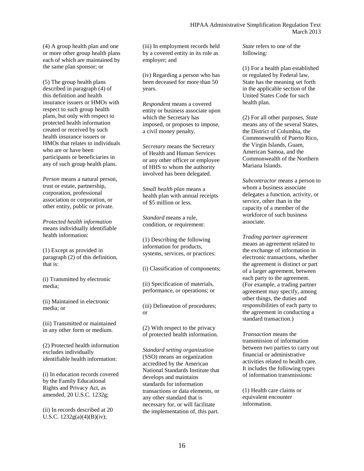(4) A group health plan and one or more other group health plans each of which are maintained by the same plan sponsor; or

(5) The group health plans described in paragraph (4) of this definition and health insurance issuers or HMOs with respect to such group health plans, but only with respect to protected health information created or received by such health insurance issuers or HMOs that relates to individuals who are or have been participants or beneficiaries in any of such group health plans.

*Person* means a natural person, trust or estate, partnership, corporation, professional association or corporation, or other entity, public or private.

*Protected health information* means individually identifiable health information:

(1) Except as provided in paragraph (2) of this definition, that is:

(i) Transmitted by electronic media;

(ii) Maintained in electronic media; or

(iii) Transmitted or maintained in any other form or medium.

(2) Protected health information excludes individually identifiable health information:

(i) In education records covered by the Family Educational Rights and Privacy Act, as amended, 20 U.S.C. 1232g;

(ii) In records described at 20 U.S.C. 1232g(a)(4)(B)(iv);

(iii) In employment records held by a covered entity in its role as employer; and

(iv) Regarding a person who has been deceased for more than 50 years.

*Respondent* means a covered entity or business associate upon which the Secretary has imposed, or proposes to impose, a civil money penalty.

*Secretary* means the Secretary of Health and Human Services or any other officer or employee of HHS to whom the authority involved has been delegated.

*Small health plan* means a health plan with annual receipts of \$5 million or less.

*Standard* means a rule, condition, or requirement:

(1) Describing the following information for products, systems, services, or practices:

(i) Classification of components;

(ii) Specification of materials, performance, or operations; or

(iii) Delineation of procedures; or

(2) With respect to the privacy of protected health information.

*Standard setting organization* (SSO) means an organization accredited by the American National Standards Institute that develops and maintains standards for information transactions or data elements, or any other standard that is necessary for, or will facilitate the implementation of, this part.

*State* refers to one of the following:

(1) For a health plan established or regulated by Federal law, State has the meaning set forth in the applicable section of the United States Code for such health plan.

(2) For all other purposes, *State* means any of the several States, the District of Columbia, the Commonwealth of Puerto Rico, the Virgin Islands, Guam, American Samoa, and the Commonwealth of the Northern Mariana Islands.

*Subcontractor* means a person to whom a business associate delegates a function, activity, or service, other than in the capacity of a member of the workforce of such business associate.

*Trading partner agreement* means an agreement related to the exchange of information in electronic transactions, whether the agreement is distinct or part of a larger agreement, between each party to the agreement. (For example, a trading partner agreement may specify, among other things, the duties and responsibilities of each party to the agreement in conducting a standard transaction.)

*Transaction* means the transmission of information between two parties to carry out financial or administrative activities related to health care. It includes the following types of information transmissions:

(1) Health care claims or equivalent encounter information.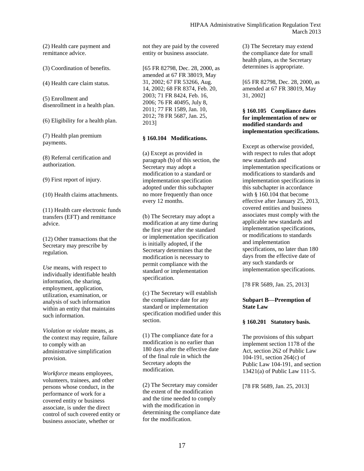(2) Health care payment and remittance advice.

(3) Coordination of benefits.

(4) Health care claim status.

(5) Enrollment and disenrollment in a health plan.

(6) Eligibility for a health plan.

(7) Health plan premium payments.

(8) Referral certification and authorization.

(9) First report of injury.

(10) Health claims attachments.

(11) Health care electronic funds transfers (EFT) and remittance advice.

(12) Other transactions that the Secretary may prescribe by regulation.

*Use* means, with respect to individually identifiable health information, the sharing, employment, application, utilization, examination, or analysis of such information within an entity that maintains such information.

*Violation* or *violate* means, as the context may require, failure to comply with an administrative simplification provision.

*Workforce* means employees, volunteers, trainees, and other persons whose conduct, in the performance of work for a covered entity or business associate, is under the direct control of such covered entity or business associate, whether or

not they are paid by the covered entity or business associate.

[65 FR 82798, Dec. 28, 2000, as amended at 67 FR 38019, May 31, 2002; 67 FR 53266, Aug. 14, 2002; 68 FR 8374, Feb. 20, 2003; 71 FR 8424, Feb. 16, 2006; 76 FR 40495, July 8, 2011; 77 FR 1589, Jan. 10, 2012; 78 FR 5687, Jan. 25, 2013]

#### <span id="page-16-0"></span>**§ 160.104 Modifications.**

(a) Except as provided in paragraph (b) of this section, the Secretary may adopt a modification to a standard or implementation specification adopted under this subchapter no more frequently than once every 12 months.

(b) The Secretary may adopt a modification at any time during the first year after the standard or implementation specification is initially adopted, if the Secretary determines that the modification is necessary to permit compliance with the standard or implementation specification.

(c) The Secretary will establish the compliance date for any standard or implementation specification modified under this section.

(1) The compliance date for a modification is no earlier than 180 days after the effective date of the final rule in which the Secretary adopts the modification.

(2) The Secretary may consider the extent of the modification and the time needed to comply with the modification in determining the compliance date for the modification.

(3) The Secretary may extend the compliance date for small health plans, as the Secretary determines is appropriate.

[65 FR 82798, Dec. 28, 2000, as amended at 67 FR 38019, May 31, 2002]

## <span id="page-16-1"></span>**§ 160.105 Compliance dates for implementation of new or modified standards and implementation specifications.**

Except as otherwise provided, with respect to rules that adopt new standards and implementation specifications or modifications to standards and implementation specifications in this subchapter in accordance with § 160.104 that become effective after January 25, 2013, covered entities and business associates must comply with the applicable new standards and implementation specifications, or modifications to standards and implementation specifications, no later than 180 days from the effective date of any such standards or implementation specifications.

[78 FR 5689, Jan. 25, 2013]

## <span id="page-16-2"></span>**Subpart B—Preemption of State Law**

## <span id="page-16-3"></span>**§ 160.201 Statutory basis.**

The provisions of this subpart implement section 1178 of the Act, section 262 of Public Law 104-191, section 264(c) of Public Law 104-191, and section 13421(a) of Public Law 111-5.

[78 FR 5689, Jan. 25, 2013]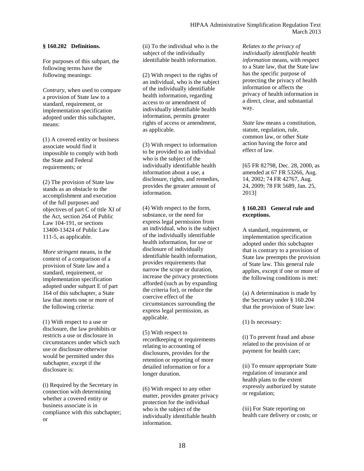### <span id="page-17-0"></span>**§ 160.202 Definitions.**

For purposes of this subpart, the following terms have the following meanings:

*Contrary,* when used to compare a provision of State law to a standard, requirement, or implementation specification adopted under this subchapter, means:

(1) A covered entity or business associate would find it impossible to comply with both the State and Federal requirements; or

(2) The provision of State law stands as an obstacle to the accomplishment and execution of the full purposes and objectives of part C of title XI of the Act, section 264 of Public Law 104-191, or sections 13400-13424 of Public Law 111-5, as applicable.

*More stringent* means, in the context of a comparison of a provision of State law and a standard, requirement, or implementation specification adopted under subpart E of part 164 of this subchapter, a State law that meets one or more of the following criteria:

(1) With respect to a use or disclosure, the law prohibits or restricts a use or disclosure in circumstances under which such use or disclosure otherwise would be permitted under this subchapter, except if the disclosure is:

(i) Required by the Secretary in connection with determining whether a covered entity or business associate is in compliance with this subchapter; or

(ii) To the individual who is the subject of the individually identifiable health information.

(2) With respect to the rights of an individual, who is the subject of the individually identifiable health information, regarding access to or amendment of individually identifiable health information, permits greater rights of access or amendment, as applicable.

(3) With respect to information to be provided to an individual who is the subject of the individually identifiable health information about a use, a disclosure, rights, and remedies, provides the greater amount of information.

(4) With respect to the form, substance, or the need for express legal permission from an individual, who is the subject of the individually identifiable health information, for use or disclosure of individually identifiable health information, provides requirements that narrow the scope or duration, increase the privacy protections afforded (such as by expanding the criteria for), or reduce the coercive effect of the circumstances surrounding the express legal permission, as applicable.

(5) With respect to recordkeeping or requirements relating to accounting of disclosures, provides for the retention or reporting of more detailed information or for a longer duration.

(6) With respect to any other matter, provides greater privacy protection for the individual who is the subject of the individually identifiable health information.

*Relates to the privacy of individually identifiable health information* means, with respect to a State law, that the State law has the specific purpose of protecting the privacy of health information or affects the privacy of health information in a direct, clear, and substantial way.

*State law* means a constitution, statute, regulation, rule, common law, or other State action having the force and effect of law.

[65 FR 82798, Dec. 28, 2000, as amended at 67 FR 53266, Aug. 14, 2002; 74 FR 42767, Aug. 24, 2009; 78 FR 5689, Jan. 25, 2013]

### <span id="page-17-1"></span>**§ 160.203 General rule and exceptions.**

A standard, requirement, or implementation specification adopted under this subchapter that is contrary to a provision of State law preempts the provision of State law. This general rule applies, except if one or more of the following conditions is met:

(a) A determination is made by the Secretary under § 160.204 that the provision of State law:

(1) Is necessary:

(i) To prevent fraud and abuse related to the provision of or payment for health care;

(ii) To ensure appropriate State regulation of insurance and health plans to the extent expressly authorized by statute or regulation;

(iii) For State reporting on health care delivery or costs; or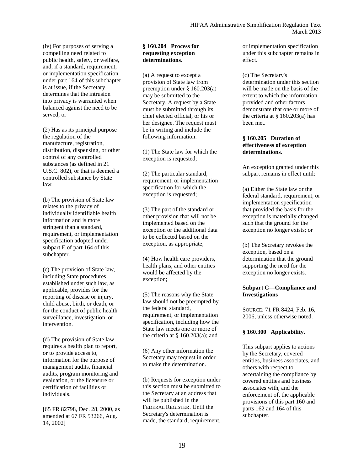(iv) For purposes of serving a compelling need related to public health, safety, or welfare, and, if a standard, requirement, or implementation specification under part 164 of this subchapter is at issue, if the Secretary determines that the intrusion into privacy is warranted when balanced against the need to be served; or

(2) Has as its principal purpose the regulation of the manufacture, registration, distribution, dispensing, or other control of any controlled substances (as defined in 21 U.S.C. 802), or that is deemed a controlled substance by State law.

(b) The provision of State law relates to the privacy of individually identifiable health information and is more stringent than a standard, requirement, or implementation specification adopted under subpart E of part 164 of this subchapter.

(c) The provision of State law, including State procedures established under such law, as applicable, provides for the reporting of disease or injury, child abuse, birth, or death, or for the conduct of public health surveillance, investigation, or intervention.

(d) The provision of State law requires a health plan to report, or to provide access to, information for the purpose of management audits, financial audits, program monitoring and evaluation, or the licensure or certification of facilities or individuals.

[65 FR 82798, Dec. 28, 2000, as amended at 67 FR 53266, Aug. 14, 2002]

## <span id="page-18-0"></span>**§ 160.204 Process for requesting exception determinations.**

(a) A request to except a provision of State law from preemption under § 160.203(a) may be submitted to the Secretary. A request by a State must be submitted through its chief elected official, or his or her designee. The request must be in writing and include the following information:

(1) The State law for which the exception is requested;

(2) The particular standard, requirement, or implementation specification for which the exception is requested;

(3) The part of the standard or other provision that will not be implemented based on the exception or the additional data to be collected based on the exception, as appropriate;

(4) How health care providers, health plans, and other entities would be affected by the exception;

(5) The reasons why the State law should not be preempted by the federal standard, requirement, or implementation specification, including how the State law meets one or more of the criteria at  $\S$  160.203(a); and

(6) Any other information the Secretary may request in order to make the determination.

(b) Requests for exception under this section must be submitted to the Secretary at an address that will be published in the FEDERAL REGISTER. Until the Secretary's determination is made, the standard, requirement,

or implementation specification under this subchapter remains in effect.

(c) The Secretary's determination under this section will be made on the basis of the extent to which the information provided and other factors demonstrate that one or more of the criteria at  $\S$  160.203(a) has been met.

## <span id="page-18-1"></span>**§ 160.205 Duration of effectiveness of exception determinations.**

An exception granted under this subpart remains in effect until:

(a) Either the State law or the federal standard, requirement, or implementation specification that provided the basis for the exception is materially changed such that the ground for the exception no longer exists; or

(b) The Secretary revokes the exception, based on a determination that the ground supporting the need for the exception no longer exists.

## <span id="page-18-2"></span>**Subpart C—Compliance and Investigations**

SOURCE: 71 FR 8424, Feb. 16, 2006, unless otherwise noted.

## <span id="page-18-3"></span>**§ 160.300 Applicability.**

This subpart applies to actions by the Secretary, covered entities, business associates, and others with respect to ascertaining the compliance by covered entities and business associates with, and the enforcement of, the applicable provisions of this part 160 and parts 162 and 164 of this subchapter.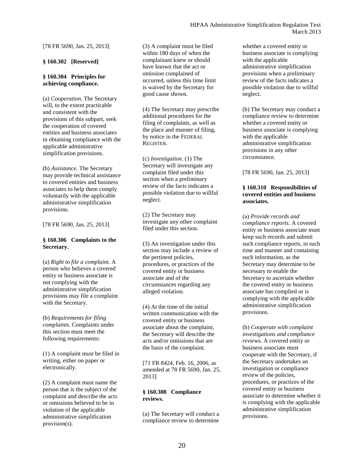[78 FR 5690, Jan. 25, 2013]

## <span id="page-19-0"></span>**§ 160.302 [Reserved]**

## <span id="page-19-1"></span>**§ 160.304 Principles for achieving compliance.**

(a) *Cooperation.* The Secretary will, to the extent practicable and consistent with the provisions of this subpart, seek the cooperation of covered entities and business associates in obtaining compliance with the applicable administrative simplification provisions.

(b) *Assistance.* The Secretary may provide technical assistance to covered entities and business associates to help them comply voluntarily with the applicable administrative simplification provisions.

[78 FR 5690, Jan. 25, 2013]

## <span id="page-19-2"></span>**§ 160.306 Complaints to the Secretary.**

(a) *Right to file a complaint.* A person who believes a covered entity or business associate is not complying with the administrative simplification provisions may file a complaint with the Secretary.

(b) *Requirements for filing complaints.* Complaints under this section must meet the following requirements:

(1) A complaint must be filed in writing, either on paper or electronically.

(2) A complaint must name the person that is the subject of the complaint and describe the acts or omissions believed to be in violation of the applicable administrative simplification provision(s).

(3) A complaint must be filed within 180 days of when the complainant knew or should have known that the act or omission complained of occurred, unless this time limit is waived by the Secretary for good cause shown.

(4) The Secretary may prescribe additional procedures for the filing of complaints, as well as the place and manner of filing, by notice in the FEDERAL REGISTER.

(c) *Investigation.* (1) The Secretary will investigate any complaint filed under this section when a preliminary review of the facts indicates a possible violation due to willful neglect.

(2) The Secretary may investigate any other complaint filed under this section.

(3) An investigation under this section may include a review of the pertinent policies, procedures, or practices of the covered entity or business associate and of the circumstances regarding any alleged violation.

(4) At the time of the initial written communication with the covered entity or business associate about the complaint, the Secretary will describe the acts and/or omissions that are the basis of the complaint.

[71 FR 8424, Feb. 16, 2006, as amended at 78 FR 5690, Jan. 25, 2013]

## <span id="page-19-3"></span>**§ 160.308 Compliance reviews.**

(a) The Secretary will conduct a compliance review to determine

whether a covered entity or business associate is complying with the applicable administrative simplification provisions when a preliminary review of the facts indicates a possible violation due to willful neglect.

(b) The Secretary may conduct a compliance review to determine whether a covered entity or business associate is complying with the applicable administrative simplification provisions in any other circumstance.

[78 FR 5690, Jan. 25, 2013]

### <span id="page-19-4"></span>**§ 160.310 Responsibilities of covered entities and business associates.**

(a) *Provide records and compliance reports.* A covered entity or business associate must keep such records and submit such compliance reports, in such time and manner and containing such information, as the Secretary may determine to be necessary to enable the Secretary to ascertain whether the covered entity or business associate has complied or is complying with the applicable administrative simplification provisions.

(b) *Cooperate with complaint investigations and compliance reviews.* A covered entity or business associate must cooperate with the Secretary, if the Secretary undertakes an investigation or compliance review of the policies, procedures, or practices of the covered entity or business associate to determine whether it is complying with the applicable administrative simplification provisions.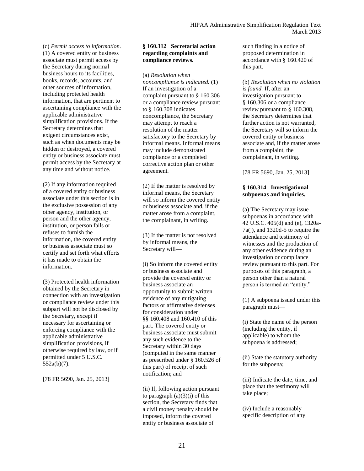(c) *Permit access to information.* (1) A covered entity or business associate must permit access by the Secretary during normal business hours to its facilities, books, records, accounts, and other sources of information, including protected health information, that are pertinent to ascertaining compliance with the applicable administrative simplification provisions. If the Secretary determines that exigent circumstances exist, such as when documents may be hidden or destroyed, a covered entity or business associate must permit access by the Secretary at any time and without notice.

(2) If any information required of a covered entity or business associate under this section is in the exclusive possession of any other agency, institution, or person and the other agency, institution, or person fails or refuses to furnish the information, the covered entity or business associate must so certify and set forth what efforts it has made to obtain the information.

(3) Protected health information obtained by the Secretary in connection with an investigation or compliance review under this subpart will not be disclosed by the Secretary, except if necessary for ascertaining or enforcing compliance with the applicable administrative simplification provisions, if otherwise required by law, or if permitted under 5 U.S.C. 552a(b)(7).

[78 FR 5690, Jan. 25, 2013]

#### <span id="page-20-0"></span>**§ 160.312 Secretarial action regarding complaints and compliance reviews.**

(a) *Resolution when* 

*noncompliance is indicated.* (1) If an investigation of a complaint pursuant to § 160.306 or a compliance review pursuant to § 160.308 indicates noncompliance, the Secretary may attempt to reach a resolution of the matter satisfactory to the Secretary by informal means. Informal means may include demonstrated compliance or a completed corrective action plan or other agreement.

(2) If the matter is resolved by informal means, the Secretary will so inform the covered entity or business associate and, if the matter arose from a complaint, the complainant, in writing.

(3) If the matter is not resolved by informal means, the Secretary will—

(i) So inform the covered entity or business associate and provide the covered entity or business associate an opportunity to submit written evidence of any mitigating factors or affirmative defenses for consideration under §§ 160.408 and 160.410 of this part. The covered entity or business associate must submit any such evidence to the Secretary within 30 days (computed in the same manner as prescribed under § 160.526 of this part) of receipt of such notification; and

(ii) If, following action pursuant to paragraph  $(a)(3)(i)$  of this section, the Secretary finds that a civil money penalty should be imposed, inform the covered entity or business associate of

such finding in a notice of proposed determination in accordance with § 160.420 of this part.

(b) *Resolution when no violation is found.* If, after an investigation pursuant to § 160.306 or a compliance review pursuant to § 160.308, the Secretary determines that further action is not warranted, the Secretary will so inform the covered entity or business associate and, if the matter arose from a complaint, the complainant, in writing.

[78 FR 5690, Jan. 25, 2013]

## <span id="page-20-1"></span>**§ 160.314 Investigational subpoenas and inquiries.**

(a) The Secretary may issue subpoenas in accordance with 42 U.S.C. 405(d) and (e), 1320a-7a(j), and 1320d-5 to require the attendance and testimony of witnesses and the production of any other evidence during an investigation or compliance review pursuant to this part. For purposes of this paragraph, a person other than a natural person is termed an "entity."

(1) A subpoena issued under this paragraph must—

(i) State the name of the person (including the entity, if applicable) to whom the subpoena is addressed;

(ii) State the statutory authority for the subpoena;

(iii) Indicate the date, time, and place that the testimony will take place;

(iv) Include a reasonably specific description of any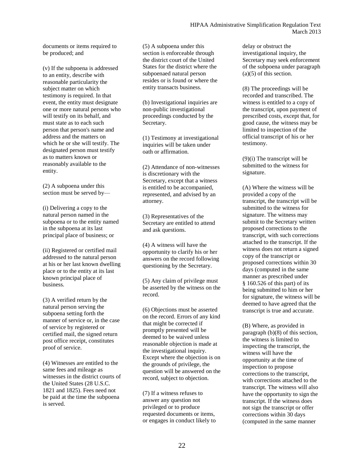documents or items required to be produced; and

(v) If the subpoena is addressed to an entity, describe with reasonable particularity the subject matter on which testimony is required. In that event, the entity must designate one or more natural persons who will testify on its behalf, and must state as to each such person that person's name and address and the matters on which he or she will testify. The designated person must testify as to matters known or reasonably available to the entity.

(2) A subpoena under this section must be served by—

(i) Delivering a copy to the natural person named in the subpoena or to the entity named in the subpoena at its last principal place of business; or

(ii) Registered or certified mail addressed to the natural person at his or her last known dwelling place or to the entity at its last known principal place of business.

(3) A verified return by the natural person serving the subpoena setting forth the manner of service or, in the case of service by registered or certified mail, the signed return post office receipt, constitutes proof of service.

(4) Witnesses are entitled to the same fees and mileage as witnesses in the district courts of the United States (28 U.S.C. 1821 and 1825). Fees need not be paid at the time the subpoena is served.

(5) A subpoena under this section is enforceable through the district court of the United States for the district where the subpoenaed natural person resides or is found or where the entity transacts business.

(b) Investigational inquiries are non-public investigational proceedings conducted by the Secretary.

(1) Testimony at investigational inquiries will be taken under oath or affirmation.

(2) Attendance of non-witnesses is discretionary with the Secretary, except that a witness is entitled to be accompanied, represented, and advised by an attorney.

(3) Representatives of the Secretary are entitled to attend and ask questions.

(4) A witness will have the opportunity to clarify his or her answers on the record following questioning by the Secretary.

(5) Any claim of privilege must be asserted by the witness on the record.

(6) Objections must be asserted on the record. Errors of any kind that might be corrected if promptly presented will be deemed to be waived unless reasonable objection is made at the investigational inquiry. Except where the objection is on the grounds of privilege, the question will be answered on the record, subject to objection.

(7) If a witness refuses to answer any question not privileged or to produce requested documents or items, or engages in conduct likely to delay or obstruct the investigational inquiry, the Secretary may seek enforcement of the subpoena under paragraph  $(a)(5)$  of this section.

(8) The proceedings will be recorded and transcribed. The witness is entitled to a copy of the transcript, upon payment of prescribed costs, except that, for good cause, the witness may be limited to inspection of the official transcript of his or her testimony.

(9)(i) The transcript will be submitted to the witness for signature.

(A) Where the witness will be provided a copy of the transcript, the transcript will be submitted to the witness for signature. The witness may submit to the Secretary written proposed corrections to the transcript, with such corrections attached to the transcript. If the witness does not return a signed copy of the transcript or proposed corrections within 30 days (computed in the same manner as prescribed under § 160.526 of this part) of its being submitted to him or her for signature, the witness will be deemed to have agreed that the transcript is true and accurate.

(B) Where, as provided in paragraph (b)(8) of this section, the witness is limited to inspecting the transcript, the witness will have the opportunity at the time of inspection to propose corrections to the transcript, with corrections attached to the transcript. The witness will also have the opportunity to sign the transcript. If the witness does not sign the transcript or offer corrections within 30 days (computed in the same manner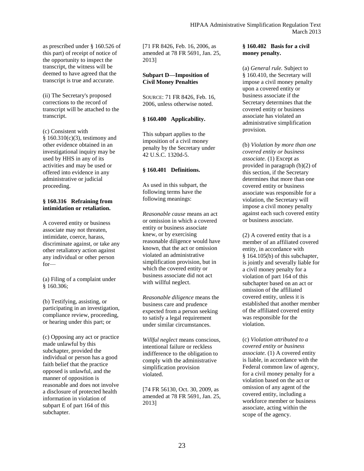(ii) The Secretary's proposed corrections to the record of transcript will be attached to the transcript.

(c) Consistent with  $§ 160.310(c)(3)$ , testimony and other evidence obtained in an investigational inquiry may be used by HHS in any of its activities and may be used or offered into evidence in any administrative or judicial proceeding.

#### <span id="page-22-0"></span>**§ 160.316 Refraining from intimidation or retaliation.**

A covered entity or business associate may not threaten, intimidate, coerce, harass, discriminate against, or take any other retaliatory action against any individual or other person for—

(a) Filing of a complaint under § 160.306;

(b) Testifying, assisting, or participating in an investigation, compliance review, proceeding, or hearing under this part; or

(c) Opposing any act or practice made unlawful by this subchapter, provided the individual or person has a good faith belief that the practice opposed is unlawful, and the manner of opposition is reasonable and does not involve a disclosure of protected health information in violation of subpart E of part 164 of this subchapter.

[71 FR 8426, Feb. 16, 2006, as amended at 78 FR 5691, Jan. 25, 2013]

## <span id="page-22-1"></span>**Subpart D—Imposition of Civil Money Penalties**

SOURCE: 71 FR 8426, Feb. 16, 2006, unless otherwise noted.

## <span id="page-22-2"></span>**§ 160.400 Applicability.**

This subpart applies to the imposition of a civil money penalty by the Secretary under 42 U.S.C. 1320d-5.

## <span id="page-22-3"></span>**§ 160.401 Definitions.**

As used in this subpart, the following terms have the following meanings:

*Reasonable cause* means an act or omission in which a covered entity or business associate knew, or by exercising reasonable diligence would have known, that the act or omission violated an administrative simplification provision, but in which the covered entity or business associate did not act with willful neglect.

*Reasonable diligence* means the business care and prudence expected from a person seeking to satisfy a legal requirement under similar circumstances.

*Willful neglect* means conscious, intentional failure or reckless indifference to the obligation to comply with the administrative simplification provision violated.

[74 FR 56130, Oct. 30, 2009, as amended at 78 FR 5691, Jan. 25, 2013]

### <span id="page-22-4"></span>**§ 160.402 Basis for a civil money penalty.**

March 2013

HIPAA Administrative Simplification Regulation Text

(a) *General rule.* Subject to § 160.410, the Secretary will impose a civil money penalty upon a covered entity or business associate if the Secretary determines that the covered entity or business associate has violated an administrative simplification provision.

(b) *Violation by more than one covered entity or business associate.* (1) Except as provided in paragraph (b)(2) of this section, if the Secretary determines that more than one covered entity or business associate was responsible for a violation, the Secretary will impose a civil money penalty against each such covered entity or business associate.

(2) A covered entity that is a member of an affiliated covered entity, in accordance with § 164.105(b) of this subchapter, is jointly and severally liable for a civil money penalty for a violation of part 164 of this subchapter based on an act or omission of the affiliated covered entity, unless it is established that another member of the affiliated covered entity was responsible for the violation.

(c) *Violation attributed to a covered entity or business associate.* (1) A covered entity is liable, in accordance with the Federal common law of agency, for a civil money penalty for a violation based on the act or omission of any agent of the covered entity, including a workforce member or business associate, acting within the scope of the agency.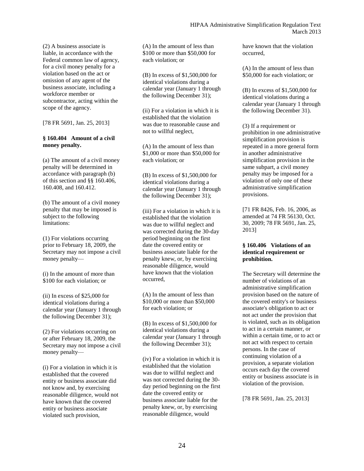(2) A business associate is liable, in accordance with the Federal common law of agency, for a civil money penalty for a violation based on the act or omission of any agent of the business associate, including a workforce member or subcontractor, acting within the scope of the agency.

[78 FR 5691, Jan. 25, 2013]

### <span id="page-23-0"></span>**§ 160.404 Amount of a civil money penalty.**

(a) The amount of a civil money penalty will be determined in accordance with paragraph (b) of this section and §§ 160.406, 160.408, and 160.412.

(b) The amount of a civil money penalty that may be imposed is subject to the following limitations:

(1) For violations occurring prior to February 18, 2009, the Secretary may not impose a civil money penalty—

(i) In the amount of more than \$100 for each violation; or

(ii) In excess of \$25,000 for identical violations during a calendar year (January 1 through the following December 31);

(2) For violations occurring on or after February 18, 2009, the Secretary may not impose a civil money penalty—

(i) For a violation in which it is established that the covered entity or business associate did not know and, by exercising reasonable diligence, would not have known that the covered entity or business associate violated such provision,

(A) In the amount of less than \$100 or more than \$50,000 for each violation; or

(B) In excess of \$1,500,000 for identical violations during a calendar year (January 1 through the following December 31);

(ii) For a violation in which it is established that the violation was due to reasonable cause and not to willful neglect,

(A) In the amount of less than \$1,000 or more than \$50,000 for each violation; or

(B) In excess of \$1,500,000 for identical violations during a calendar year (January 1 through the following December 31);

(iii) For a violation in which it is established that the violation was due to willful neglect and was corrected during the 30-day period beginning on the first date the covered entity or business associate liable for the penalty knew, or, by exercising reasonable diligence, would have known that the violation occurred,

(A) In the amount of less than \$10,000 or more than \$50,000 for each violation; or

(B) In excess of \$1,500,000 for identical violations during a calendar year (January 1 through the following December 31);

(iv) For a violation in which it is established that the violation was due to willful neglect and was not corrected during the 30 day period beginning on the first date the covered entity or business associate liable for the penalty knew, or, by exercising reasonable diligence, would

have known that the violation occurred,

(A) In the amount of less than \$50,000 for each violation; or

(B) In excess of \$1,500,000 for identical violations during a calendar year (January 1 through the following December 31).

(3) If a requirement or prohibition in one administrative simplification provision is repeated in a more general form in another administrative simplification provision in the same subpart, a civil money penalty may be imposed for a violation of only one of these administrative simplification provisions.

[71 FR 8426, Feb. 16, 2006, as amended at 74 FR 56130, Oct. 30, 2009; 78 FR 5691, Jan. 25, 2013]

#### <span id="page-23-1"></span>**§ 160.406 Violations of an identical requirement or prohibition.**

The Secretary will determine the number of violations of an administrative simplification provision based on the nature of the covered entity's or business associate's obligation to act or not act under the provision that is violated, such as its obligation to act in a certain manner, or within a certain time, or to act or not act with respect to certain persons. In the case of continuing violation of a provision, a separate violation occurs each day the covered entity or business associate is in violation of the provision.

[78 FR 5691, Jan. 25, 2013]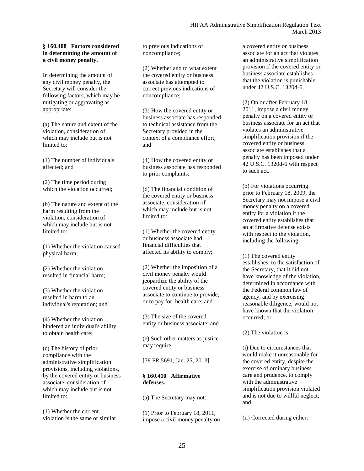## <span id="page-24-0"></span>**§ 160.408 Factors considered in determining the amount of a civil money penalty.**

In determining the amount of any civil money penalty, the Secretary will consider the following factors, which may be mitigating or aggravating as appropriate:

(a) The nature and extent of the violation, consideration of which may include but is not limited to:

(1) The number of individuals affected; and

(2) The time period during which the violation occurred:

(b) The nature and extent of the harm resulting from the violation, consideration of which may include but is not limited to:

(1) Whether the violation caused physical harm;

(2) Whether the violation resulted in financial harm;

(3) Whether the violation resulted in harm to an individual's reputation; and

(4) Whether the violation hindered an individual's ability to obtain health care;

(c) The history of prior compliance with the administrative simplification provisions, including violations, by the covered entity or business associate, consideration of which may include but is not limited to:

(1) Whether the current violation is the same or similar to previous indications of noncompliance;

(2) Whether and to what extent the covered entity or business associate has attempted to correct previous indications of noncompliance;

(3) How the covered entity or business associate has responded to technical assistance from the Secretary provided in the context of a compliance effort; and

(4) How the covered entity or business associate has responded to prior complaints;

(d) The financial condition of the covered entity or business associate, consideration of which may include but is not limited to:

(1) Whether the covered entity or business associate had financial difficulties that affected its ability to comply;

(2) Whether the imposition of a civil money penalty would jeopardize the ability of the covered entity or business associate to continue to provide, or to pay for, health care; and

(3) The size of the covered entity or business associate; and

(e) Such other matters as justice may require.

[78 FR 5691, Jan. 25, 2013]

## <span id="page-24-1"></span>**§ 160.410 Affirmative defenses.**

(a) The Secretary may not:

(1) Prior to February 18, 2011, impose a civil money penalty on a covered entity or business associate for an act that violates an administrative simplification provision if the covered entity or business associate establishes that the violation is punishable under 42 U.S.C. 1320d-6.

(2) On or after February 18, 2011, impose a civil money penalty on a covered entity or business associate for an act that violates an administrative simplification provision if the covered entity or business associate establishes that a penalty has been imposed under 42 U.S.C. 1320d-6 with respect to such act.

(b) For violations occurring prior to February 18, 2009, the Secretary may not impose a civil money penalty on a covered entity for a violation if the covered entity establishes that an affirmative defense exists with respect to the violation, including the following:

(1) The covered entity establishes, to the satisfaction of the Secretary, that it did not have knowledge of the violation, determined in accordance with the Federal common law of agency, and by exercising reasonable diligence, would not have known that the violation occurred; or

(2) The violation is—

(i) Due to circumstances that would make it unreasonable for the covered entity, despite the exercise of ordinary business care and prudence, to comply with the administrative simplification provision violated and is not due to willful neglect; and

(ii) Corrected during either: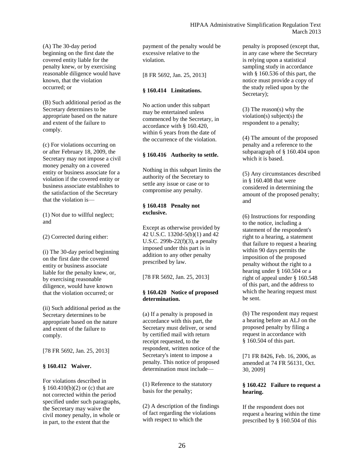(A) The 30-day period beginning on the first date the covered entity liable for the penalty knew, or by exercising reasonable diligence would have known, that the violation occurred; or

(B) Such additional period as the Secretary determines to be appropriate based on the nature and extent of the failure to comply.

(c) For violations occurring on or after February 18, 2009, the Secretary may not impose a civil money penalty on a covered entity or business associate for a violation if the covered entity or business associate establishes to the satisfaction of the Secretary that the violation is—

(1) Not due to willful neglect; and

(2) Corrected during either:

(i) The 30-day period beginning on the first date the covered entity or business associate liable for the penalty knew, or, by exercising reasonable diligence, would have known that the violation occurred; or

(ii) Such additional period as the Secretary determines to be appropriate based on the nature and extent of the failure to comply.

[78 FR 5692, Jan. 25, 2013]

## <span id="page-25-0"></span>**§ 160.412 Waiver.**

For violations described in § 160.410(b)(2) or (c) that are not corrected within the period specified under such paragraphs, the Secretary may waive the civil money penalty, in whole or in part, to the extent that the

payment of the penalty would be excessive relative to the violation.

[8 FR 5692, Jan. 25, 2013]

## <span id="page-25-1"></span>**§ 160.414 Limitations.**

No action under this subpart may be entertained unless commenced by the Secretary, in accordance with § 160.420, within 6 years from the date of the occurrence of the violation.

## <span id="page-25-2"></span>**§ 160.416 Authority to settle.**

Nothing in this subpart limits the authority of the Secretary to settle any issue or case or to compromise any penalty.

#### <span id="page-25-3"></span>**§ 160.418 Penalty not exclusive.**

Except as otherwise provided by 42 U.S.C. 1320d-5(b)(1) and 42 U.S.C. 299b-22(f)(3), a penalty imposed under this part is in addition to any other penalty prescribed by law.

[78 FR 5692, Jan. 25, 2013]

## <span id="page-25-4"></span>**§ 160.420 Notice of proposed determination.**

(a) If a penalty is proposed in accordance with this part, the Secretary must deliver, or send by certified mail with return receipt requested, to the respondent, written notice of the Secretary's intent to impose a penalty. This notice of proposed determination must include—

(1) Reference to the statutory basis for the penalty;

(2) A description of the findings of fact regarding the violations with respect to which the

penalty is proposed (except that, in any case where the Secretary is relying upon a statistical sampling study in accordance with § 160.536 of this part, the notice must provide a copy of the study relied upon by the Secretary);

(3) The reason(s) why the violation(s) subject(s) the respondent to a penalty;

(4) The amount of the proposed penalty and a reference to the subparagraph of § 160.404 upon which it is based.

(5) Any circumstances described in § 160.408 that were considered in determining the amount of the proposed penalty; and

(6) Instructions for responding to the notice, including a statement of the respondent's right to a hearing, a statement that failure to request a hearing within 90 days permits the imposition of the proposed penalty without the right to a hearing under § 160.504 or a right of appeal under § 160.548 of this part, and the address to which the hearing request must be sent.

(b) The respondent may request a hearing before an ALJ on the proposed penalty by filing a request in accordance with § 160.504 of this part.

[71 FR 8426, Feb. 16, 2006, as amended at 74 FR 56131, Oct. 30, 2009]

## <span id="page-25-5"></span>**§ 160.422 Failure to request a hearing.**

If the respondent does not request a hearing within the time prescribed by § 160.504 of this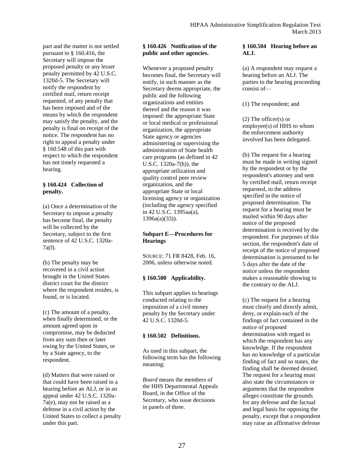part and the matter is not settled pursuant to § 160.416, the Secretary will impose the proposed penalty or any lesser penalty permitted by 42 U.S.C. 1320d-5. The Secretary will notify the respondent by certified mail, return receipt requested, of any penalty that has been imposed and of the means by which the respondent may satisfy the penalty, and the penalty is final on receipt of the notice. The respondent has no right to appeal a penalty under § 160.548 of this part with respect to which the respondent has not timely requested a hearing.

## <span id="page-26-0"></span>**§ 160.424 Collection of penalty.**

(a) Once a determination of the Secretary to impose a penalty has become final, the penalty will be collected by the Secretary, subject to the first sentence of 42 U.S.C. 1320a-7a(f).

(b) The penalty may be recovered in a civil action brought in the United States district court for the district where the respondent resides, is found, or is located.

(c) The amount of a penalty, when finally determined, or the amount agreed upon in compromise, may be deducted from any sum then or later owing by the United States, or by a State agency, to the respondent.

(d) Matters that were raised or that could have been raised in a hearing before an ALJ, or in an appeal under 42 U.S.C. 1320a-7a(e), may not be raised as a defense in a civil action by the United States to collect a penalty under this part.

## <span id="page-26-1"></span>**§ 160.426 Notification of the public and other agencies.**

Whenever a proposed penalty becomes final, the Secretary will notify, in such manner as the Secretary deems appropriate, the public and the following organizations and entities thereof and the reason it was imposed: the appropriate State or local medical or professional organization, the appropriate State agency or agencies administering or supervising the administration of State health care programs (as defined in 42 U.S.C. 1320a-7(h)), the appropriate utilization and quality control peer review organization, and the appropriate State or local licensing agency or organization (including the agency specified in 42 U.S.C. 1395aa(a), 1396a(a)(33)).

## <span id="page-26-2"></span>**Subpart E—Procedures for Hearings**

SOURCE: 71 FR 8428, Feb. 16, 2006, unless otherwise noted.

## <span id="page-26-3"></span>**§ 160.500 Applicability.**

This subpart applies to hearings conducted relating to the imposition of a civil money penalty by the Secretary under 42 U.S.C. 1320d-5.

## <span id="page-26-4"></span>**§ 160.502 Definitions.**

As used in this subpart, the following term has the following meaning:

*Board* means the members of the HHS Departmental Appeals Board, in the Office of the Secretary, who issue decisions in panels of three.

## <span id="page-26-5"></span>**§ 160.504 Hearing before an ALJ.**

(a) A respondent may request a hearing before an ALJ. The parties to the hearing proceeding consist of—

(1) The respondent; and

(2) The officer(s) or employee(s) of HHS to whom the enforcement authority involved has been delegated.

(b) The request for a hearing must be made in writing signed by the respondent or by the respondent's attorney and sent by certified mail, return receipt requested, to the address specified in the notice of proposed determination. The request for a hearing must be mailed within 90 days after notice of the proposed determination is received by the respondent. For purposes of this section, the respondent's date of receipt of the notice of proposed determination is presumed to be 5 days after the date of the notice unless the respondent makes a reasonable showing to the contrary to the ALJ.

(c) The request for a hearing must clearly and directly admit, deny, or explain each of the findings of fact contained in the notice of proposed determination with regard to which the respondent has any knowledge. If the respondent has no knowledge of a particular finding of fact and so states, the finding shall be deemed denied. The request for a hearing must also state the circumstances or arguments that the respondent alleges constitute the grounds for any defense and the factual and legal basis for opposing the penalty, except that a respondent may raise an affirmative defense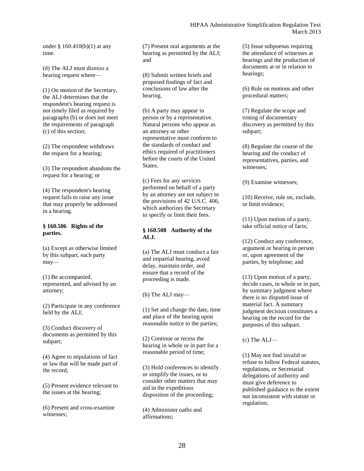under § 160.410(b)(1) at any time.

(d) The ALJ must dismiss a hearing request where—

(1) On motion of the Secretary, the ALJ determines that the respondent's hearing request is not timely filed as required by paragraphs (b) or does not meet the requirements of paragraph (c) of this section;

(2) The respondent withdraws the request for a hearing;

(3) The respondent abandons the request for a hearing; or

(4) The respondent's hearing request fails to raise any issue that may properly be addressed in a hearing.

### <span id="page-27-0"></span>**§ 160.506 Rights of the parties.**

(a) Except as otherwise limited by this subpart, each party may—

(1) Be accompanied, represented, and advised by an attorney;

(2) Participate in any conference held by the ALJ;

(3) Conduct discovery of documents as permitted by this subpart;

(4) Agree to stipulations of fact or law that will be made part of the record;

(5) Present evidence relevant to the issues at the hearing;

(6) Present and cross-examine witnesses;

(7) Present oral arguments at the hearing as permitted by the ALJ; and

(8) Submit written briefs and proposed findings of fact and conclusions of law after the hearing.

(b) A party may appear in person or by a representative. Natural persons who appear as an attorney or other representative must conform to the standards of conduct and ethics required of practitioners before the courts of the United **States**.

(c) Fees for any services performed on behalf of a party by an attorney are not subject to the provisions of 42 U.S.C. 406, which authorizes the Secretary to specify or limit their fees.

## <span id="page-27-1"></span>**§ 160.508 Authority of the ALJ.**

(a) The ALJ must conduct a fair and impartial hearing, avoid delay, maintain order, and ensure that a record of the proceeding is made.

(b) The ALJ may—

(1) Set and change the date, time and place of the hearing upon reasonable notice to the parties;

(2) Continue or recess the hearing in whole or in part for a reasonable period of time;

(3) Hold conferences to identify or simplify the issues, or to consider other matters that may aid in the expeditious disposition of the proceeding;

(4) Administer oaths and affirmations;

(5) Issue subpoenas requiring the attendance of witnesses at hearings and the production of documents at or in relation to hearings;

(6) Rule on motions and other procedural matters;

(7) Regulate the scope and timing of documentary discovery as permitted by this subpart;

(8) Regulate the course of the hearing and the conduct of representatives, parties, and witnesses;

(9) Examine witnesses;

(10) Receive, rule on, exclude, or limit evidence;

(11) Upon motion of a party, take official notice of facts;

(12) Conduct any conference, argument or hearing in person or, upon agreement of the parties, by telephone; and

(13) Upon motion of a party, decide cases, in whole or in part, by summary judgment where there is no disputed issue of material fact. A summary judgment decision constitutes a hearing on the record for the purposes of this subpart.

(c) The ALJ—

(1) May not find invalid or refuse to follow Federal statutes, regulations, or Secretarial delegations of authority and must give deference to published guidance to the extent not inconsistent with statute or regulation;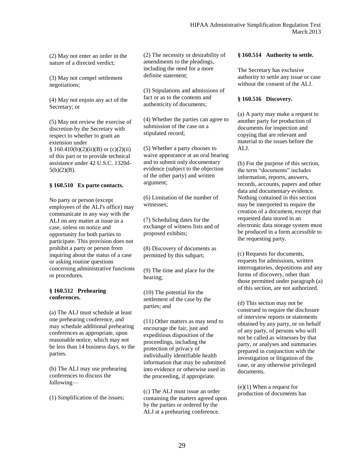(2) May not enter an order in the nature of a directed verdict;

(3) May not compel settlement negotiations;

(4) May not enjoin any act of the Secretary; or

(5) May not review the exercise of discretion by the Secretary with respect to whether to grant an extension under § 160.410(b)(2)(ii)(B) or (c)(2)(ii) of this part or to provide technical assistance under 42 U.S.C. 1320d- $5(b)(2)(B)$ .

#### <span id="page-28-0"></span>**§ 160.510 Ex parte contacts.**

No party or person (except employees of the ALJ's office) may communicate in any way with the ALJ on any matter at issue in a case, unless on notice and opportunity for both parties to participate. This provision does not prohibit a party or person from inquiring about the status of a case or asking routine questions concerning administrative function or procedures.

#### <span id="page-28-1"></span>**§ 160.512 Prehearing conferences.**

(a) The ALJ must schedule at least one prehearing conference, and may schedule additional prehearing conferences as appropriate, upon reasonable notice, which may not be less than 14 business days, to the parties.

(b) The ALJ may use prehearing conferences to discuss the following—

(1) Simplification of the issues;

(2) The necessity or desirability of amendments to the pleadings, including the need for a more definite statement;

(3) Stipulations and admissions of fact or as to the contents and authenticity of documents;

(4) Whether the parties can agree to submission of the case on a stipulated record;

(5) Whether a party chooses to waive appearance at an oral hearing and to submit only documentary evidence (subject to the objection of the other party) and written argument;

(6) Limitation of the number of witnesses;

(7) Scheduling dates for the exchange of witness lists and of proposed exhibits;

(8) Discovery of documents as permitted by this subpart;

 $(9)$  The time and place for the hearing;

(10) The potential for the settlement of the case by the parties; and

(11) Other matters as may tend to encourage the fair, just and expeditious disposition of the proceedings, including the protection of privacy of individually identifiable health information that may be submitted into evidence or otherwise used in the proceeding, if appropriate.

(c) The ALJ must issue an order containing the matters agreed upon by the parties or ordered by the ALJ at a prehearing conference.

#### <span id="page-28-2"></span>**§ 160.514 Authority to settle.**

The Secretary has exclusive authority to settle any issue or case without the consent of the ALJ.

#### <span id="page-28-3"></span>**§ 160.516 Discovery.**

(a) A party may make a request to another party for production of documents for inspection and copying that are relevant and material to the issues before the ALJ.

(b) For the purpose of this section, the term "documents" includes information, reports, answers, records, accounts, papers and other data and documentary evidence. Nothing contained in this section may be interpreted to require the creation of a document, except that requested data stored in an electronic data storage system must be produced in a form accessible to the requesting party.

(c) Requests for documents, requests for admissions, written interrogatories, depositions and any forms of discovery, other than those permitted under paragraph (a) of this section, are not authorized.

(d) This section may not be construed to require the disclosure of interview reports or statements obtained by any party, or on behalf of any party, of persons who will not be called as witnesses by that party, or analyses and summaries prepared in conjunction with the investigation or litigation of the case, or any otherwise privileged documents.

(e)(1) When a request for production of documents has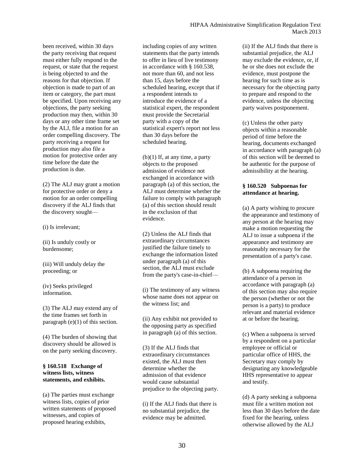been received, within 30 days the party receiving that request must either fully respond to the request, or state that the request is being objected to and the reasons for that objection. If objection is made to part of an item or category, the part must be specified. Upon receiving any objections, the party seeking production may then, within 30 days or any other time frame set by the ALJ, file a motion for an order compelling discovery. The party receiving a request for production may also file a motion for protective order any time before the date the production is due.

(2) The ALJ may grant a motion for protective order or deny a motion for an order compelling discovery if the ALJ finds that the discovery sought—

(i) Is irrelevant;

(ii) Is unduly costly or burdensome;

(iii) Will unduly delay the proceeding; or

(iv) Seeks privileged information.

(3) The ALJ may extend any of the time frames set forth in paragraph  $(e)(1)$  of this section.

(4) The burden of showing that discovery should be allowed is on the party seeking discovery.

#### <span id="page-29-0"></span>**§ 160.518 Exchange of witness lists, witness statements, and exhibits.**

(a) The parties must exchange witness lists, copies of prior written statements of proposed witnesses, and copies of proposed hearing exhibits,

including copies of any written statements that the party intends to offer in lieu of live testimony in accordance with § 160.538, not more than 60, and not less than 15, days before the scheduled hearing, except that if a respondent intends to introduce the evidence of a statistical expert, the respondent must provide the Secretarial party with a copy of the statistical expert's report not less than 30 days before the scheduled hearing.

 $(b)(1)$  If, at any time, a party objects to the proposed admission of evidence not exchanged in accordance with paragraph (a) of this section, the ALJ must determine whether the failure to comply with paragraph (a) of this section should result in the exclusion of that evidence.

(2) Unless the ALJ finds that extraordinary circumstances justified the failure timely to exchange the information listed under paragraph (a) of this section, the ALJ must exclude from the party's case-in-chief—

(i) The testimony of any witness whose name does not appear on the witness list; and

(ii) Any exhibit not provided to the opposing party as specified in paragraph (a) of this section.

(3) If the ALJ finds that extraordinary circumstances existed, the ALJ must then determine whether the admission of that evidence would cause substantial prejudice to the objecting party.

(i) If the ALJ finds that there is no substantial prejudice, the evidence may be admitted.

(ii) If the ALJ finds that there is substantial prejudice, the ALJ may exclude the evidence, or, if he or she does not exclude the evidence, must postpone the hearing for such time as is necessary for the objecting party to prepare and respond to the evidence, unless the objecting party waives postponement.

(c) Unless the other party objects within a reasonable period of time before the hearing, documents exchanged in accordance with paragraph (a) of this section will be deemed to be authentic for the purpose of admissibility at the hearing.

#### <span id="page-29-1"></span>**§ 160.520 Subpoenas for attendance at hearing.**

(a) A party wishing to procure the appearance and testimony of any person at the hearing may make a motion requesting the ALJ to issue a subpoena if the appearance and testimony are reasonably necessary for the presentation of a party's case.

(b) A subpoena requiring the attendance of a person in accordance with paragraph (a) of this section may also require the person (whether or not the person is a party) to produce relevant and material evidence at or before the hearing.

(c) When a subpoena is served by a respondent on a particular employee or official or particular office of HHS, the Secretary may comply by designating any knowledgeable HHS representative to appear and testify.

(d) A party seeking a subpoena must file a written motion not less than 30 days before the date fixed for the hearing, unless otherwise allowed by the ALJ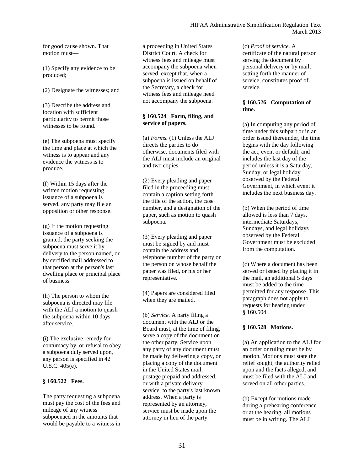for good cause shown. That motion must—

(1) Specify any evidence to be produced;

(2) Designate the witnesses; and

(3) Describe the address and location with sufficient particularity to permit those witnesses to be found.

(e) The subpoena must specify the time and place at which the witness is to appear and any evidence the witness is to produce.

(f) Within 15 days after the written motion requesting issuance of a subpoena is served, any party may file an opposition or other response.

(g) If the motion requesting issuance of a subpoena is granted, the party seeking the subpoena must serve it by delivery to the person named, or by certified mail addressed to that person at the person's last dwelling place or principal place of business.

(h) The person to whom the subpoena is directed may file with the ALJ a motion to quash the subpoena within 10 days after service.

(i) The exclusive remedy for contumacy by, or refusal to obey a subpoena duly served upon, any person is specified in 42 U.S.C. 405(e).

## <span id="page-30-0"></span>**§ 160.522 Fees.**

The party requesting a subpoena must pay the cost of the fees and mileage of any witness subpoenaed in the amounts that would be payable to a witness in

a proceeding in United States District Court. A check for witness fees and mileage must accompany the subpoena when served, except that, when a subpoena is issued on behalf of the Secretary, a check for witness fees and mileage need not accompany the subpoena.

## <span id="page-30-1"></span>**§ 160.524 Form, filing, and service of papers.**

(a) *Forms.* (1) Unless the ALJ directs the parties to do otherwise, documents filed with the ALJ must include an original and two copies.

(2) Every pleading and paper filed in the proceeding must contain a caption setting forth the title of the action, the case number, and a designation of the paper, such as motion to quash subpoena.

(3) Every pleading and paper must be signed by and must contain the address and telephone number of the party or the person on whose behalf the paper was filed, or his or her representative.

(4) Papers are considered filed when they are mailed.

(b) *Service.* A party filing a document with the ALJ or the Board must, at the time of filing, serve a copy of the document on the other party. Service upon any party of any document must be made by delivering a copy, or placing a copy of the document in the United States mail, postage prepaid and addressed, or with a private delivery service, to the party's last known address. When a party is represented by an attorney, service must be made upon the attorney in lieu of the party.

(c) *Proof of service.* A certificate of the natural person serving the document by personal delivery or by mail, setting forth the manner of service, constitutes proof of service.

## <span id="page-30-2"></span>**§ 160.526 Computation of time.**

(a) In computing any period of time under this subpart or in an order issued thereunder, the time begins with the day following the act, event or default, and includes the last day of the period unless it is a Saturday, Sunday, or legal holiday observed by the Federal Government, in which event it includes the next business day.

(b) When the period of time allowed is less than 7 days, intermediate Saturdays, Sundays, and legal holidays observed by the Federal Government must be excluded from the computation.

(c) Where a document has been served or issued by placing it in the mail, an additional 5 days must be added to the time permitted for any response. This paragraph does not apply to requests for hearing under § 160.504.

## <span id="page-30-3"></span>**§ 160.528 Motions.**

(a) An application to the ALJ for an order or ruling must be by motion. Motions must state the relief sought, the authority relied upon and the facts alleged, and must be filed with the ALJ and served on all other parties.

(b) Except for motions made during a prehearing conference or at the hearing, all motions must be in writing. The ALJ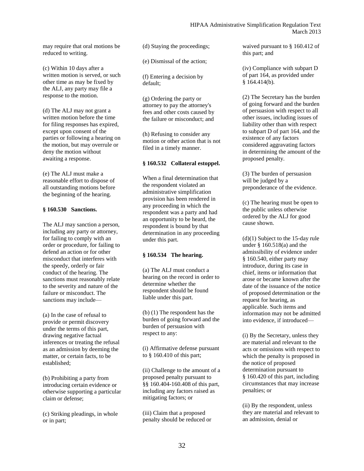may require that oral motions be reduced to writing.

(c) Within 10 days after a written motion is served, or such other time as may be fixed by the ALJ, any party may file a response to the motion.

(d) The ALJ may not grant a written motion before the time for filing responses has expired, except upon consent of the parties or following a hearing on the motion, but may overrule or deny the motion without awaiting a response.

(e) The ALJ must make a reasonable effort to dispose of all outstanding motions before the beginning of the hearing.

## <span id="page-31-0"></span>**§ 160.530 Sanctions.**

The ALJ may sanction a person, including any party or attorney, for failing to comply with an order or procedure, for failing to defend an action or for other misconduct that interferes with the speedy, orderly or fair conduct of the hearing. The sanctions must reasonably relate to the severity and nature of the failure or misconduct. The sanctions may include—

(a) In the case of refusal to provide or permit discovery under the terms of this part, drawing negative factual inferences or treating the refusal as an admission by deeming the matter, or certain facts, to be established;

(b) Prohibiting a party from introducing certain evidence or otherwise supporting a particular claim or defense;

(c) Striking pleadings, in whole or in part;

(d) Staying the proceedings;

(e) Dismissal of the action;

(f) Entering a decision by default;

(g) Ordering the party or attorney to pay the attorney's fees and other costs caused by the failure or misconduct; and

(h) Refusing to consider any motion or other action that is not filed in a timely manner.

### <span id="page-31-1"></span>**§ 160.532 Collateral estoppel.**

When a final determination that the respondent violated an administrative simplification provision has been rendered in any proceeding in which the respondent was a party and had an opportunity to be heard, the respondent is bound by that determination in any proceeding under this part.

## <span id="page-31-2"></span>**§ 160.534 The hearing.**

(a) The ALJ must conduct a hearing on the record in order to determine whether the respondent should be found liable under this part.

(b) (1) The respondent has the burden of going forward and the burden of persuasion with respect to any:

(i) Affirmative defense pursuant to § 160.410 of this part;

(ii) Challenge to the amount of a proposed penalty pursuant to §§ 160.404-160.408 of this part, including any factors raised as mitigating factors; or

(iii) Claim that a proposed penalty should be reduced or waived pursuant to § 160.412 of this part; and

(iv) Compliance with subpart D of part 164, as provided under § 164.414(b).

(2) The Secretary has the burden of going forward and the burden of persuasion with respect to all other issues, including issues of liability other than with respect to subpart D of part 164, and the existence of any factors considered aggravating factors in determining the amount of the proposed penalty.

(3) The burden of persuasion will be judged by a preponderance of the evidence.

(c) The hearing must be open to the public unless otherwise ordered by the ALJ for good cause shown.

(d)(1) Subject to the 15-day rule under § 160.518(a) and the admissibility of evidence under § 160.540, either party may introduce, during its case in chief, items or information that arose or became known after the date of the issuance of the notice of proposed determination or the request for hearing, as applicable. Such items and information may not be admitted into evidence, if introduced—

(i) By the Secretary, unless they are material and relevant to the acts or omissions with respect to which the penalty is proposed in the notice of proposed determination pursuant to § 160.420 of this part, including circumstances that may increase penalties; or

(ii) By the respondent, unless they are material and relevant to an admission, denial or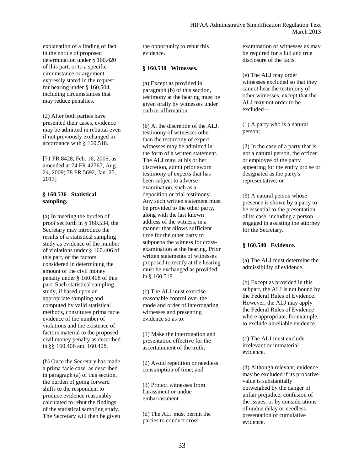explanation of a finding of fact in the notice of proposed determination under § 160.420 of this part, or to a specific circumstance or argument expressly stated in the request for hearing under § 160.504, including circumstances that may reduce penalties.

(2) After both parties have presented their cases, evidence may be admitted in rebuttal even if not previously exchanged in accordance with § 160.518.

[71 FR 8428, Feb. 16, 2006, as amended at 74 FR 42767, Aug. 24, 2009; 78 FR 5692, Jan. 25, 2013]

## <span id="page-32-0"></span>**§ 160.536 Statistical sampling.**

(a) In meeting the burden of proof set forth in § 160.534, the Secretary may introduce the results of a statistical sampling study as evidence of the number of violations under § 160.406 of this part, or the factors considered in determining the amount of the civil money penalty under § 160.408 of this part. Such statistical sampling study, if based upon an appropriate sampling and computed by valid statistical methods, constitutes prima facie evidence of the number of violations and the existence of factors material to the proposed civil money penalty as described in §§ 160.406 and 160.408.

(b) Once the Secretary has made a prima facie case, as described in paragraph (a) of this section, the burden of going forward shifts to the respondent to produce evidence reasonably calculated to rebut the findings of the statistical sampling study. The Secretary will then be given

the opportunity to rebut this evidence.

## <span id="page-32-1"></span>**§ 160.538 Witnesses.**

(a) Except as provided in paragraph (b) of this section, testimony at the hearing must be given orally by witnesses under oath or affirmation.

(b) At the discretion of the ALJ, testimony of witnesses other than the testimony of expert witnesses may be admitted in the form of a written statement. The ALJ may, at his or her discretion, admit prior sworn testimony of experts that has been subject to adverse examination, such as a deposition or trial testimony. Any such written statement must be provided to the other party, along with the last known address of the witness, in a manner that allows sufficient time for the other party to subpoena the witness for crossexamination at the hearing. Prior written statements of witnesses proposed to testify at the hearing must be exchanged as provided in § 160.518.

(c) The ALJ must exercise reasonable control over the mode and order of interrogating witnesses and presenting evidence so as to:

(1) Make the interrogation and presentation effective for the ascertainment of the truth;

(2) Avoid repetition or needless consumption of time; and

(3) Protect witnesses from harassment or undue embarrassment.

(d) The ALJ must permit the parties to conduct crossexamination of witnesses as may be required for a full and true disclosure of the facts.

(e) The ALJ may order witnesses excluded so that they cannot hear the testimony of other witnesses, except that the ALJ may not order to be excluded—

(1) A party who is a natural person;

(2) In the case of a party that is not a natural person, the officer or employee of the party appearing for the entity pro se or designated as the party's representative; or

(3) A natural person whose presence is shown by a party to be essential to the presentation of its case, including a person engaged in assisting the attorney for the Secretary.

## <span id="page-32-2"></span>**§ 160.540 Evidence.**

(a) The ALJ must determine the admissibility of evidence.

(b) Except as provided in this subpart, the ALJ is not bound by the Federal Rules of Evidence. However, the ALJ may apply the Federal Rules of Evidence where appropriate, for example, to exclude unreliable evidence.

(c) The ALJ must exclude irrelevant or immaterial evidence.

(d) Although relevant, evidence may be excluded if its probative value is substantially outweighed by the danger of unfair prejudice, confusion of the issues, or by considerations of undue delay or needless presentation of cumulative evidence.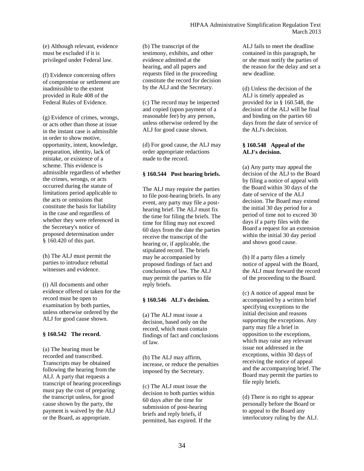(e) Although relevant, evidence must be excluded if it is privileged under Federal law.

(f) Evidence concerning offers of compromise or settlement are inadmissible to the extent provided in Rule 408 of the Federal Rules of Evidence.

(g) Evidence of crimes, wrongs, or acts other than those at issue in the instant case is admissible in order to show motive, opportunity, intent, knowledge, preparation, identity, lack of mistake, or existence of a scheme. This evidence is admissible regardless of whether the crimes, wrongs, or acts occurred during the statute of limitations period applicable to the acts or omissions that constitute the basis for liability in the case and regardless of whether they were referenced in the Secretary's notice of proposed determination under § 160.420 of this part.

(h) The ALJ must permit the parties to introduce rebuttal witnesses and evidence.

(i) All documents and other evidence offered or taken for the record must be open to examination by both parties, unless otherwise ordered by the ALJ for good cause shown.

## <span id="page-33-0"></span>**§ 160.542 The record.**

(a) The hearing must be recorded and transcribed. Transcripts may be obtained following the hearing from the ALJ. A party that requests a transcript of hearing proceedings must pay the cost of preparing the transcript unless, for good cause shown by the party, the payment is waived by the ALJ or the Board, as appropriate.

(b) The transcript of the testimony, exhibits, and other evidence admitted at the hearing, and all papers and requests filed in the proceeding constitute the record for decision by the ALJ and the Secretary.

(c) The record may be inspected and copied (upon payment of a reasonable fee) by any person, unless otherwise ordered by the ALJ for good cause shown.

(d) For good cause, the ALJ may order appropriate redactions made to the record.

## <span id="page-33-1"></span>**§ 160.544 Post hearing briefs.**

The ALJ may require the parties to file post-hearing briefs. In any event, any party may file a posthearing brief. The ALJ must fix the time for filing the briefs. The time for filing may not exceed 60 days from the date the parties receive the transcript of the hearing or, if applicable, the stipulated record. The briefs may be accompanied by proposed findings of fact and conclusions of law. The ALJ may permit the parties to file reply briefs.

## <span id="page-33-2"></span>**§ 160.546 ALJ's decision.**

(a) The ALJ must issue a decision, based only on the record, which must contain findings of fact and conclusions of law.

(b) The ALJ may affirm, increase, or reduce the penalties imposed by the Secretary.

(c) The ALJ must issue the decision to both parties within 60 days after the time for submission of post-hearing briefs and reply briefs, if permitted, has expired. If the

ALJ fails to meet the deadline contained in this paragraph, he or she must notify the parties of the reason for the delay and set a new deadline.

(d) Unless the decision of the ALJ is timely appealed as provided for in § 160.548, the decision of the ALJ will be final and binding on the parties 60 days from the date of service of the ALJ's decision.

## <span id="page-33-3"></span>**§ 160.548 Appeal of the ALJ's decision.**

(a) Any party may appeal the decision of the ALJ to the Board by filing a notice of appeal with the Board within 30 days of the date of service of the ALJ decision. The Board may extend the initial 30 day period for a period of time not to exceed 30 days if a party files with the Board a request for an extension within the initial 30 day period and shows good cause.

(b) If a party files a timely notice of appeal with the Board, the ALJ must forward the record of the proceeding to the Board.

(c) A notice of appeal must be accompanied by a written brief specifying exceptions to the initial decision and reasons supporting the exceptions. Any party may file a brief in opposition to the exceptions, which may raise any relevant issue not addressed in the exceptions, within 30 days of receiving the notice of appeal and the accompanying brief. The Board may permit the parties to file reply briefs.

(d) There is no right to appear personally before the Board or to appeal to the Board any interlocutory ruling by the ALJ.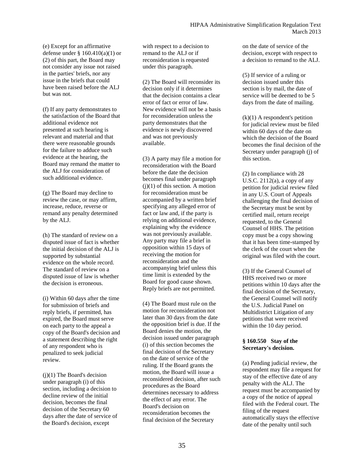(e) Except for an affirmative defense under § 160.410(a)(1) or (2) of this part, the Board may not consider any issue not raised in the parties' briefs, nor any issue in the briefs that could have been raised before the ALJ but was not.

(f) If any party demonstrates to the satisfaction of the Board that additional evidence not presented at such hearing is relevant and material and that there were reasonable grounds for the failure to adduce such evidence at the hearing, the Board may remand the matter to the ALJ for consideration of such additional evidence.

(g) The Board may decline to review the case, or may affirm, increase, reduce, reverse or remand any penalty determined by the ALJ.

(h) The standard of review on a disputed issue of fact is whether the initial decision of the ALJ is supported by substantial evidence on the whole record. The standard of review on a disputed issue of law is whether the decision is erroneous.

(i) Within 60 days after the time for submission of briefs and reply briefs, if permitted, has expired, the Board must serve on each party to the appeal a copy of the Board's decision and a statement describing the right of any respondent who is penalized to seek judicial review.

(j)(1) The Board's decision under paragraph (i) of this section, including a decision to decline review of the initial decision, becomes the final decision of the Secretary 60 days after the date of service of the Board's decision, except

with respect to a decision to remand to the ALJ or if reconsideration is requested under this paragraph.

(2) The Board will reconsider its decision only if it determines that the decision contains a clear error of fact or error of law. New evidence will not be a basis for reconsideration unless the party demonstrates that the evidence is newly discovered and was not previously available.

(3) A party may file a motion for reconsideration with the Board before the date the decision becomes final under paragraph  $(i)(1)$  of this section. A motion for reconsideration must be accompanied by a written brief specifying any alleged error of fact or law and, if the party is relying on additional evidence, explaining why the evidence was not previously available. Any party may file a brief in opposition within 15 days of receiving the motion for reconsideration and the accompanying brief unless this time limit is extended by the Board for good cause shown. Reply briefs are not permitted.

(4) The Board must rule on the motion for reconsideration not later than 30 days from the date the opposition brief is due. If the Board denies the motion, the decision issued under paragraph (i) of this section becomes the final decision of the Secretary on the date of service of the ruling. If the Board grants the motion, the Board will issue a reconsidered decision, after such procedures as the Board determines necessary to address the effect of any error. The Board's decision on reconsideration becomes the final decision of the Secretary

on the date of service of the decision, except with respect to a decision to remand to the ALJ.

(5) If service of a ruling or decision issued under this section is by mail, the date of service will be deemed to be 5 days from the date of mailing.

(k)(1) A respondent's petition for judicial review must be filed within 60 days of the date on which the decision of the Board becomes the final decision of the Secretary under paragraph (j) of this section.

(2) In compliance with 28 U.S.C.  $2112(a)$ , a copy of any petition for judicial review filed in any U.S. Court of Appeals challenging the final decision of the Secretary must be sent by certified mail, return receipt requested, to the General Counsel of HHS. The petition copy must be a copy showing that it has been time-stamped by the clerk of the court when the original was filed with the court.

(3) If the General Counsel of HHS received two or more petitions within 10 days after the final decision of the Secretary, the General Counsel will notify the U.S. Judicial Panel on Multidistrict Litigation of any petitions that were received within the 10 day period.

#### <span id="page-34-0"></span>**§ 160.550 Stay of the Secretary's decision.**

(a) Pending judicial review, the respondent may file a request for stay of the effective date of any penalty with the ALJ. The request must be accompanied by a copy of the notice of appeal filed with the Federal court. The filing of the request automatically stays the effective date of the penalty until such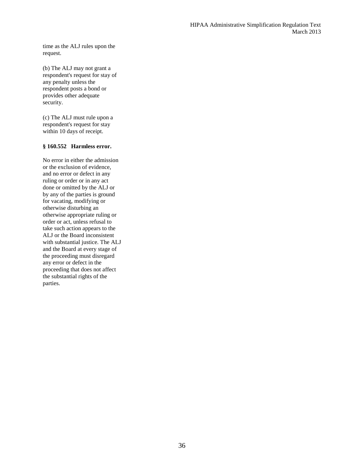time as the ALJ rules upon the request.

(b) The ALJ may not grant a respondent's request for stay of any penalty unless the respondent posts a bond or provides other adequate security.

(c) The ALJ must rule upon a respondent's request for stay within 10 days of receipt.

## <span id="page-35-0"></span>**§ 160.552 Harmless error.**

No error in either the admission or the exclusion of evidence, and no error or defect in any ruling or order or in any act done or omitted by the ALJ or by any of the parties is ground for vacating, modifying or otherwise disturbing an otherwise appropriate ruling or order or act, unless refusal to take such action appears to the ALJ or the Board inconsistent with substantial justice. The ALJ and the Board at every stage of the proceeding must disregard any error or defect in the proceeding that does not affect the substantial rights of the parties.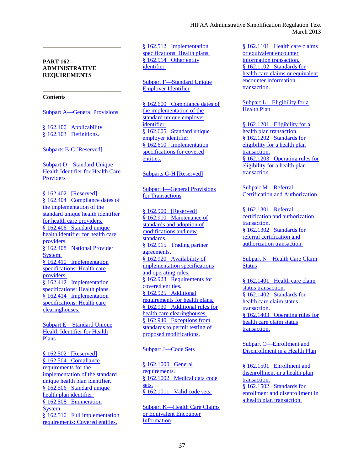**PART 162— ADMINISTRATIVE REQUIREMENTS** 

#### **Contents**

[Subpart A—General Provisions](#page-37-0)

[§ 162.100 Applicability.](#page-37-1) [§ 162.103 Definitions.](#page-37-2)

[Subparts B-C \[Reserved\]](#page-38-0)

[Subpart D—Standard Unique](#page-38-1)  [Health Identifier for Health Care](#page-38-1)  [Providers](#page-38-1)

[§ 162.402 \[Reserved\]](#page-38-2) [§ 162.404 Compliance dates of](#page-38-3)  [the implementation of the](#page-38-3)  [standard unique health identifier](#page-38-3)  [for health care providers.](#page-38-3) [§ 162.406 Standard unique](#page-38-4)  [health identifier for health care](#page-38-4)  [providers.](#page-38-4) [§ 162.408 National Provider](#page-38-5)  [System.](#page-38-5) [§ 162.410 Implementation](#page-39-0)  [specifications: Health care](#page-39-0)  [providers.](#page-39-0) [§ 162.412 Implementation](#page-39-1)  [specifications: Health plans.](#page-39-1) [§ 162.414 Implementation](#page-39-2)  [specifications: Health care](#page-39-2)  [clearinghouses.](#page-39-2)

[Subpart E—Standard Unique](#page-39-3)  [Health Identifier for Health](#page-39-3)  **[Plans](#page-39-3)** 

[§ 162.502 \[Reserved\]](#page-39-4) [§ 162.504 Compliance](#page-39-5)  [requirements for the](#page-39-5)  [implementation of the standard](#page-39-5)  [unique health plan identifier.](#page-39-5) [§ 162.506 Standard unique](#page-40-0)  [health plan identifier.](#page-40-0) [§ 162.508 Enumeration](#page-40-1)  [System.](#page-40-1) § 162.510 Full implementation [requirements: Covered entities.](#page-40-2)

[§ 162.512 Implementation](#page-40-3)  [specifications: Health plans.](#page-40-3) [§ 162.514 Other entity](#page-41-0)  [identifier.](#page-41-0)

[Subpart F—Standard Unique](#page-41-1)  [Employer Identifier](#page-41-1)

[§ 162.600 Compliance dates of](#page-41-2)  [the implementation of the](#page-41-2)  [standard unique employer](#page-41-2)  [identifier.](#page-41-2) [§ 162.605 Standard unique](#page-41-3)  [employer identifier.](#page-41-3) [§ 162.610 Implementation](#page-41-4)  specifications for covered [entities.](#page-41-4)

#### [Subparts G-H \[Reserved\]](#page-41-5)

[Subpart I—General Provisions](#page-41-6)  [for Transactions](#page-41-6)

[§ 162.900 \[Reserved\]](#page-41-7) [§ 162.910 Maintenance of](#page-41-8)  [standards and adoption of](#page-41-8)  [modifications and new](#page-41-8)  [standards.](#page-41-8) [§ 162.915 Trading partner](#page-42-0)  [agreements.](#page-42-0) [§ 162.920 Availability of](#page-42-1)  [implementation specifications](#page-42-1)  [and operating rules.](#page-42-1) [§ 162.923 Requirements for](#page-45-0)  [covered entities.](#page-45-0) § 162.925 Additional [requirements for health plans.](#page-46-0) [§ 162.930 Additional rules for](#page-46-1)  [health care clearinghouses.](#page-46-1) § 162.940 Exceptions from [standards to permit testing of](#page-47-0)  [proposed modifications.](#page-47-0)

[Subpart J—Code Sets](#page-48-0)

[§ 162.1000 General](#page-48-1)  [requirements.](#page-48-1) [§ 162.1002 Medical data code](#page-48-2)  [sets.](#page-48-2) [§ 162.1011 Valid code sets.](#page-49-0)

[Subpart K—Health Care Claims](#page-49-1)  [or Equivalent Encounter](#page-49-1)  **[Information](#page-49-1)** 

[§ 162.1101 Health care claims](#page-49-2)  [or equivalent encounter](#page-49-2)  [information transaction.](#page-49-2) [§ 162.1102 Standards for](#page-49-3)  [health care claims or equivalent](#page-49-3)  [encounter information](#page-49-3)  [transaction.](#page-49-3)

[Subpart L—Eligibility for a](#page-51-0)  [Health Plan](#page-51-0)

[§ 162.1201 Eligibility for a](#page-51-1)  [health plan transaction.](#page-51-1) [§ 162.1202 Standards for](#page-51-2)  [eligibility for a health plan](#page-51-2)  [transaction.](#page-51-2) [§ 162.1203 Operating rules for](#page-51-3)  [eligibility for a health plan](#page-51-3)  [transaction.](#page-51-3)

[Subpart M—Referral](#page-52-0)  [Certification and Authorization](#page-52-0)

[§ 162.1301 Referral](#page-52-1)  [certification and authorization](#page-52-1)  [transaction.](#page-52-1) [§ 162.1302 Standards for](#page-52-2)  [referral certification and](#page-52-2)  [authorization transaction.](#page-52-2)

[Subpart N—Health Care Claim](#page-53-0)  **[Status](#page-53-0)** 

[§ 162.1401 Health care claim](#page-53-1)  [status transaction.](#page-53-1) § 162.1402 Standards for [health care claim status](#page-53-2)  [transaction.](#page-53-2) § 162.1403 Operating rules for [health care claim status](#page-53-3)  [transaction.](#page-53-3)

[Subpart O—Enrollment and](#page-53-4)  [Disenrollment in a Health Plan](#page-53-4)

[§ 162.1501 Enrollment and](#page-53-5)  [disenrollment in a health plan](#page-53-5)  [transaction.](#page-53-5) § 162.150<sup>2</sup> Standards for [enrollment and disenrollment in](#page-53-6)  [a health plan transaction.](#page-53-6)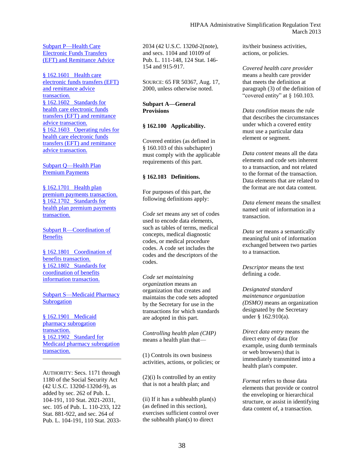[Subpart P—Health Care](#page-54-0)  [Electronic Funds Transfers](#page-54-0)  [\(EFT\) and Remittance Advice](#page-54-0)

[§ 162.1601 Health care](#page-54-1)  [electronic funds transfers \(EFT\)](#page-54-1)  [and remittance advice](#page-54-1)  [transaction.](#page-54-1) [§ 162.1602 Standards for](#page-54-2)  [health care electronic funds](#page-54-2)  [transfers \(EFT\) and remittance](#page-54-2)  [advice transaction.](#page-54-2) § 162.1603 Operating rules for [health care electronic funds](#page-55-0)  [transfers \(EFT\) and remittance](#page-55-0)  [advice transaction.](#page-55-0)

[Subpart Q—Health Plan](#page-55-1)  [Premium Payments](#page-55-1)

[§ 162.1701 Health plan](#page-55-2)  [premium payments transaction.](#page-55-2) [§ 162.1702 Standards for](#page-55-3)  [health plan premium payments](#page-55-3)  [transaction.](#page-55-3)

[Subpart R—Coordination of](#page-56-0)  [Benefits](#page-56-0)

[§ 162.1801 Coordination of](#page-56-1)  [benefits transaction.](#page-56-1) [§ 162.1802 Standards for](#page-56-2)  [coordination of benefits](#page-56-2)  [information transaction.](#page-56-2)

[Subpart S—Medicaid Pharmacy](#page-57-0)  **[Subrogation](#page-57-0)** 

[§ 162.1901 Medicaid](#page-57-1)  [pharmacy subrogation](#page-57-1)  [transaction.](#page-57-1) [§ 162.1902 Standard for](#page-57-2)  [Medicaid pharmacy subrogation](#page-57-2)  [transaction.](#page-57-2)

AUTHORITY: Secs. 1171 through 1180 of the Social Security Act (42 U.S.C. 1320d-1320d-9), as added by sec. 262 of Pub. L. 104-191, 110 Stat. 2021-2031, sec. 105 of Pub. L. 110-233, 122 Stat. 881-922, and sec. 264 of Pub. L. 104-191, 110 Stat. 20332034 (42 U.S.C. 1320d-2(note), and secs. 1104 and 10109 of Pub. L. 111-148, 124 Stat. 146- 154 and 915-917.

SOURCE: 65 FR 50367, Aug. 17, 2000, unless otherwise noted.

### <span id="page-37-0"></span>**Subpart A—General Provisions**

# <span id="page-37-1"></span>**§ 162.100 Applicability.**

Covered entities (as defined in § 160.103 of this subchapter) must comply with the applicable requirements of this part.

# <span id="page-37-2"></span>**§ 162.103 Definitions.**

For purposes of this part, the following definitions apply:

*Code set* means any set of codes used to encode data elements, such as tables of terms, medical concepts, medical diagnostic codes, or medical procedure codes. A code set includes the codes and the descriptors of the codes.

*Code set maintaining organization* means an organization that creates and maintains the code sets adopted by the Secretary for use in the transactions for which standards are adopted in this part.

*Controlling health plan (CHP)* means a health plan that—

(1) Controls its own business activities, actions, or policies; or

(2)(i) Is controlled by an entity that is not a health plan; and

(ii) If it has a subhealth plan(s) (as defined in this section), exercises sufficient control over the subhealth plan(s) to direct

its/their business activities, actions, or policies.

*Covered health care provider* means a health care provider that meets the definition at paragraph (3) of the definition of "covered entity" at § 160.103.

*Data condition* means the rule that describes the circumstances under which a covered entity must use a particular data element or segment.

*Data content* means all the data elements and code sets inherent to a transaction, and not related to the format of the transaction. Data elements that are related to the format are not data content.

*Data element* means the smallest named unit of information in a transaction.

*Data set* means a semantically meaningful unit of information exchanged between two parties to a transaction.

*Descriptor* means the text defining a code.

*Designated standard maintenance organization (DSMO)* means an organization designated by the Secretary under § 162.910(a).

*Direct data entry* means the direct entry of data (for example, using dumb terminals or web browsers) that is immediately transmitted into a health plan's computer.

*Format* refers to those data elements that provide or control the enveloping or hierarchical structure, or assist in identifying data content of, a transaction.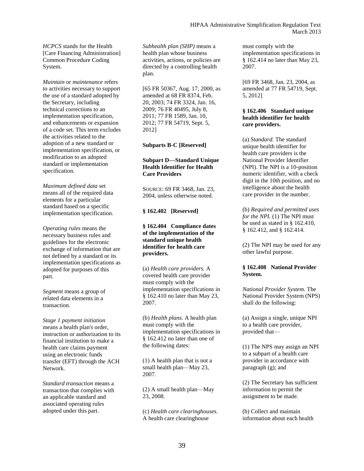*HCPCS* stands for the Health [Care Financing Administration] Common Procedure Coding System.

*Maintain* or *maintenance* refers to activities necessary to support the use of a standard adopted by the Secretary, including technical corrections to an implementation specification, and enhancements or expansion of a code set. This term excludes the activities related to the adoption of a new standard or implementation specification, or modification to an adopted standard or implementation specification.

*Maximum defined data* set means all of the required data elements for a particular standard based on a specific implementation specification.

*Operating rules* means the necessary business rules and guidelines for the electronic exchange of information that are not defined by a standard or its implementation specifications as adopted for purposes of this part.

*Segment* means a group of related data elements in a transaction.

*Stage 1 payment initiation* means a health plan's order, instruction or authorization to its financial institution to make a health care claims payment using an electronic funds transfer (EFT) through the ACH Network.

*Standard transaction* means a transaction that complies with an applicable standard and associated operating rules adopted under this part.

*Subhealth plan (SHP)* means a health plan whose business activities, actions, or policies are directed by a controlling health plan.

[65 FR 50367, Aug. 17, 2000, as amended at 68 FR 8374, Feb. 20, 2003; 74 FR 3324, Jan. 16, 2009; 76 FR 40495, July 8, 2011; 77 FR 1589, Jan. 10, 2012; 77 FR 54719, Sept. 5, 2012]

#### <span id="page-38-0"></span>**Subparts B-C [Reserved]**

#### <span id="page-38-1"></span>**Subpart D—Standard Unique Health Identifier for Health Care Providers**

SOURCE: 69 FR 3468, Jan. 23, 2004, unless otherwise noted.

<span id="page-38-2"></span>**§ 162.402 [Reserved]** 

### <span id="page-38-3"></span>**§ 162.404 Compliance dates of the implementation of the standard unique health identifier for health care providers.**

(a) *Health care providers.* A covered health care provider must comply with the implementation specifications in § 162.410 no later than May 23, 2007.

(b) *Health plans.* A health plan must comply with the implementation specifications in § 162.412 no later than one of the following dates:

(1) A health plan that is not a small health plan—May 23, 2007.

(2) A small health plan—May 23, 2008.

(c) *Health care clearinghouses.* A health care clearinghouse

must comply with the implementation specifications in § 162.414 no later than May 23, 2007.

[69 FR 3468, Jan. 23, 2004, as amended at 77 FR 54719, Sept. 5, 2012]

#### <span id="page-38-4"></span>**§ 162.406 Standard unique health identifier for health care providers.**

(a) *Standard.* The standard unique health identifier for health care providers is the National Provider Identifier (NPI). The NPI is a 10-position numeric identifier, with a check digit in the 10th position, and no intelligence about the health care provider in the number.

(b) *Required and permitted uses for the NPI.* (1) The NPI must be used as stated in § 162.410, § 162.412, and § 162.414.

(2) The NPI may be used for any other lawful purpose.

## <span id="page-38-5"></span>**§ 162.408 National Provider System.**

*National Provider System.* The National Provider System (NPS) shall do the following:

(a) Assign a single, unique NPI to a health care provider, provided that—

(1) The NPS may assign an NPI to a subpart of a health care provider in accordance with paragraph (g); and

(2) The Secretary has sufficient information to permit the assignment to be made.

(b) Collect and maintain information about each health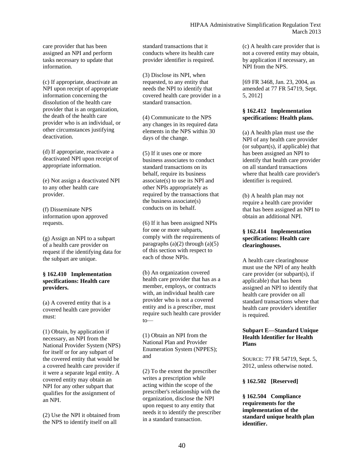care provider that has been assigned an NPI and perform tasks necessary to update that information.

(c) If appropriate, deactivate an NPI upon receipt of appropriate information concerning the dissolution of the health care provider that is an organization, the death of the health care provider who is an individual, or other circumstances justifying deactivation.

(d) If appropriate, reactivate a deactivated NPI upon receipt of appropriate information.

(e) Not assign a deactivated NPI to any other health care provider.

(f) Disseminate NPS information upon approved requests.

(g) Assign an NPI to a subpart of a health care provider on request if the identifying data for the subpart are unique.

### <span id="page-39-0"></span>**§ 162.410 Implementation specifications: Health care providers.**

(a) A covered entity that is a covered health care provider must:

(1) Obtain, by application if necessary, an NPI from the National Provider System (NPS) for itself or for any subpart of the covered entity that would be a covered health care provider if it were a separate legal entity. A covered entity may obtain an NPI for any other subpart that qualifies for the assignment of an NPI.

(2) Use the NPI it obtained from the NPS to identify itself on all

standard transactions that it conducts where its health care provider identifier is required.

(3) Disclose its NPI, when requested, to any entity that needs the NPI to identify that covered health care provider in a standard transaction.

(4) Communicate to the NPS any changes in its required data elements in the NPS within 30 days of the change.

(5) If it uses one or more business associates to conduct standard transactions on its behalf, require its business associate(s) to use its NPI and other NPIs appropriately as required by the transactions that the business associate(s) conducts on its behalf.

(6) If it has been assigned NPIs for one or more subparts, comply with the requirements of paragraphs  $(a)(2)$  through  $(a)(5)$ of this section with respect to each of those NPIs.

(b) An organization covered health care provider that has as a member, employs, or contracts with, an individual health care provider who is not a covered entity and is a prescriber, must require such health care provider to—

(1) Obtain an NPI from the National Plan and Provider Enumeration System (NPPES); and

(2) To the extent the prescriber writes a prescription while acting within the scope of the prescriber's relationship with the organization, disclose the NPI upon request to any entity that needs it to identify the prescriber in a standard transaction.

(c) A health care provider that is not a covered entity may obtain, by application if necessary, an NPI from the NPS.

[69 FR 3468, Jan. 23, 2004, as amended at 77 FR 54719, Sept. 5, 2012]

### <span id="page-39-1"></span>**§ 162.412 Implementation specifications: Health plans.**

(a) A health plan must use the NPI of any health care provider (or subpart(s), if applicable) that has been assigned an NPI to identify that health care provider on all standard transactions where that health care provider's identifier is required.

(b) A health plan may not require a health care provider that has been assigned an NPI to obtain an additional NPI.

### <span id="page-39-2"></span>**§ 162.414 Implementation specifications: Health care clearinghouses.**

A health care clearinghouse must use the NPI of any health care provider (or subpart(s), if applicable) that has been assigned an NPI to identify that health care provider on all standard transactions where that health care provider's identifier is required.

### <span id="page-39-3"></span>**Subpart E—Standard Unique Health Identifier for Health Plans**

SOURCE: 77 FR 54719, Sept. 5, 2012, unless otherwise noted.

<span id="page-39-4"></span>**§ 162.502 [Reserved]** 

<span id="page-39-5"></span>**§ 162.504 Compliance requirements for the implementation of the standard unique health plan identifier.**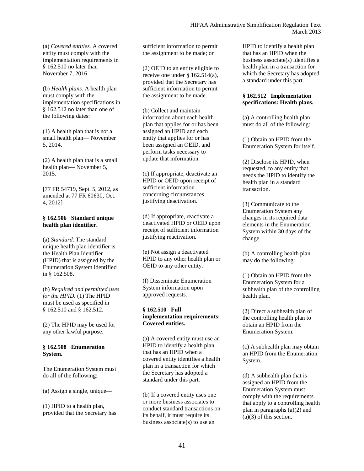(a) *Covered entities.* A covered entity must comply with the implementation requirements in § 162.510 no later than November 7, 2016.

(b) *Health plans.* A health plan must comply with the implementation specifications in § 162.512 no later than one of the following dates:

(1) A health plan that is not a small health plan— November 5, 2014.

(2) A health plan that is a small health plan— November 5, 2015.

[77 FR 54719, Sept. 5, 2012, as amended at 77 FR 60630, Oct. 4, 2012]

#### <span id="page-40-0"></span>**§ 162.506 Standard unique health plan identifier.**

(a) *Standard.* The standard unique health plan identifier is the Health Plan Identifier (HPID) that is assigned by the Enumeration System identified in § 162.508.

(b) *Required and permitted uses for the HPID.* (1) The HPID must be used as specified in § 162.510 and § 162.512.

(2) The HPID may be used for any other lawful purpose.

# <span id="page-40-1"></span>**§ 162.508 Enumeration System.**

The Enumeration System must do all of the following:

(a) Assign a single, unique—

(1) HPID to a health plan, provided that the Secretary has

sufficient information to permit the assignment to be made; or

(2) OEID to an entity eligible to receive one under § 162.514(a), provided that the Secretary has sufficient information to permit the assignment to be made.

(b) Collect and maintain information about each health plan that applies for or has been assigned an HPID and each entity that applies for or has been assigned an OEID, and perform tasks necessary to update that information.

(c) If appropriate, deactivate an HPID or OEID upon receipt of sufficient information concerning circumstances justifying deactivation.

(d) If appropriate, reactivate a deactivated HPID or OEID upon receipt of sufficient information justifying reactivation.

(e) Not assign a deactivated HPID to any other health plan or OEID to any other entity.

(f) Disseminate Enumeration System information upon approved requests.

# <span id="page-40-2"></span>**§ 162.510 Full implementation requirements: Covered entities.**

(a) A covered entity must use an HPID to identify a health plan that has an HPID when a covered entity identifies a health plan in a transaction for which the Secretary has adopted a standard under this part.

(b) If a covered entity uses one or more business associates to conduct standard transactions on its behalf, it must require its business associate(s) to use an

HPID to identify a health plan that has an HPID when the business associate(s) identifies a health plan in a transaction for which the Secretary has adopted a standard under this part.

# <span id="page-40-3"></span>**§ 162.512 Implementation specifications: Health plans.**

(a) A controlling health plan must do all of the following:

(1) Obtain an HPID from the Enumeration System for itself.

(2) Disclose its HPID, when requested, to any entity that needs the HPID to identify the health plan in a standard transaction.

(3) Communicate to the Enumeration System any changes in its required data elements in the Enumeration System within 30 days of the change.

(b) A controlling health plan may do the following:

(1) Obtain an HPID from the Enumeration System for a subhealth plan of the controlling health plan.

(2) Direct a subhealth plan of the controlling health plan to obtain an HPID from the Enumeration System.

(c) A subhealth plan may obtain an HPID from the Enumeration System.

(d) A subhealth plan that is assigned an HPID from the Enumeration System must comply with the requirements that apply to a controlling health plan in paragraphs (a)(2) and (a)(3) of this section.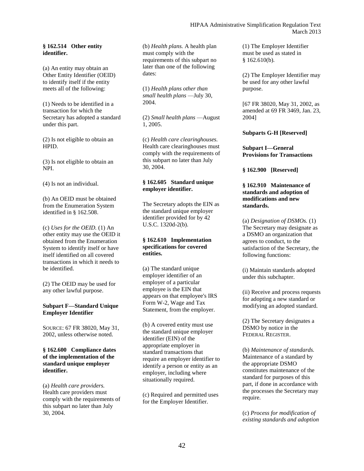### <span id="page-41-0"></span>**§ 162.514 Other entity identifier.**

(a) An entity may obtain an Other Entity Identifier (OEID) to identify itself if the entity meets all of the following:

(1) Needs to be identified in a transaction for which the Secretary has adopted a standard under this part.

(2) Is not eligible to obtain an HPID.

(3) Is not eligible to obtain an NPI.

(4) Is not an individual.

(b) An OEID must be obtained from the Enumeration System identified in § 162.508.

(c) *Uses for the OEID.* (1) An other entity may use the OEID it obtained from the Enumeration System to identify itself or have itself identified on all covered transactions in which it needs to be identified.

(2) The OEID may be used for any other lawful purpose.

# <span id="page-41-1"></span>**Subpart F—Standard Unique Employer Identifier**

SOURCE: 67 FR 38020, May 31, 2002, unless otherwise noted.

### <span id="page-41-2"></span>**§ 162.600 Compliance dates of the implementation of the standard unique employer identifier.**

(a) *Health care providers.* Health care providers must comply with the requirements of this subpart no later than July 30, 2004.

(b) *Health plans.* A health plan must comply with the requirements of this subpart no later than one of the following dates:

(1) *Health plans other than small health plans* —July 30, 2004.

(2) *Small health plans* —August 1, 2005.

(c) *Health care clearinghouses.* Health care clearinghouses must comply with the requirements of this subpart no later than July 30, 2004.

### <span id="page-41-3"></span>**§ 162.605 Standard unique employer identifier.**

The Secretary adopts the EIN as the standard unique employer identifier provided for by 42 U.S.C. 1320d-2(b).

### <span id="page-41-4"></span>**§ 162.610 Implementation specifications for covered entities.**

(a) The standard unique employer identifier of an employer of a particular employee is the EIN that appears on that employee's IRS Form W-2, Wage and Tax Statement, from the employer.

(b) A covered entity must use the standard unique employer identifier (EIN) of the appropriate employer in standard transactions that require an employer identifier to identify a person or entity as an employer, including where situationally required.

(c) Required and permitted uses for the Employer Identifier.

(1) The Employer Identifier must be used as stated in § 162.610(b).

(2) The Employer Identifier may be used for any other lawful purpose.

[67 FR 38020, May 31, 2002, as amended at 69 FR 3469, Jan. 23, 2004]

# <span id="page-41-5"></span>**Subparts G-H [Reserved]**

<span id="page-41-6"></span>**Subpart I—General Provisions for Transactions** 

<span id="page-41-7"></span>**§ 162.900 [Reserved]** 

#### <span id="page-41-8"></span>**§ 162.910 Maintenance of standards and adoption of modifications and new standards.**

(a) *Designation of DSMOs.* (1) The Secretary may designate as a DSMO an organization that agrees to conduct, to the satisfaction of the Secretary, the following functions:

(i) Maintain standards adopted under this subchapter.

(ii) Receive and process requests for adopting a new standard or modifying an adopted standard.

(2) The Secretary designates a DSMO by notice in the FEDERAL REGISTER.

(b) *Maintenance of standards.* Maintenance of a standard by the appropriate DSMO constitutes maintenance of the standard for purposes of this part, if done in accordance with the processes the Secretary may require.

(c) *Process for modification of existing standards and adoption*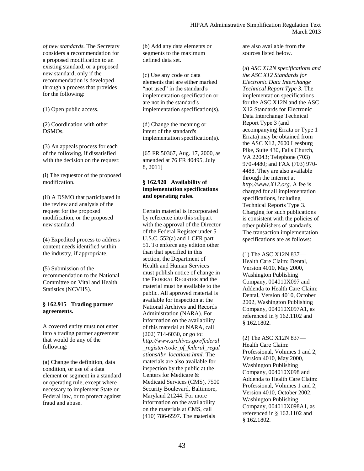*of new standards.* The Secretary considers a recommendation for a proposed modification to an existing standard, or a proposed new standard, only if the recommendation is developed through a process that provides for the following:

(1) Open public access.

(2) Coordination with other DSMOs.

(3) An appeals process for each of the following, if dissatisfied with the decision on the request:

(i) The requestor of the proposed modification.

(ii) A DSMO that participated in the review and analysis of the request for the proposed modification, or the proposed new standard.

(4) Expedited process to address content needs identified within the industry, if appropriate.

(5) Submission of the recommendation to the National Committee on Vital and Health Statistics (NCVHS).

#### <span id="page-42-0"></span>**§ 162.915 Trading partner agreements.**

A covered entity must not enter into a trading partner agreement that would do any of the following:

(a) Change the definition, data condition, or use of a data element or segment in a standard or operating rule, except where necessary to implement State or Federal law, or to protect against fraud and abuse.

(b) Add any data elements or segments to the maximum defined data set.

(c) Use any code or data elements that are either marked "not used" in the standard's implementation specification or are not in the standard's implementation specification(s).

(d) Change the meaning or intent of the standard's implementation specification(s).

[65 FR 50367, Aug. 17, 2000, as amended at 76 FR 40495, July 8, 2011]

# <span id="page-42-1"></span>**§ 162.920 Availability of implementation specifications and operating rules.**

Certain material is incorporated by reference into this subpart with the approval of the Director of the Federal Register under 5 U.S.C. 552(a) and 1 CFR part 51. To enforce any edition other than that specified in this section, the Department of Health and Human Services must publish notice of change in the FEDERAL REGISTER and the material must be available to the public. All approved material is available for inspection at the National Archives and Records Administration (NARA). For information on the availability of this material at NARA, call (202) 714-6030, or go to: *http://www.archives.gov/federal \_register/code\_of\_federal\_regul ations/ibr\_locations.html.* The materials are also available for inspection by the public at the Centers for Medicare & Medicaid Services (CMS), 7500 Security Boulevard, Baltimore, Maryland 21244. For more information on the availability on the materials at CMS, call (410) 786-6597. The materials

are also available from the sources listed below.

(a) *ASC X12N specifications and the ASC X12 Standards for Electronic Data Interchange Technical Report Type 3.* The implementation specifications for the ASC X12N and the ASC X12 Standards for Electronic Data Interchange Technical Report Type 3 (and accompanying Errata or Type 1 Errata) may be obtained from the ASC X12, 7600 Leesburg Pike, Suite 430, Falls Church, VA 22043; Telephone (703) 970-4480; and FAX (703) 970- 4488. They are also available through the internet at *http://www.X12.org*. A fee is charged for all implementation specifications, including Technical Reports Type 3. Charging for such publications is consistent with the policies of other publishers of standards. The transaction implementation specifications are as follows:

(1) The ASC X12N 837— Health Care Claim: Dental, Version 4010, May 2000, Washington Publishing Company, 004010X097 and Addenda to Health Care Claim: Dental, Version 4010, October 2002, Washington Publishing Company, 004010X097A1, as referenced in § 162.1102 and § 162.1802.

(2) The ASC X12N 837— Health Care Claim: Professional, Volumes 1 and 2, Version 4010, May 2000, Washington Publishing Company, 004010X098 and Addenda to Health Care Claim: Professional, Volumes 1 and 2, Version 4010, October 2002, Washington Publishing Company, 004010X098A1, as referenced in § 162.1102 and § 162.1802.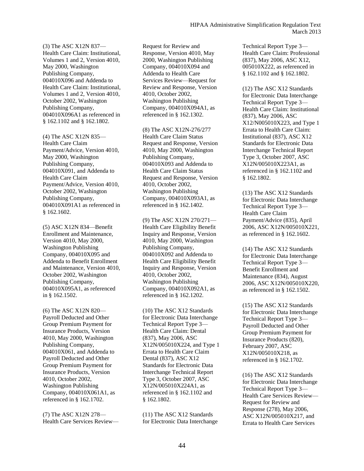(3) The ASC X12N 837— Health Care Claim: Institutional, Volumes 1 and 2, Version 4010, May 2000, Washington Publishing Company, 004010X096 and Addenda to Health Care Claim: Institutional, Volumes 1 and 2, Version 4010, October 2002, Washington Publishing Company, 004010X096A1 as referenced in § 162.1102 and § 162.1802.

(4) The ASC X12N 835— Health Care Claim Payment/Advice, Version 4010, May 2000, Washington Publishing Company, 004010X091, and Addenda to Health Care Claim Payment/Advice, Version 4010, October 2002, Washington Publishing Company, 004010X091A1 as referenced in § 162.1602.

(5) ASC X12N 834—Benefit Enrollment and Maintenance, Version 4010, May 2000, Washington Publishing Company, 004010X095 and Addenda to Benefit Enrollment and Maintenance, Version 4010, October 2002, Washington Publishing Company, 004010X095A1, as referenced in § 162.1502.

(6) The ASC X12N 820— Payroll Deducted and Other Group Premium Payment for Insurance Products, Version 4010, May 2000, Washington Publishing Company, 004010X061, and Addenda to Payroll Deducted and Other Group Premium Payment for Insurance Products, Version 4010, October 2002, Washington Publishing Company, 004010X061A1, as referenced in § 162.1702.

(7) The ASC X12N 278— Health Care Services Review—

Request for Review and Response, Version 4010, May 2000, Washington Publishing Company, 004010X094 and Addenda to Health Care Services Review—Request for Review and Response, Version 4010, October 2002, Washington Publishing Company, 004010X094A1, as referenced in § 162.1302.

(8) The ASC X12N-276/277 Health Care Claim Status Request and Response, Version 4010, May 2000, Washington Publishing Company, 004010X093 and Addenda to Health Care Claim Status Request and Response, Version 4010, October 2002, Washington Publishing Company, 004010X093A1, as referenced in § 162.1402.

(9) The ASC X12N 270/271— Health Care Eligibility Benefit Inquiry and Response, Version 4010, May 2000, Washington Publishing Company, 004010X092 and Addenda to Health Care Eligibility Benefit Inquiry and Response, Version 4010, October 2002, Washington Publishing Company, 004010X092A1, as referenced in § 162.1202.

(10) The ASC X12 Standards for Electronic Data Interchange Technical Report Type 3— Health Care Claim: Dental (837), May 2006, ASC X12N/005010X224, and Type 1 Errata to Health Care Claim Dental (837), ASC X12 Standards for Electronic Data Interchange Technical Report Type 3, October 2007, ASC X12N/005010X224A1, as referenced in § 162.1102 and § 162.1802.

(11) The ASC X12 Standards for Electronic Data Interchange Technical Report Type 3— Health Care Claim: Professional (837), May 2006, ASC X12, 005010X222, as referenced in § 162.1102 and § 162.1802.

(12) The ASC X12 Standards for Electronic Data Interchange Technical Report Type 3— Health Care Claim: Institutional (837), May 2006, ASC X12/N005010X223, and Type 1 Errata to Health Care Claim: Institutional (837), ASC X12 Standards for Electronic Data Interchange Technical Report Type 3, October 2007, ASC X12N/005010X223A1, as referenced in § 162.1102 and § 162.1802.

(13) The ASC X12 Standards for Electronic Data Interchange Technical Report Type 3— Health Care Claim Payment/Advice (835), April 2006, ASC X12N/005010X221, as referenced in § 162.1602.

(14) The ASC X12 Standards for Electronic Data Interchange Technical Report Type 3— Benefit Enrollment and Maintenance (834), August 2006, ASC X12N/005010X220, as referenced in § 162.1502.

(15) The ASC X12 Standards for Electronic Data Interchange Technical Report Type 3— Payroll Deducted and Other Group Premium Payment for Insurance Products (820), February 2007, ASC X12N/005010X218, as referenced in § 162.1702.

(16) The ASC X12 Standards for Electronic Data Interchange Technical Report Type 3— Health Care Services Review— Request for Review and Response (278), May 2006, ASC X12N/005010X217, and Errata to Health Care Services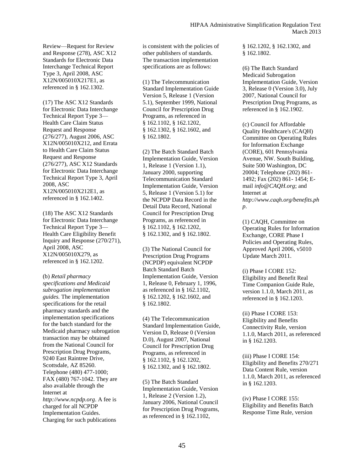Review—Request for Review and Response (278), ASC X12 Standards for Electronic Data Interchange Technical Report Type 3, April 2008, ASC X12N/005010X217E1, as referenced in § 162.1302.

(17) The ASC X12 Standards for Electronic Data Interchange Technical Report Type 3— Health Care Claim Status Request and Response (276/277), August 2006, ASC X12N/005010X212, and Errata to Health Care Claim Status Request and Response (276/277), ASC X12 Standards for Electronic Data Interchange Technical Report Type 3, April 2008, ASC X12N/005010X212E1, as referenced in § 162.1402.

(18) The ASC X12 Standards for Electronic Data Interchange Technical Report Type 3— Health Care Eligibility Benefit Inquiry and Response (270/271), April 2008, ASC X12N/005010X279, as referenced in § 162.1202.

(b) *Retail pharmacy specifications and Medicaid subrogation implementation guides.* The implementation specifications for the retail pharmacy standards and the implementation specifications for the batch standard for the Medicaid pharmacy subrogation transaction may be obtained from the National Council for Prescription Drug Programs, 9240 East Raintree Drive, Scottsdale, AZ 85260. Telephone (480) 477-1000; FAX (480) 767-1042. They are also available through the Internet at *http://www.ncpdp.org*. A fee is charged for all NCPDP Implementation Guides. Charging for such publications

is consistent with the policies of other publishers of standards. The transaction implementation specifications are as follows:

(1) The Telecommunication Standard Implementation Guide Version 5, Release 1 (Version 5.1), September 1999, National Council for Prescription Drug Programs, as referenced in § 162.1102, § 162.1202, § 162.1302, § 162.1602, and § 162.1802.

(2) The Batch Standard Batch Implementation Guide, Version 1, Release 1 (Version 1.1), January 2000, supporting Telecommunication Standard Implementation Guide, Version 5, Release 1 (Version 5.1) for the NCPDP Data Record in the Detail Data Record, National Council for Prescription Drug Programs, as referenced in § 162.1102, § 162.1202, § 162.1302, and § 162.1802.

(3) The National Council for Prescription Drug Programs (NCPDP) equivalent NCPDP Batch Standard Batch Implementation Guide, Version 1, Release 0, February 1, 1996, as referenced in § 162.1102, § 162.1202, § 162.1602, and § 162.1802.

(4) The Telecommunication Standard Implementation Guide, Version D, Release 0 (Version D.0), August 2007, National Council for Prescription Drug Programs, as referenced in § 162.1102, § 162.1202, § 162.1302, and § 162.1802.

(5) The Batch Standard Implementation Guide, Version 1, Release 2 (Version 1.2), January 2006, National Council for Prescription Drug Programs, as referenced in § 162.1102,

§ 162.1202, § 162.1302, and § 162.1802.

(6) The Batch Standard Medicaid Subrogation Implementation Guide, Version 3, Release 0 (Version 3.0), July 2007, National Council for Prescription Drug Programs, as referenced in § 162.1902.

(c) Council for Affordable Quality Healthcare's (CAQH) Committee on Operating Rules for Information Exchange (CORE), 601 Pennsylvania Avenue, NW. South Building, Suite 500 Washington, DC 20004; Telephone (202) 861- 1492; Fax (202) 861- 1454; Email *info@CAQH.org*; and Internet at *http://www.caqh.org/benefits.ph p*.

(1) CAQH, Committee on Operating Rules for Information Exchange, CORE Phase I Policies and Operating Rules, Approved April 2006, v5010 Update March 2011.

(i) Phase I CORE 152: Eligibility and Benefit Real Time Companion Guide Rule, version 1.1.0, March 2011, as referenced in § 162.1203.

(ii) Phase I CORE 153: Eligibility and Benefits Connectivity Rule, version 1.1.0, March 2011, as referenced in § 162.1203.

(iii) Phase I CORE 154: Eligibility and Benefits 270/271 Data Content Rule, version 1.1.0, March 2011, as referenced in § 162.1203.

(iv) Phase I CORE 155: Eligibility and Benefits Batch Response Time Rule, version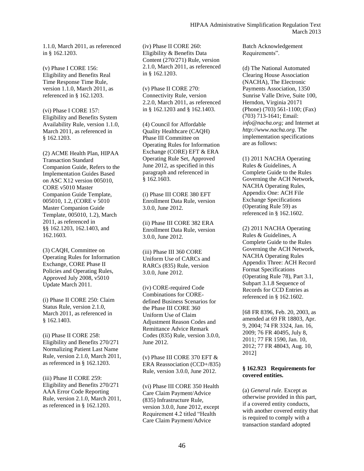1.1.0, March 2011, as referenced in § 162.1203.

(v) Phase I CORE 156: Eligibility and Benefits Real Time Response Time Rule, version 1.1.0, March 2011, as referenced in § 162.1203.

(vi) Phase I CORE 157: Eligibility and Benefits System Availability Rule, version 1.1.0, March 2011, as referenced in § 162.1203.

(2) ACME Health Plan, HIPAA Transaction Standard Companion Guide, Refers to the Implementation Guides Based on ASC X12 version 005010, CORE v5010 Master Companion Guide Template, 005010, 1.2, (CORE v 5010 Master Companion Guide Template, 005010, 1.2), March 2011, as referenced in §§ 162.1203, 162.1403, and 162.1603.

(3) CAQH, Committee on Operating Rules for Information Exchange, CORE Phase II Policies and Operating Rules, Approved July 2008, v5010 Update March 2011.

(i) Phase II CORE 250: Claim Status Rule, version 2.1.0, March 2011, as referenced in § 162.1403.

(ii) Phase II CORE 258: Eligibility and Benefits 270/271 Normalizing Patient Last Name Rule, version 2.1.0, March 2011, as referenced in § 162.1203.

(iii) Phase II CORE 259: Eligibility and Benefits 270/271 AAA Error Code Reporting Rule, version 2.1.0, March 2011, as referenced in § 162.1203.

(iv) Phase II CORE 260: Eligibility & Benefits Data Content (270/271) Rule, version 2.1.0, March 2011, as referenced in § 162.1203.

(v) Phase II CORE 270: Connectivity Rule, version 2.2.0, March 2011, as referenced in § 162.1203 and § 162.1403.

(4) Council for Affordable Quality Healthcare (CAQH) Phase III Committee on Operating Rules for Information Exchange (CORE) EFT & ERA Operating Rule Set, Approved June 2012, as specified in this paragraph and referenced in § 162.1603.

(i) Phase III CORE 380 EFT Enrollment Data Rule, version 3.0.0, June 2012.

(ii) Phase III CORE 382 ERA Enrollment Data Rule, version 3.0.0, June 2012.

(iii) Phase III 360 CORE Uniform Use of CARCs and RARCs (835) Rule, version 3.0.0, June 2012.

(iv) CORE-required Code Combinations for COREdefined Business Scenarios for the Phase III CORE 360 Uniform Use of Claim Adjustment Reason Codes and Remittance Advice Remark Codes (835) Rule, version 3.0.0, June 2012.

(v) Phase III CORE 370 EFT & ERA Reassociation (CCD+/835) Rule, version 3.0.0, June 2012.

(vi) Phase III CORE 350 Health Care Claim Payment/Advice (835) Infrastructure Rule, version 3.0.0, June 2012, except Requirement 4.2 titled "Health Care Claim Payment/Advice

Batch Acknowledgement Requirements".

(d) The National Automated Clearing House Association (NACHA), The Electronic Payments Association, 1350 Sunrise Valle Drive, Suite 100, Herndon, Virginia 20171 (Phone) (703) 561-1100; (Fax) (703) 713-1641; Email: *info@nacha.org;* and Internet at *http://www.nacha.org.* The implementation specifications are as follows:

(1) 2011 NACHA Operating Rules & Guidelines, A Complete Guide to the Rules Governing the ACH Network, NACHA Operating Rules, Appendix One: ACH File Exchange Specifications (Operating Rule 59) as referenced in § 162.1602.

(2) 2011 NACHA Operating Rules & Guidelines, A Complete Guide to the Rules Governing the ACH Network, NACHA Operating Rules Appendix Three: ACH Record Format Specifications (Operating Rule 78), Part 3.1, Subpart 3.1.8 Sequence of Records for CCD Entries as referenced in § 162.1602.

[68 FR 8396, Feb. 20, 2003, as amended at 69 FR 18803, Apr. 9, 2004; 74 FR 3324, Jan. 16, 2009; 76 FR 40495, July 8, 2011; 77 FR 1590, Jan. 10, 2012; 77 FR 48043, Aug. 10, 2012]

### <span id="page-45-0"></span>**§ 162.923 Requirements for covered entities.**

(a) *General rule.* Except as otherwise provided in this part, if a covered entity conducts, with another covered entity that is required to comply with a transaction standard adopted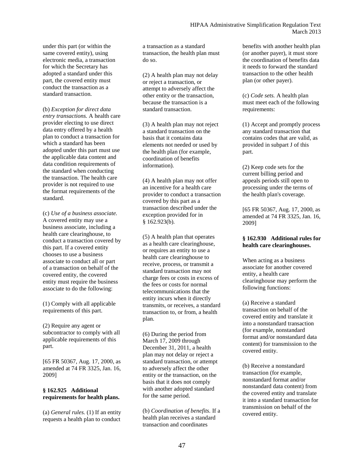under this part (or within the same covered entity), using electronic media, a transaction for which the Secretary has adopted a standard under this part, the covered entity must conduct the transaction as a standard transaction.

(b) *Exception for direct data entry transactions.* A health care provider electing to use direct data entry offered by a health plan to conduct a transaction for which a standard has been adopted under this part must use the applicable data content and data condition requirements of the standard when conducting the transaction. The health care provider is not required to use the format requirements of the standard.

(c) *Use of a business associate.* A covered entity may use a business associate, including a health care clearinghouse, to conduct a transaction covered by this part. If a covered entity chooses to use a business associate to conduct all or part of a transaction on behalf of the covered entity, the covered entity must require the business associate to do the following:

(1) Comply with all applicable requirements of this part.

(2) Require any agent or subcontractor to comply with all applicable requirements of this part.

[65 FR 50367, Aug. 17, 2000, as amended at 74 FR 3325, Jan. 16, 2009]

### <span id="page-46-0"></span>**§ 162.925 Additional requirements for health plans.**

(a) *General rules.* (1) If an entity requests a health plan to conduct

a transaction as a standard transaction, the health plan must do so.

(2) A health plan may not delay or reject a transaction, or attempt to adversely affect the other entity or the transaction, because the transaction is a standard transaction.

(3) A health plan may not reject a standard transaction on the basis that it contains data elements not needed or used by the health plan (for example, coordination of benefits information).

(4) A health plan may not offer an incentive for a health care provider to conduct a transaction covered by this part as a transaction described under the exception provided for in § 162.923(b).

(5) A health plan that operates as a health care clearinghouse, or requires an entity to use a health care clearinghouse to receive, process, or transmit a standard transaction may not charge fees or costs in excess of the fees or costs for normal telecommunications that the entity incurs when it directly transmits, or receives, a standard transaction to, or from, a health plan.

(6) During the period from March 17, 2009 through December 31, 2011, a health plan may not delay or reject a standard transaction, or attempt to adversely affect the other entity or the transaction, on the basis that it does not comply with another adopted standard for the same period.

(b) *Coordination of benefits.* If a health plan receives a standard transaction and coordinates

benefits with another health plan (or another payer), it must store the coordination of benefits data it needs to forward the standard transaction to the other health plan (or other payer).

(c) *Code sets.* A health plan must meet each of the following requirements:

(1) Accept and promptly process any standard transaction that contains codes that are valid, as provided in subpart J of this part.

(2) Keep code sets for the current billing period and appeals periods still open to processing under the terms of the health plan's coverage.

[65 FR 50367, Aug. 17, 2000, as amended at 74 FR 3325, Jan. 16, 2009]

#### <span id="page-46-1"></span>**§ 162.930 Additional rules for health care clearinghouses.**

When acting as a business associate for another covered entity, a health care clearinghouse may perform the following functions:

(a) Receive a standard transaction on behalf of the covered entity and translate it into a nonstandard transaction (for example, nonstandard format and/or nonstandard data content) for transmission to the covered entity.

(b) Receive a nonstandard transaction (for example, nonstandard format and/or nonstandard data content) from the covered entity and translate it into a standard transaction for transmission on behalf of the covered entity.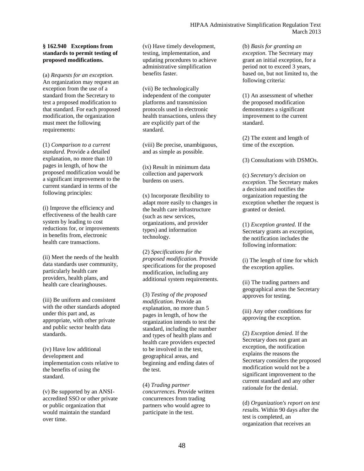## <span id="page-47-0"></span>**§ 162.940 Exceptions from standards to permit testing of proposed modifications.**

(a) *Requests for an exception.* An organization may request an exception from the use of a standard from the Secretary to test a proposed modification to that standard. For each proposed modification, the organization must meet the following requirements:

(1) *Comparison to a current standard.* Provide a detailed explanation, no more than 10 pages in length, of how the proposed modification would be a significant improvement to the current standard in terms of the following principles:

(i) Improve the efficiency and effectiveness of the health care system by leading to cost reductions for, or improvements in benefits from, electronic health care transactions.

(ii) Meet the needs of the health data standards user community, particularly health care providers, health plans, and health care clearinghouses.

(iii) Be uniform and consistent with the other standards adopted under this part and, as appropriate, with other private and public sector health data standards.

(iv) Have low additional development and implementation costs relative to the benefits of using the standard.

(v) Be supported by an ANSIaccredited SSO or other private or public organization that would maintain the standard over time.

(vi) Have timely development, testing, implementation, and updating procedures to achieve administrative simplification benefits faster.

(vii) Be technologically independent of the computer platforms and transmission protocols used in electronic health transactions, unless they are explicitly part of the standard.

(viii) Be precise, unambiguous, and as simple as possible.

(ix) Result in minimum data collection and paperwork burdens on users.

(x) Incorporate flexibility to adapt more easily to changes in the health care infrastructure (such as new services, organizations, and provider types) and information technology.

(2) *Specifications for the proposed modification.* Provide specifications for the proposed modification, including any additional system requirements.

(3) *Testing of the proposed modification.* Provide an explanation, no more than 5 pages in length, of how the organization intends to test the standard, including the number and types of health plans and health care providers expected to be involved in the test, geographical areas, and beginning and ending dates of the test.

(4) *Trading partner concurrences.* Provide written concurrences from trading partners who would agree to participate in the test.

(b) *Basis for granting an exception.* The Secretary may grant an initial exception, for a period not to exceed 3 years, based on, but not limited to, the following criteria:

(1) An assessment of whether the proposed modification demonstrates a significant improvement to the current standard.

(2) The extent and length of time of the exception.

(3) Consultations with DSMOs.

(c) *Secretary's decision on exception.* The Secretary makes a decision and notifies the organization requesting the exception whether the request is granted or denied.

(1) *Exception granted.* If the Secretary grants an exception, the notification includes the following information:

(i) The length of time for which the exception applies.

(ii) The trading partners and geographical areas the Secretary approves for testing.

(iii) Any other conditions for approving the exception.

(2) *Exception denied.* If the Secretary does not grant an exception, the notification explains the reasons the Secretary considers the proposed modification would not be a significant improvement to the current standard and any other rationale for the denial.

(d) *Organization's report on test results.* Within 90 days after the test is completed, an organization that receives an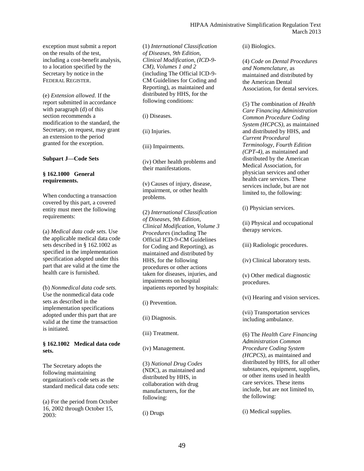exception must submit a report on the results of the test, including a cost-benefit analysis, to a location specified by the Secretary by notice in the FEDERAL REGISTER.

(e) *Extension allowed.* If the report submitted in accordance with paragraph (d) of this section recommends a modification to the standard, the Secretary, on request, may grant an extension to the period granted for the exception.

#### <span id="page-48-0"></span>**Subpart J—Code Sets**

## <span id="page-48-1"></span>**§ 162.1000 General requirements.**

When conducting a transaction covered by this part, a covered entity must meet the following requirements:

(a) *Medical data code sets.* Use the applicable medical data code sets described in § 162.1002 as specified in the implementation specification adopted under this part that are valid at the time the health care is furnished.

(b) *Nonmedical data code sets.* Use the nonmedical data code sets as described in the implementation specifications adopted under this part that are valid at the time the transaction is initiated.

#### <span id="page-48-2"></span>**§ 162.1002 Medical data code sets.**

The Secretary adopts the following maintaining organization's code sets as the standard medical data code sets:

(a) For the period from October 16, 2002 through October 15, 2003:

(1) *International Classification of Diseases, 9th Edition, Clinical Modification, (ICD-9- CM), Volumes 1 and 2* (including The Official ICD-9- CM Guidelines for Coding and Reporting), as maintained and distributed by HHS, for the following conditions:

(i) Diseases.

(ii) Injuries.

(iii) Impairments.

(iv) Other health problems and their manifestations.

(v) Causes of injury, disease, impairment, or other health problems.

(2) *International Classification of Diseases, 9th Edition, Clinical Modification, Volume 3 Procedures* (including The Official ICD-9-CM Guidelines for Coding and Reporting), as maintained and distributed by HHS, for the following procedures or other actions taken for diseases, injuries, and impairments on hospital inpatients reported by hospitals:

(i) Prevention.

(ii) Diagnosis.

(iii) Treatment.

(iv) Management.

(3) *National Drug Codes* (NDC), as maintained and distributed by HHS, in collaboration with drug manufacturers, for the following:

(i) Drugs

(ii) Biologics.

(4) *Code on Dental Procedures and Nomenclature,* as maintained and distributed by the American Dental Association, for dental services.

(5) The combination of *Health Care Financing Administration Common Procedure Coding System (HCPCS),* as maintained and distributed by HHS, and *Current Procedural Terminology, Fourth Edition (CPT-4),* as maintained and distributed by the American Medical Association, for physician services and other health care services. These services include, but are not limited to, the following:

(i) Physician services.

(ii) Physical and occupational therapy services.

(iii) Radiologic procedures.

(iv) Clinical laboratory tests.

(v) Other medical diagnostic procedures.

(vi) Hearing and vision services.

(vii) Transportation services including ambulance.

(6) The *Health Care Financing Administration Common Procedure Coding System (HCPCS),* as maintained and distributed by HHS, for all other substances, equipment, supplies, or other items used in health care services. These items include, but are not limited to, the following:

(i) Medical supplies.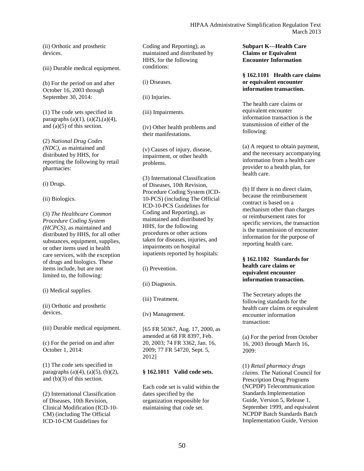(ii) Orthotic and prosthetic devices.

(iii) Durable medical equipment.

(b) For the period on and after October 16, 2003 through September 30, 2014:

(1) The code sets specified in paragraphs (a)(1), (a)(2),(a)(4), and (a)(5) of this section.

(2) *National Drug Codes (NDC),* as maintained and distributed by HHS, for reporting the following by retail pharmacies:

(i) Drugs.

(ii) Biologics.

(3) *The Healthcare Common Procedure Coding System (HCPCS),* as maintained and distributed by HHS, for all other substances, equipment, supplies, or other items used in health care services, with the exception of drugs and biologics. These items include, but are not limited to, the following:

(i) Medical supplies.

(ii) Orthotic and prosthetic devices.

(iii) Durable medical equipment.

(c) For the period on and after October 1, 2014:

(1) The code sets specified in paragraphs (a)(4), (a)(5), (b)(2), and (b)(3) of this section.

(2) International Classification of Diseases, 10th Revision, Clinical Modification (ICD-10- CM) (including The Official ICD-10-CM Guidelines for

Coding and Reporting), as maintained and distributed by HHS, for the following conditions:

(i) Diseases.

(ii) Injuries.

(iii) Impairments.

(iv) Other health problems and their manifestations.

(v) Causes of injury, disease, impairment, or other health problems.

(3) International Classification of Diseases, 10th Revision, Procedure Coding System (ICD-10-PCS) (including The Official ICD-10-PCS Guidelines for Coding and Reporting), as maintained and distributed by HHS, for the following procedures or other actions taken for diseases, injuries, and impairments on hospital inpatients reported by hospitals:

(i) Prevention.

(ii) Diagnosis.

(iii) Treatment.

(iv) Management.

[65 FR 50367, Aug. 17, 2000, as amended at 68 FR 8397, Feb. 20, 2003; 74 FR 3362, Jan. 16, 2009; 77 FR 54720, Sept. 5, 2012]

#### <span id="page-49-0"></span>**§ 162.1011 Valid code sets.**

Each code set is valid within the dates specified by the organization responsible for maintaining that code set.

<span id="page-49-1"></span>**Subpart K—Health Care Claims or Equivalent Encounter Information** 

<span id="page-49-2"></span>**§ 162.1101 Health care claims or equivalent encounter information transaction.** 

The health care claims or equivalent encounter information transaction is the transmission of either of the following:

(a) A request to obtain payment, and the necessary accompanying information from a health care provider to a health plan, for health care.

(b) If there is no direct claim, because the reimbursement contract is based on a mechanism other than charges or reimbursement rates for specific services, the transaction is the transmission of encounter information for the purpose of reporting health care.

### <span id="page-49-3"></span>**§ 162.1102 Standards for health care claims or equivalent encounter information transaction.**

The Secretary adopts the following standards for the health care claims or equivalent encounter information transaction:

(a) For the period from October 16, 2003 through March 16, 2009:

(1) *Retail pharmacy drugs claims.* The National Council for Prescription Drug Programs (NCPDP) Telecommunication Standards Implementation Guide, Version 5, Release 1, September 1999, and equivalent NCPDP Batch Standards Batch Implementation Guide, Version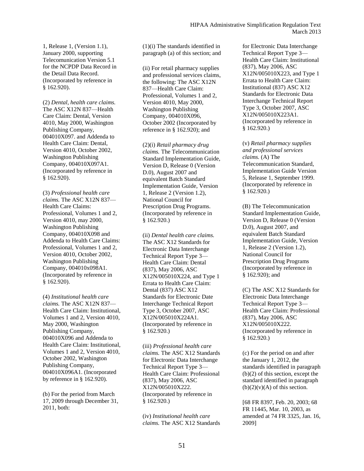1, Release 1, (Version 1.1), January 2000, supporting Telecomunication Version 5.1 for the NCPDP Data Record in the Detail Data Record. (Incorporated by reference in § 162.920).

(2) *Dental, health care claims.* The ASC X12N 837—Health Care Claim: Dental, Version 4010, May 2000, Washington Publishing Company, 004010X097. and Addenda to Health Care Claim: Dental, Version 4010, October 2002, Washington Publishing Company, 004010X097A1. (Incorporated by reference in § 162.920).

(3) *Professional health care claims.* The ASC X12N 837— Health Care Claims: Professional, Volumes 1 and 2, Version 4010, may 2000, Washington Publishing Company, 004010X098 and Addenda to Health Care Claims: Professional, Volumes 1 and 2, Version 4010, October 2002, Washington Publishing Company, 004010x098A1. (Incorporated by reference in § 162.920).

(4) *Institutional health care claims.* The ASC X12N 837— Health Care Claim: Institutional, Volumes 1 and 2, Version 4010, May 2000, Washington Publishing Company, 004010X096 and Addenda to Health Care Claim: Institutional, Volumes 1 and 2, Version 4010, October 2002, Washington Publishing Company, 004010X096A1. (Incorporated by reference in § 162.920).

(b) For the period from March 17, 2009 through December 31, 2011, both:

(1)(i) The standards identified in paragraph (a) of this section; and

(ii) For retail pharmacy supplies and professional services claims, the following: The ASC X12N 837—Health Care Claim: Professional, Volumes 1 and 2, Version 4010, May 2000, Washington Publishing Company, 004010X096, October 2002 (Incorporated by reference in § 162.920); and

(2)(i) *Retail pharmacy drug claims.* The Telecommunication Standard Implementation Guide, Version D, Release 0 (Version D.0), August 2007 and equivalent Batch Standard Implementation Guide, Version 1, Release 2 (Version 1.2), National Council for Prescription Drug Programs. (Incorporated by reference in § 162.920.)

(ii) *Dental health care claims.* The ASC X12 Standards for Electronic Data Interchange Technical Report Type 3— Health Care Claim: Dental (837), May 2006, ASC X12N/005010X224, and Type 1 Errata to Health Care Claim: Dental (837) ASC X12 Standards for Electronic Date Interchange Technical Report Type 3, October 2007, ASC X12N/005010X224A1. (Incorporated by reference in § 162.920.)

(iii) *Professional health care claims.* The ASC X12 Standards for Electronic Data Interchange Technical Report Type 3— Health Care Claim: Professional (837), May 2006, ASC X12N/005010X222. (Incorporated by reference in § 162.920.)

(iv) *Institutional health care claims.* The ASC X12 Standards for Electronic Data Interchange Technical Report Type 3— Health Care Claim: Institutional (837), May 2006, ASC X12N/005010X223, and Type 1 Errata to Health Care Claim: Institutional (837) ASC X12 Standards for Electronic Data Interchange Technical Report Type 3, October 2007, ASC X12N/005010X223A1. (Incorporated by reference in § 162.920.)

(v) *Retail pharmacy supplies and professional services claims.* (A) The Telecommunication Standard, Implementation Guide Version 5, Release 1, September 1999. (Incorporated by reference in § 162.920.)

(B) The Telecommunication Standard Implementation Guide, Version D, Release 0 (Version D.0), August 2007, and equivalent Batch Standard Implementation Guide, Version 1, Release 2 (Version 1.2), National Council for Prescription Drug Programs (Incorporated by reference in § 162.920); and

(C) The ASC X12 Standards for Electronic Data Interchange Technical Report Type 3— Health Care Claim: Professional (837), May 2006, ASC X12N/005010X222. (Incorporated by reference in § 162.920.)

(c) For the period on and after the January 1, 2012, the standards identified in paragraph (b)(2) of this section, except the standard identified in paragraph  $(b)(2)(v)(A)$  of this section.

[68 FR 8397, Feb. 20, 2003; 68 FR 11445, Mar. 10, 2003, as amended at 74 FR 3325, Jan. 16, 2009]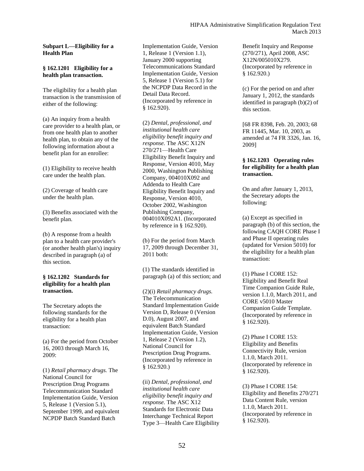#### <span id="page-51-0"></span>**Subpart L—Eligibility for a Health Plan**

### <span id="page-51-1"></span>**§ 162.1201 Eligibility for a health plan transaction.**

The eligibility for a health plan transaction is the transmission of either of the following:

(a) An inquiry from a health care provider to a health plan, or from one health plan to another health plan, to obtain any of the following information about a benefit plan for an enrollee:

(1) Eligibility to receive health care under the health plan.

(2) Coverage of health care under the health plan.

(3) Benefits associated with the benefit plan.

(b) A response from a health plan to a health care provider's (or another health plan's) inquiry described in paragraph (a) of this section.

#### <span id="page-51-2"></span>**§ 162.1202 Standards for eligibility for a health plan transaction.**

The Secretary adopts the following standards for the eligibility for a health plan transaction:

(a) For the period from October 16, 2003 through March 16, 2009:

(1) *Retail pharmacy drugs.* The National Council for Prescription Drug Programs Telecommunication Standard Implementation Guide, Version 5, Release 1 (Version 5.1), September 1999, and equivalent NCPDP Batch Standard Batch

Implementation Guide, Version 1, Release 1 (Version 1.1), January 2000 supporting Telecommunications Standard Implementation Guide, Version 5, Release 1 (Version 5.1) for the NCPDP Data Record in the Detail Data Record. (Incorporated by reference in § 162.920).

(2) *Dental, professional, and institutional health care eligibility benefit inquiry and response.* The ASC X12N 270/271—Health Care Eligibility Benefit Inquiry and Response, Version 4010, May 2000, Washington Publishing Company, 004010X092 and Addenda to Health Care Eligibility Benefit Inquiry and Response, Version 4010, October 2002, Washington Publishing Company, 004010X092A1. (Incorporated by reference in § 162.920).

(b) For the period from March 17, 2009 through December 31, 2011 both:

(1) The standards identified in paragraph (a) of this section; and

(2)(i) *Retail pharmacy drugs.* The Telecommunication Standard Implementation Guide Version D, Release 0 (Version D.0), August 2007, and equivalent Batch Standard Implementation Guide, Version 1, Release 2 (Version 1.2), National Council for Prescription Drug Programs. (Incorporated by reference in § 162.920.)

(ii) *Dental, professional, and institutional health care eligibility benefit inquiry and response.* The ASC X12 Standards for Electronic Data Interchange Technical Report Type 3—Health Care Eligibility Benefit Inquiry and Response (270/271), April 2008, ASC X12N/005010X279. (Incorporated by reference in § 162.920.)

(c) For the period on and after January 1, 2012, the standards identified in paragraph (b)(2) of this section.

[68 FR 8398, Feb. 20, 2003; 68 FR 11445, Mar. 10, 2003, as amended at 74 FR 3326, Jan. 16, 2009]

### <span id="page-51-3"></span>**§ 162.1203 Operating rules for eligibility for a health plan transaction.**

On and after January 1, 2013, the Secretary adopts the following:

(a) Except as specified in paragraph (b) of this section, the following CAQH CORE Phase I and Phase II operating rules (updated for Version 5010) for the eligibility for a health plan transaction:

(1) Phase I CORE 152: Eligibility and Benefit Real Time Companion Guide Rule, version 1.1.0, March 2011, and CORE v5010 Master Companion Guide Template. (Incorporated by reference in § 162.920).

(2) Phase I CORE 153: Eligibility and Benefits Connectivity Rule, version 1.1.0, March 2011. (Incorporated by reference in § 162.920).

(3) Phase I CORE 154: Eligibility and Benefits 270/271 Data Content Rule, version 1.1.0, March 2011. (Incorporated by reference in § 162.920).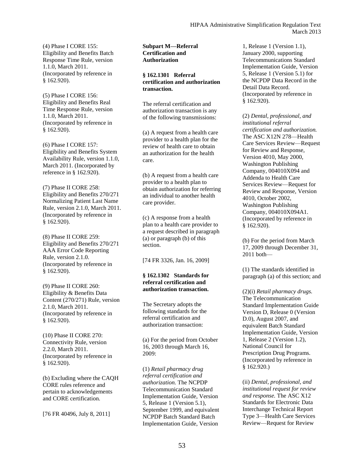(4) Phase I CORE 155: Eligibility and Benefits Batch Response Time Rule, version 1.1.0, March 2011. (Incorporated by reference in § 162.920).

(5) Phase I CORE 156: Eligibility and Benefits Real Time Response Rule, version 1.1.0, March 2011. (Incorporated by reference in § 162.920).

(6) Phase I CORE 157: Eligibility and Benefits System Availability Rule, version 1.1.0, March 2011. (Incorporated by reference in § 162.920).

(7) Phase II CORE 258: Eligibility and Benefits 270/271 Normalizing Patient Last Name Rule, version 2.1.0, March 2011. (Incorporated by reference in § 162.920).

(8) Phase II CORE 259: Eligibility and Benefits 270/271 AAA Error Code Reporting Rule, version 2.1.0. (Incorporated by reference in § 162.920).

(9) Phase II CORE 260: Eligibility & Benefits Data Content (270/271) Rule, version 2.1.0, March 2011. (Incorporated by reference in § 162.920).

(10) Phase II CORE 270: Connectivity Rule, version 2.2.0, March 2011. (Incorporated by reference in § 162.920).

(b) Excluding where the CAQH CORE rules reference and pertain to acknowledgements and CORE certification.

[76 FR 40496, July 8, 2011]

<span id="page-52-0"></span>**Subpart M—Referral Certification and Authorization** 

### <span id="page-52-1"></span>**§ 162.1301 Referral certification and authorization transaction.**

The referral certification and authorization transaction is any of the following transmissions:

(a) A request from a health care provider to a health plan for the review of health care to obtain an authorization for the health care.

(b) A request from a health care provider to a health plan to obtain authorization for referring an individual to another health care provider.

(c) A response from a health plan to a health care provider to a request described in paragraph (a) or paragraph (b) of this section.

[74 FR 3326, Jan. 16, 2009]

# <span id="page-52-2"></span>**§ 162.1302 Standards for referral certification and authorization transaction.**

The Secretary adopts the following standards for the referral certification and authorization transaction:

(a) For the period from October 16, 2003 through March 16, 2009:

(1) *Retail pharmacy drug referral certification and authorization.* The NCPDP Telecommunication Standard Implementation Guide, Version 5, Release 1 (Version 5.1), September 1999, and equivalent NCPDP Batch Standard Batch Implementation Guide, Version

1, Release 1 (Version 1.1), January 2000, supporting Telecommunications Standard Implementation Guide, Version 5, Release 1 (Version 5.1) for the NCPDP Data Record in the Detail Data Record. (Incorporated by reference in § 162.920).

(2) *Dental, professional, and institutional referral certification and authorization.* The ASC X12N 278—Health Care Services Review—Request for Review and Response, Version 4010, May 2000, Washington Publishing Company, 004010X094 and Addenda to Health Care Services Review—Request for Review and Response, Version 4010, October 2002, Washington Publishing Company, 004010X094A1. (Incorporated by reference in § 162.920).

(b) For the period from March 17, 2009 through December 31, 2011 both—

(1) The standards identified in paragraph (a) of this section; and

(2)(i) *Retail pharmacy drugs.* The Telecommunication Standard Implementation Guide Version D, Release 0 (Version D.0), August 2007, and equivalent Batch Standard Implementation Guide, Version 1, Release 2 (Version 1.2), National Council for Prescription Drug Programs. (Incorporated by reference in § 162.920.)

(ii) *Dental, professional, and institutional request for review and response.* The ASC X12 Standards for Electronic Data Interchange Technical Report Type 3—Health Care Services Review—Request for Review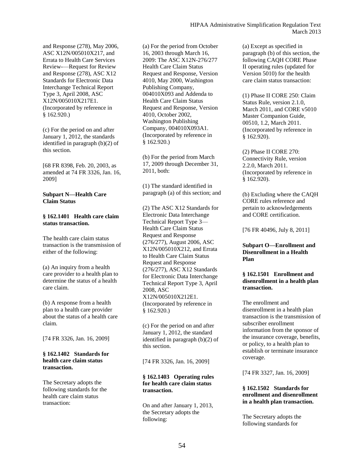and Response (278), May 2006, ASC X12N/005010X217, and Errata to Health Care Services Review-—Request for Review and Response (278), ASC X12 Standards for Electronic Data Interchange Technical Report Type 3, April 2008, ASC X12N/005010X217E1. (Incorporated by reference in § 162.920.)

(c) For the period on and after January 1, 2012, the standards identified in paragraph (b)(2) of this section.

[68 FR 8398, Feb. 20, 2003, as amended at 74 FR 3326, Jan. 16, 2009]

## <span id="page-53-0"></span>**Subpart N—Health Care Claim Status**

### <span id="page-53-1"></span>**§ 162.1401 Health care claim status transaction.**

The health care claim status transaction is the transmission of either of the following:

(a) An inquiry from a health care provider to a health plan to determine the status of a health care claim.

(b) A response from a health plan to a health care provider about the status of a health care claim.

[74 FR 3326, Jan. 16, 2009]

### <span id="page-53-2"></span>**§ 162.1402 Standards for health care claim status transaction.**

The Secretary adopts the following standards for the health care claim status transaction:

(a) For the period from October 16, 2003 through March 16, 2009: The ASC X12N-276/277 Health Care Claim Status Request and Response, Version 4010, May 2000, Washington Publishing Company, 004010X093 and Addenda to Health Care Claim Status Request and Response, Version 4010, October 2002, Washington Publishing Company, 004010X093A1. (Incorporated by reference in § 162.920.)

(b) For the period from March 17, 2009 through December 31, 2011, both:

(1) The standard identified in paragraph (a) of this section; and

(2) The ASC X12 Standards for Electronic Data Interchange Technical Report Type 3— Health Care Claim Status Request and Response (276/277), August 2006, ASC X12N/005010X212, and Errata to Health Care Claim Status Request and Response (276/277), ASC X12 Standards for Electronic Data Interchange Technical Report Type 3, April 2008, ASC X12N/005010X212E1. (Incorporated by reference in § 162.920.)

(c) For the period on and after January 1, 2012, the standard identified in paragraph (b)(2) of this section.

[74 FR 3326, Jan. 16, 2009]

### <span id="page-53-3"></span>**§ 162.1403 Operating rules for health care claim status transaction.**

On and after January 1, 2013, the Secretary adopts the following:

(a) Except as specified in paragraph (b) of this section, the following CAQH CORE Phase II operating rules (updated for Version 5010) for the health care claim status transaction:

(1) Phase II CORE 250: Claim Status Rule, version 2.1.0, March 2011, and CORE v5010 Master Companion Guide, 00510, 1.2, March 2011. (Incorporated by reference in § 162.920).

(2) Phase II CORE 270: Connectivity Rule, version 2.2.0, March 2011. (Incorporated by reference in § 162.920).

(b) Excluding where the CAQH CORE rules reference and pertain to acknowledgements and CORE certification.

[76 FR 40496, July 8, 2011]

### <span id="page-53-4"></span>**Subpart O—Enrollment and Disenrollment in a Health Plan**

### <span id="page-53-5"></span>**§ 162.1501 Enrollment and disenrollment in a health plan transaction.**

The enrollment and disenrollment in a health plan transaction is the transmission of subscriber enrollment information from the sponsor of the insurance coverage, benefits, or policy, to a health plan to establish or terminate insurance coverage.

[74 FR 3327, Jan. 16, 2009]

#### <span id="page-53-6"></span>**§ 162.1502 Standards for enrollment and disenrollment in a health plan transaction.**

The Secretary adopts the following standards for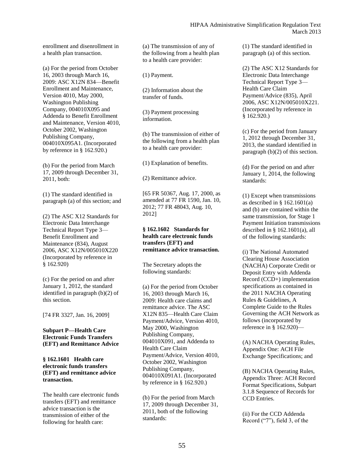enrollment and disenrollment in a health plan transaction.

(a) For the period from October 16, 2003 through March 16, 2009: ASC X12N 834—Benefit Enrollment and Maintenance, Version 4010, May 2000, Washington Publishing Company, 004010X095 and Addenda to Benefit Enrollment and Maintenance, Version 4010, October 2002, Washington Publishing Company, 004010X095A1. (Incorporated by reference in § 162.920.)

(b) For the period from March 17, 2009 through December 31, 2011, both:

(1) The standard identified in paragraph (a) of this section; and

(2) The ASC X12 Standards for Electronic Data Interchange Technical Report Type 3— Benefit Enrollment and Maintenance (834), August 2006, ASC X12N/005010X220 (Incorporated by reference in § 162.920)

(c) For the period on and after January 1, 2012, the standard identified in paragraph (b)(2) of this section.

[74 FR 3327, Jan. 16, 2009]

### <span id="page-54-0"></span>**Subpart P—Health Care Electronic Funds Transfers (EFT) and Remittance Advice**

<span id="page-54-1"></span>**§ 162.1601 Health care electronic funds transfers (EFT) and remittance advice transaction.** 

The health care electronic funds transfers (EFT) and remittance advice transaction is the transmission of either of the following for health care:

(a) The transmission of any of the following from a health plan to a health care provider:

(1) Payment.

(2) Information about the transfer of funds.

(3) Payment processing information.

(b) The transmission of either of the following from a health plan to a health care provider:

(1) Explanation of benefits.

(2) Remittance advice.

[65 FR 50367, Aug. 17, 2000, as amended at 77 FR 1590, Jan. 10, 2012; 77 FR 48043, Aug. 10, 2012]

### <span id="page-54-2"></span>**§ 162.1602 Standards for health care electronic funds transfers (EFT) and remittance advice transaction.**

The Secretary adopts the following standards:

(a) For the period from October 16, 2003 through March 16, 2009: Health care claims and remittance advice. The ASC X12N 835—Health Care Claim Payment/Advice, Version 4010, May 2000, Washington Publishing Company, 004010X091, and Addenda to Health Care Claim Payment/Advice, Version 4010, October 2002, Washington Publishing Company, 004010X091A1. (Incorporated by reference in § 162.920.)

(b) For the period from March 17, 2009 through December 31, 2011, both of the following standards:

(1) The standard identified in paragraph (a) of this section.

(2) The ASC X12 Standards for Electronic Data Interchange Technical Report Type 3— Health Care Claim Payment/Advice (835), April 2006, ASC X12N/005010X221. (Incorporated by reference in § 162.920.)

(c) For the period from January 1, 2012 through December 31, 2013, the standard identified in paragraph (b)(2) of this section.

(d) For the period on and after January 1, 2014, the following standards:

(1) Except when transmissions as described in  $§$  162.1601(a) and (b) are contained within the same transmission, for Stage 1 Payment Initiation transmissions described in § 162.1601(a), all of the following standards:

(i) The National Automated Clearing House Association (NACHA) Corporate Credit or Deposit Entry with Addenda Record (CCD+) implementation specifications as contained in the 2011 NACHA Operating Rules & Guidelines, A Complete Guide to the Rules Governing the ACH Network as follows (incorporated by reference in § 162.920)—

(A) NACHA Operating Rules, Appendix One: ACH File Exchange Specifications; and

(B) NACHA Operating Rules, Appendix Three: ACH Record Format Specifications, Subpart 3.1.8 Sequence of Records for CCD Entries.

(ii) For the CCD Addenda Record ("7"), field 3, of the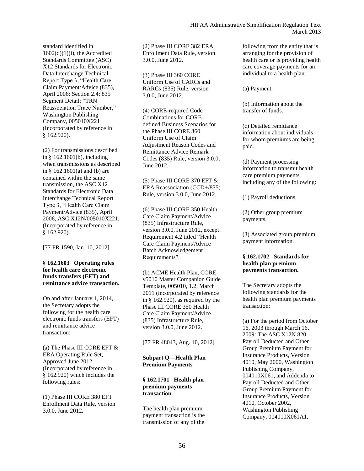standard identified in  $1602(d)(1)(i)$ , the Accredited Standards Committee (ASC) X12 Standards for Electronic Data Interchange Technical Report Type 3, "Health Care Claim Payment/Advice (835), April 2006: Section 2.4: 835 Segment Detail: "TRN Reassociation Trace Number," Washington Publishing Company, 005010X221 (Incorporated by reference in § 162.920).

(2) For transmissions described in § 162.1601(b), including when transmissions as described in § 162.1601(a) and (b) are contained within the same transmission, the ASC X12 Standards for Electronic Data Interchange Technical Report Type 3, "Health Care Claim Payment/Advice (835), April 2006, ASC X12N/005010X221. (Incorporated by reference in § 162.920).

[77 FR 1590, Jan. 10, 2012]

## <span id="page-55-0"></span>**§ 162.1603 Operating rules for health care electronic funds transfers (EFT) and remittance advice transaction.**

On and after January 1, 2014, the Secretary adopts the following for the health care electronic funds transfers (EFT) and remittance advice transaction:

(a) The Phase III CORE EFT & ERA Operating Rule Set, Approved June 2012 (Incorporated by reference in § 162.920) which includes the following rules:

(1) Phase III CORE 380 EFT Enrollment Data Rule, version 3.0.0, June 2012.

(2) Phase III CORE 382 ERA Enrollment Data Rule, version 3.0.0, June 2012.

(3) Phase III 360 CORE Uniform Use of CARCs and RARCs (835) Rule, version 3.0.0, June 2012.

(4) CORE-required Code Combinations for COREdefined Business Scenarios for the Phase III CORE 360 Uniform Use of Claim Adjustment Reason Codes and Remittance Advice Remark Codes (835) Rule, version 3.0.0, June 2012.

(5) Phase III CORE 370 EFT & ERA Reassociation (CCD+/835) Rule, version 3.0.0, June 2012.

(6) Phase III CORE 350 Health Care Claim Payment/Advice (835) Infrastructure Rule, version 3.0.0, June 2012, except Requirement 4.2 titled "Health Care Claim Payment/Advice Batch Acknowledgement Requirements".

(b) ACME Health Plan, CORE v5010 Master Companion Guide Template, 005010, 1.2, March 2011 (incorporated by reference in § 162.920), as required by the Phase III CORE 350 Health Care Claim Payment/Advice (835) Infrastructure Rule, version 3.0.0, June 2012.

[77 FR 48043, Aug. 10, 2012]

# <span id="page-55-1"></span>**Subpart Q—Health Plan Premium Payments**

### <span id="page-55-2"></span>**§ 162.1701 Health plan premium payments transaction.**

The health plan premium payment transaction is the transmission of any of the

following from the entity that is arranging for the provision of health care or is providing health care coverage payments for an individual to a health plan:

(a) Payment.

(b) Information about the transfer of funds.

(c) Detailed remittance information about individuals for whom premiums are being paid.

(d) Payment processing information to transmit health care premium payments including any of the following:

(1) Payroll deductions.

(2) Other group premium payments.

(3) Associated group premium payment information.

### <span id="page-55-3"></span>**§ 162.1702 Standards for health plan premium payments transaction.**

The Secretary adopts the following standards for the health plan premium payments transaction:

(a) For the period from October 16, 2003 through March 16, 2009: The ASC X12N 820— Payroll Deducted and Other Group Premium Payment for Insurance Products, Version 4010, May 2000, Washington Publishing Company, 004010X061, and Addenda to Payroll Deducted and Other Group Premium Payment for Insurance Products, Version 4010, October 2002, Washington Publishing Company, 004010X061A1.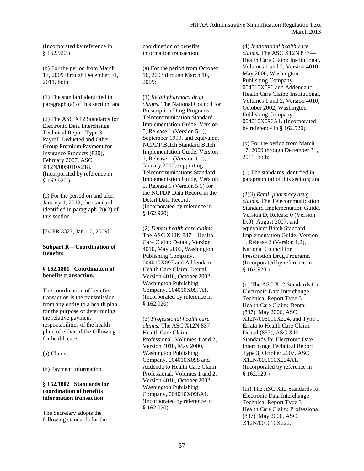(Incorporated by reference in § 162.920.)

(b) For the period from March 17, 2009 through December 31, 2011, both:

(1) The standard identified in paragraph (a) of this section, and

(2) The ASC X12 Standards for Electronic Data Interchange Technical Report Type 3— Payroll Deducted and Other Group Premium Payment for Insurance Products (820), February 2007, ASC X12N/005010X218. (Incorporated by reference in § 162.920.)

(c) For the period on and after January 1, 2012, the standard identified in paragraph (b)(2) of this section.

[74 FR 3327, Jan. 16, 2009]

### <span id="page-56-0"></span>**Subpart R—Coordination of Benefits**

#### <span id="page-56-1"></span>**§ 162.1801 Coordination of benefits transaction.**

The coordination of benefits transaction is the transmission from any entity to a health plan for the purpose of determining the relative payment responsibilities of the health plan, of either of the following for health care:

(a) Claims.

(b) Payment information.

#### <span id="page-56-2"></span>**§ 162.1802 Standards for coordination of benefits information transaction.**

The Secretary adopts the following standards for the coordination of benefits information transaction.

(a) For the period from October 16, 2003 through March 16, 2009:

(1) *Retail pharmacy drug claims.* The National Council for Prescription Drug Programs Telecommunication Standard Implementation Guide, Version 5, Release 1 (Version 5.1), September 1999, and equivalent NCPDP Batch Standard Batch Implementation Guide, Version 1, Release 1 (Version 1.1), January 2000, supporting Telecommunications Standard Implementation Guide, Version 5, Release 1 (Version 5.1) for the NCPDP Data Record in the Detail Data Record. (Incorporated by reference in § 162.920).

(2) *Dental health care claims.* The ASC X12N 837—Health Care Claim: Dental, Version 4010, May 2000, Washington Publishing Company, 004010X097 and Addenda to Health Care Claim: Dental, Version 4010, October 2002, Washington Publishing Company, 004010X097A1. (Incorporated by reference in § 162.920).

(3) *Professional health care claims.* The ASC X12N 837— Health Care Claim: Professional, Volumes 1 and 2, Version 4010, May 2000, Washington Publishing Company, 004010X098 and Addenda to Health Care Claim: Professional, Volumes 1 and 2, Version 4010, October 2002, Washington Publishing Company, 004010X098A1. (Incorporated by reference in § 162.920).

(4) *Institutional health care claims.* The ASC X12N 837— Health Care Claim: Institutional, Volumes 1 and 2, Version 4010, May 2000, Washington Publishing Company, 004010X096 and Addenda to Health Care Claim: Institutional, Volumes 1 and 2, Version 4010, October 2002, Washington Publishing Company, 004010X096A1. (Incorporated by reference in § 162.920).

(b) For the period from March 17, 2009 through December 31, 2011, both:

(1) The standards identified in paragraph (a) of this section; and

(2)(i) *Retail pharmacy drug claims.* The Telecommunication Standard Implementation Guide, Version D, Release 0 (Version D.0), August 2007, and equivalent Batch Standard Implementation Guide, Version 1, Release 2 (Version 1.2), National Council for Prescription Drug Programs. (Incorporated by reference in § 162.920.)

(ii) The ASC X12 Standards for Electronic Data Interchange Technical Report Type 3— Health Care Claim: Dental (837), May 2006, ASC X12N/005010X224, and Type 1 Errata to Health Care Claim: Dental (837), ASC X12 Standards for Electronic Date Interchange Technical Report Type 3, October 2007, ASC X12N/005010X224A1. (Incorporated by reference in § 162.920.)

(iii) The ASC X12 Standards for Electronic Data Interchange Technical Report Type 3— Health Care Claim: Professional (837), May 2006, ASC X12N/005010X222.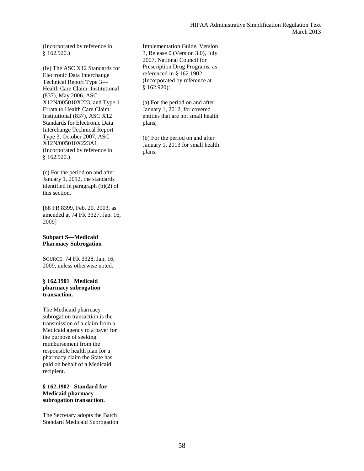(Incorporated by reference in § 162.920.)

(iv) The ASC X12 Standards for Electronic Data Interchange Technical Report Type 3— Health Care Claim: Institutional (837), May 2006, ASC X12N/005010X223, and Type 1 Errata to Health Care Claim: Institutional (837), ASC X12 Standards for Electronic Data Interchange Technical Report Type 3, October 2007, ASC X12N/005010X223A1. (Incorporated by reference in § 162.920.)

(c) For the period on and after January 1, 2012, the standards identified in paragraph (b)(2) of this section.

[68 FR 8399, Feb. 20, 2003, as amended at 74 FR 3327, Jan. 16, 2009]

### <span id="page-57-0"></span>**Subpart S—Medicaid Pharmacy Subrogation**

SOURCE: 74 FR 3328, Jan. 16, 2009, unless otherwise noted.

### <span id="page-57-1"></span>**§ 162.1901 Medicaid pharmacy subrogation transaction.**

The Medicaid pharmacy subrogation transaction is the transmission of a claim from a Medicaid agency to a payer for the purpose of seeking reimbursement from the responsible health plan for a pharmacy claim the State has paid on behalf of a Medicaid recipient.

### <span id="page-57-2"></span>**§ 162.1902 Standard for Medicaid pharmacy subrogation transaction.**

The Secretary adopts the Batch Standard Medicaid Subrogation Implementation Guide, Version 3, Release 0 (Version 3.0), July 2007, National Council for Prescription Drug Programs, as referenced in § 162.1902 (Incorporated by reference at § 162.920):

(a) For the period on and after January 1, 2012, for covered entities that are not small health plans;

(b) For the period on and after January 1, 2013 for small health plans.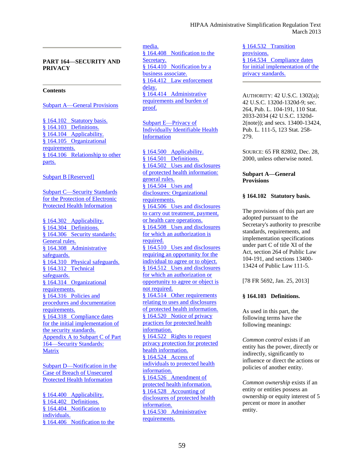# **PART 164—SECURITY AND PRIVACY**

#### **Contents**

[Subpart A—General Provisions](#page-58-0)

[§ 164.102 Statutory basis.](#page-58-1) [§ 164.103 Definitions.](#page-58-2) [§ 164.104 Applicability.](#page-59-0) [§ 164.105 Organizational](#page-59-1)  [requirements.](#page-59-1) § 164.106 Relationship to other [parts.](#page-61-0)

### [Subpart B \[Reserved\]](#page-61-1)

[Subpart C—Security Standards](#page-61-2)  [for the Protection of Electronic](#page-61-2)  [Protected Health Information](#page-61-2)

[§ 164.302 Applicability.](#page-61-3) [§ 164.304 Definitions.](#page-61-4) [§ 164.306 Security standards:](#page-62-0)  [General rules.](#page-62-0) [§ 164.308 Administrative](#page-63-0)  [safeguards.](#page-63-0) [§ 164.310 Physical safeguards.](#page-65-0) [§ 164.312 Technical](#page-65-1)  [safeguards.](#page-65-1) § 164.314 Organizational [requirements.](#page-66-0) [§ 164.316 Policies and](#page-67-0)  [procedures and documentation](#page-67-0)  [requirements.](#page-67-0) [§ 164.318 Compliance dates](#page-67-1)  [for the initial implementation of](#page-67-1)  [the security standards.](#page-67-1) Appendix A to Subpart C of Part 164—Security Standards: **Matrix** 

Subpart D—Notification in the Case of Breach of Unsecured Protected Health Information

[§ 164.400 Applicability.](#page-70-0) [§ 164.402 Definitions.](#page-70-1) § 164.404 Notification to [individuals.](#page-70-2) [§ 164.406 Notification to the](#page-71-0) 

[media.](#page-71-0) § 164.408 Notification to the [Secretary.](#page-71-1) § 164.410 Notification by a [business associate.](#page-72-0) [§ 164.412 Law enforcement](#page-72-1)  [delay.](#page-72-1) [§ 164.414 Administrative](#page-72-2)  [requirements and burden of](#page-72-2)  [proof.](#page-72-2)

Subpart E-Privacy of [Individually Identifiable Health](#page-72-3)  [Information](#page-72-3)

[§ 164.500 Applicability.](#page-72-4) [§ 164.501 Definitions.](#page-73-0) [§ 164.502 Uses and disclosures](#page-76-0)  [of protected health information:](#page-76-0)  [general rules.](#page-76-0) § 164.504 Uses and [disclosures: Organizational](#page-80-0)  [requirements.](#page-80-0) § 164.506 Uses and disclosures [to carry out treatment, payment,](#page-83-0)  [or health care operations.](#page-83-0) [§ 164.508 Uses and disclosures](#page-84-0)  [for which an authorization is](#page-84-0)  [required.](#page-84-0) [§ 164.510 Uses and disclosures](#page-86-0)  [requiring an opportunity for the](#page-86-0)  [individual to agree or to object.](#page-86-0) § 164.512 Uses and disclosures [for which an authorization or](#page-87-0)  [opportunity to agree or object is](#page-87-0)  [not required.](#page-87-0) [§ 164.514 Other requirements](#page-95-0)  [relating to uses and disclosures](#page-95-0)  [of protected health information.](#page-95-0) [§ 164.520 Notice of privacy](#page-100-0)  [practices for protected health](#page-100-0)  [information.](#page-100-0) [§ 164.522 Rights to request](#page-103-0)  [privacy protection for protected](#page-103-0)  [health information.](#page-103-0) § 164.524 Access of [individuals to protected health](#page-104-0)  [information.](#page-104-0) [§ 164.526 Amendment of](#page-107-0)  [protected health information.](#page-107-0) [§ 164.528 Accounting of](#page-109-0)  [disclosures of protected health](#page-109-0)  [information.](#page-109-0) § 164.530 Administrative [requirements.](#page-110-0)

§ 164.532 Transition [provisions.](#page-113-0) [§ 164.534 Compliance dates](#page-114-0)  [for initial implementation of the](#page-114-0)  [privacy standards.](#page-114-0)

AUTHORITY: 42 U.S.C. 1302(a); 42 U.S.C. 1320d-1320d-9; sec. 264, Pub. L. 104-191, 110 Stat. 2033-2034 (42 U.S.C. 1320d-2(note)); and secs. 13400-13424, Pub. L. 111-5, 123 Stat. 258- 279.

SOURCE: 65 FR 82802, Dec. 28, 2000, unless otherwise noted.

### <span id="page-58-0"></span>**Subpart A—General Provisions**

#### <span id="page-58-1"></span>**§ 164.102 Statutory basis.**

The provisions of this part are adopted pursuant to the Secretary's authority to prescribe standards, requirements, and implementation specifications under part C of title XI of the Act, section 264 of Public Law 104-191, and sections 13400- 13424 of Public Law 111-5.

[78 FR 5692, Jan. 25, 2013]

# <span id="page-58-2"></span>**§ 164.103 Definitions.**

As used in this part, the following terms have the following meanings:

*Common control* exists if an entity has the power, directly or indirectly, significantly to influence or direct the actions or policies of another entity.

*Common ownership* exists if an entity or entities possess an ownership or equity interest of 5 percent or more in another entity.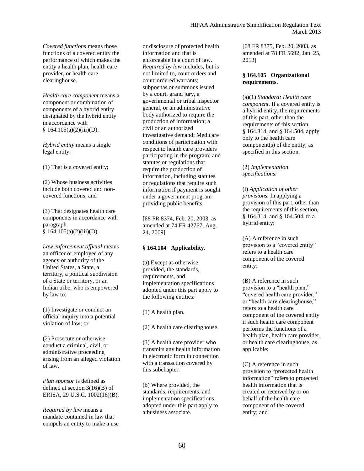*Covered functions* means those functions of a covered entity the performance of which makes the entity a health plan, health care provider, or health care clearinghouse.

*Health care component* means a component or combination of components of a hybrid entity designated by the hybrid entity in accordance with  $§ 164.105(a)(2)(iii)(D).$ 

*Hybrid entity* means a single legal entity:

(1) That is a covered entity;

(2) Whose business activities include both covered and noncovered functions; and

(3) That designates health care components in accordance with paragraph  $§ 164.105(a)(2)(iii)(D).$ 

*Law enforcement official* means an officer or employee of any agency or authority of the United States, a State, a territory, a political subdivision of a State or territory, or an Indian tribe, who is empowered by law to:

(1) Investigate or conduct an official inquiry into a potential violation of law; or

(2) Prosecute or otherwise conduct a criminal, civil, or administrative proceeding arising from an alleged violation of law.

*Plan sponsor* is defined as defined at section 3(16)(B) of ERISA, 29 U.S.C. 1002(16)(B).

*Required by law* means a mandate contained in law that compels an entity to make a use or disclosure of protected health information and that is enforceable in a court of law. *Required by law* includes, but is not limited to, court orders and court-ordered warrants; subpoenas or summons issued by a court, grand jury, a governmental or tribal inspector general, or an administrative body authorized to require the production of information; a civil or an authorized investigative demand; Medicare conditions of participation with respect to health care providers participating in the program; and statutes or regulations that require the production of information, including statutes or regulations that require such information if payment is sought under a government program providing public benefits.

[68 FR 8374, Feb. 20, 2003, as amended at 74 FR 42767, Aug. 24, 2009]

#### <span id="page-59-0"></span>**§ 164.104 Applicability.**

(a) Except as otherwise provided, the standards, requirements, and implementation specifications adopted under this part apply to the following entities:

(1) A health plan.

(2) A health care clearinghouse.

(3) A health care provider who transmits any health information in electronic form in connection with a transaction covered by this subchapter.

(b) Where provided, the standards, requirements, and implementation specifications adopted under this part apply to a business associate.

[68 FR 8375, Feb. 20, 2003, as amended at 78 FR 5692, Jan. 25, 2013]

### <span id="page-59-1"></span>**§ 164.105 Organizational requirements.**

(a)(1) *Standard: Health care component.* If a covered entity is a hybrid entity, the requirements of this part, other than the requirements of this section, § 164.314, and § 164.504, apply only to the health care  $component(s)$  of the entity, as specified in this section.

(2) *Implementation specifications:*

(i) *Application of other provisions.* In applying a provision of this part, other than the requirements of this section, § 164.314, and § 164.504, to a hybrid entity:

(A) A reference in such provision to a "covered entity" refers to a health care component of the covered entity;

(B) A reference in such provision to a "health plan," "covered health care provider," or "health care clearinghouse," refers to a health care component of the covered entity if such health care component performs the functions of a health plan, health care provider, or health care clearinghouse, as applicable;

(C) A reference in such provision to "protected health information" refers to protected health information that is created or received by or on behalf of the health care component of the covered entity; and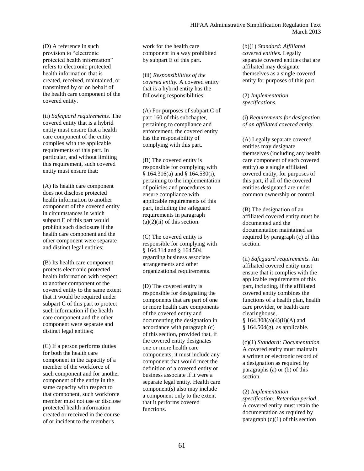(D) A reference in such provision to "electronic protected health information" refers to electronic protected health information that is created, received, maintained, or transmitted by or on behalf of the health care component of the covered entity.

(ii) *Safeguard requirements.* The covered entity that is a hybrid entity must ensure that a health care component of the entity complies with the applicable requirements of this part. In particular, and without limiting this requirement, such covered entity must ensure that:

(A) Its health care component does not disclose protected health information to another component of the covered entity in circumstances in which subpart E of this part would prohibit such disclosure if the health care component and the other component were separate and distinct legal entities;

(B) Its health care component protects electronic protected health information with respect to another component of the covered entity to the same extent that it would be required under subpart C of this part to protect such information if the health care component and the other component were separate and distinct legal entities;

(C) If a person performs duties for both the health care component in the capacity of a member of the workforce of such component and for another component of the entity in the same capacity with respect to that component, such workforce member must not use or disclose protected health information created or received in the course of or incident to the member's

work for the health care component in a way prohibited by subpart E of this part.

(iii) *Responsibilities of the covered entity.* A covered entity that is a hybrid entity has the following responsibilities:

(A) For purposes of subpart C of part 160 of this subchapter, pertaining to compliance and enforcement, the covered entity has the responsibility of complying with this part.

(B) The covered entity is responsible for complying with § 164.316(a) and § 164.530(i), pertaining to the implementation of policies and procedures to ensure compliance with applicable requirements of this part, including the safeguard requirements in paragraph  $(a)(2)(ii)$  of this section.

(C) The covered entity is responsible for complying with § 164.314 and § 164.504 regarding business associate arrangements and other organizational requirements.

(D) The covered entity is responsible for designating the components that are part of one or more health care components of the covered entity and documenting the designation in accordance with paragraph (c) of this section, provided that, if the covered entity designates one or more health care components, it must include any component that would meet the definition of a covered entity or business associate if it were a separate legal entity. Health care component(s) also may include a component only to the extent that it performs covered functions.

(b)(1) *Standard: Affiliated covered entities.* Legally separate covered entities that are affiliated may designate themselves as a single covered entity for purposes of this part.

(2) *Implementation specifications.*

(i) *Requirements for designation of an affiliated covered entity.*

(A) Legally separate covered entities may designate themselves (including any health care component of such covered entity) as a single affiliated covered entity, for purposes of this part, if all of the covered entities designated are under common ownership or control.

(B) The designation of an affiliated covered entity must be documented and the documentation maintained as required by paragraph (c) of this section.

(ii) *Safeguard requirements.* An affiliated covered entity must ensure that it complies with the applicable requirements of this part, including, if the affiliated covered entity combines the functions of a health plan, health care provider, or health care clearinghouse,  $§ 164.308(a)(4)(ii)(A)$  and § 164.504(g), as applicable.

(c)(1) *Standard: Documentation.* A covered entity must maintain a written or electronic record of a designation as required by paragraphs (a) or (b) of this section.

(2) *Implementation* 

*specification: Retention period* . A covered entity must retain the documentation as required by paragraph  $(c)(1)$  of this section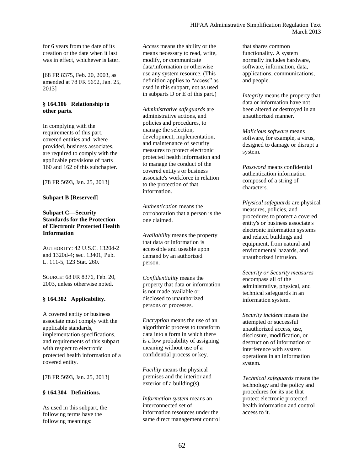for 6 years from the date of its creation or the date when it last was in effect, whichever is later.

[68 FR 8375, Feb. 20, 2003, as amended at 78 FR 5692, Jan. 25, 2013]

### <span id="page-61-0"></span>**§ 164.106 Relationship to other parts.**

In complying with the requirements of this part, covered entities and, where provided, business associates, are required to comply with the applicable provisions of parts 160 and 162 of this subchapter.

[78 FR 5693, Jan. 25, 2013]

#### <span id="page-61-1"></span>**Subpart B [Reserved]**

### <span id="page-61-2"></span>**Subpart C—Security Standards for the Protection of Electronic Protected Health Information**

AUTHORITY: 42 U.S.C. 1320d-2 and 1320d-4; sec. 13401, Pub. L. 111-5, 123 Stat. 260.

SOURCE: 68 FR 8376, Feb. 20, 2003, unless otherwise noted.

#### <span id="page-61-3"></span>**§ 164.302 Applicability.**

A covered entity or business associate must comply with the applicable standards, implementation specifications, and requirements of this subpart with respect to electronic protected health information of a covered entity.

[78 FR 5693, Jan. 25, 2013]

#### <span id="page-61-4"></span>**§ 164.304 Definitions.**

As used in this subpart, the following terms have the following meanings:

*Access* means the ability or the means necessary to read, write, modify, or communicate data/information or otherwise use any system resource. (This definition applies to "access" as used in this subpart, not as used in subparts D or E of this part.)

*Administrative safeguards* are administrative actions, and policies and procedures, to manage the selection, development, implementation, and maintenance of security measures to protect electronic protected health information and to manage the conduct of the covered entity's or business associate's workforce in relation to the protection of that information.

*Authentication* means the corroboration that a person is the one claimed.

*Availability* means the property that data or information is accessible and useable upon demand by an authorized person.

*Confidentiality* means the property that data or information is not made available or disclosed to unauthorized persons or processes.

*Encryption* means the use of an algorithmic process to transform data into a form in which there is a low probability of assigning meaning without use of a confidential process or key.

*Facility* means the physical premises and the interior and exterior of a building(s).

*Information system* means an interconnected set of information resources under the same direct management control that shares common functionality. A system normally includes hardware, software, information, data, applications, communications, and people.

*Integrity* means the property that data or information have not been altered or destroyed in an unauthorized manner.

*Malicious software* means software, for example, a virus, designed to damage or disrupt a system.

*Password* means confidential authentication information composed of a string of characters.

*Physical safeguards* are physical measures, policies, and procedures to protect a covered entity's or business associate's electronic information systems and related buildings and equipment, from natural and environmental hazards, and unauthorized intrusion.

*Security or Security measures* encompass all of the administrative, physical, and technical safeguards in an information system.

*Security incident* means the attempted or successful unauthorized access, use, disclosure, modification, or destruction of information or interference with system operations in an information system.

*Technical safeguards* means the technology and the policy and procedures for its use that protect electronic protected health information and control access to it.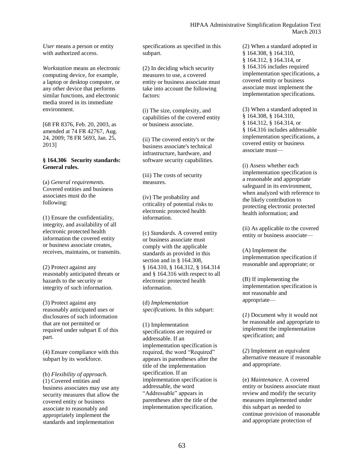*User* means a person or entity with authorized access.

*Workstation* means an electronic computing device, for example, a laptop or desktop computer, or any other device that performs similar functions, and electronic media stored in its immediate environment.

[68 FR 8376, Feb. 20, 2003, as amended at 74 FR 42767, Aug. 24, 2009; 78 FR 5693, Jan. 25, 2013]

#### <span id="page-62-0"></span>**§ 164.306 Security standards: General rules.**

(a) *General requirements.* Covered entities and business associates must do the following:

(1) Ensure the confidentiality, integrity, and availability of all electronic protected health information the covered entity or business associate creates, receives, maintains, or transmits.

(2) Protect against any reasonably anticipated threats or hazards to the security or integrity of such information.

(3) Protect against any reasonably anticipated uses or disclosures of such information that are not permitted or required under subpart E of this part.

(4) Ensure compliance with this subpart by its workforce.

(b) *Flexibility of approach.* (1) Covered entities and business associates may use any security measures that allow the covered entity or business associate to reasonably and appropriately implement the standards and implementation

specifications as specified in this subpart.

(2) In deciding which security measures to use, a covered entity or business associate must take into account the following factors:

(i) The size, complexity, and capabilities of the covered entity or business associate.

(ii) The covered entity's or the business associate's technical infrastructure, hardware, and software security capabilities.

(iii) The costs of security measures.

(iv) The probability and criticality of potential risks to electronic protected health information.

(c) *Standards.* A covered entity or business associate must comply with the applicable standards as provided in this section and in § 164.308, § 164.310, § 164.312, § 164.314 and § 164.316 with respect to all electronic protected health information.

(d) *Implementation specifications.* In this subpart:

(1) Implementation specifications are required or addressable. If an implementation specification is required, the word "Required" appears in parentheses after the title of the implementation specification. If an implementation specification is addressable, the word "Addressable" appears in parentheses after the title of the implementation specification.

(2) When a standard adopted in § 164.308, § 164.310, § 164.312, § 164.314, or § 164.316 includes required implementation specifications, a covered entity or business associate must implement the implementation specifications.

(3) When a standard adopted in § 164.308, § 164.310, § 164.312, § 164.314, or § 164.316 includes addressable implementation specifications, a covered entity or business associate must—

(i) Assess whether each implementation specification is a reasonable and appropriate safeguard in its environment, when analyzed with reference to the likely contribution to protecting electronic protected health information; and

(ii) As applicable to the covered entity or business associate—

(A) Implement the implementation specification if reasonable and appropriate; or

(B) If implementing the implementation specification is not reasonable and appropriate—

(*1*) Document why it would not be reasonable and appropriate to implement the implementation specification; and

(*2*) Implement an equivalent alternative measure if reasonable and appropriate.

(e) *Maintenance.* A covered entity or business associate must review and modify the security measures implemented under this subpart as needed to continue provision of reasonable and appropriate protection of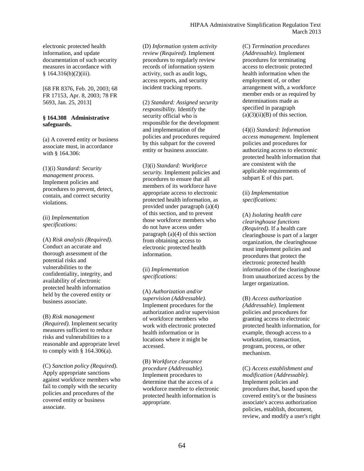[68 FR 8376, Feb. 20, 2003; 68 FR 17153, Apr. 8, 2003; 78 FR 5693, Jan. 25, 2013]

## <span id="page-63-0"></span>**§ 164.308 Administrative safeguards.**

(a) A covered entity or business associate must, in accordance with § 164.306:

(1)(i) *Standard: Security management process.* Implement policies and procedures to prevent, detect, contain, and correct security violations.

(ii) *Implementation specifications:*

(A) *Risk analysis (Required).* Conduct an accurate and thorough assessment of the potential risks and vulnerabilities to the confidentiality, integrity, and availability of electronic protected health information held by the covered entity or business associate.

(B) *Risk management (Required).* Implement security measures sufficient to reduce risks and vulnerabilities to a reasonable and appropriate level to comply with  $§$  164.306(a).

(C) *Sanction policy (Required).* Apply appropriate sanctions against workforce members who fail to comply with the security policies and procedures of the covered entity or business associate.

(D) *Information system activity review (Required).* Implement procedures to regularly review records of information system activity, such as audit logs, access reports, and security incident tracking reports.

(2) *Standard: Assigned security responsibility.* Identify the security official who is responsible for the development and implementation of the policies and procedures required by this subpart for the covered entity or business associate.

(3)(i) *Standard: Workforce security.* Implement policies and procedures to ensure that all members of its workforce have appropriate access to electronic protected health information, as provided under paragraph (a)(4) of this section, and to prevent those workforce members who do not have access under paragraph  $(a)(4)$  of this section from obtaining access to electronic protected health information.

(ii) *Implementation specifications:*

(A) *Authorization and/or supervision (Addressable).* Implement procedures for the authorization and/or supervision of workforce members who work with electronic protected health information or in locations where it might be accessed.

(B) *Workforce clearance procedure (Addressable).* Implement procedures to determine that the access of a workforce member to electronic protected health information is appropriate.

HIPAA Administrative Simplification Regulation Text March 2013

> (C) *Termination procedures (Addressable).* Implement procedures for terminating access to electronic protected health information when the employment of, or other arrangement with, a workforce member ends or as required by determinations made as specified in paragraph  $(a)(3)(ii)(B)$  of this section.

(4)(i) *Standard: Information access management.* Implement policies and procedures for authorizing access to electronic protected health information that are consistent with the applicable requirements of subpart E of this part.

(ii) *Implementation specifications:*

(A) *Isolating health care clearinghouse functions (Required).* If a health care clearinghouse is part of a larger organization, the clearinghouse must implement policies and procedures that protect the electronic protected health information of the clearinghouse from unauthorized access by the larger organization.

(B) *Access authorization (Addressable).* Implement policies and procedures for granting access to electronic protected health information, for example, through access to a workstation, transaction, program, process, or other mechanism.

(C) *Access establishment and modification (Addressable).* Implement policies and procedures that, based upon the covered entity's or the business associate's access authorization policies, establish, document, review, and modify a user's right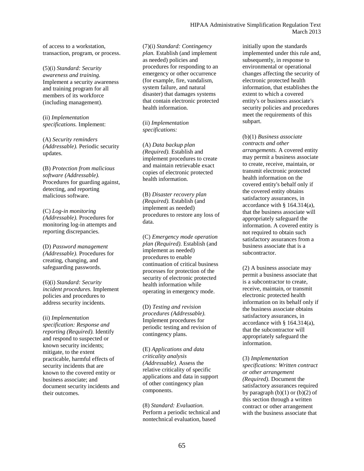of access to a workstation, transaction, program, or process.

(5)(i) *Standard: Security awareness and training.* Implement a security awareness and training program for all members of its workforce (including management).

(ii) *Implementation specifications.* Implement:

(A) *Security reminders (Addressable).* Periodic security updates.

(B) *Protection from malicious software (Addressable).* Procedures for guarding against, detecting, and reporting malicious software.

(C) *Log-in monitoring (Addressable).* Procedures for monitoring log-in attempts and reporting discrepancies.

(D) *Password management (Addressable).* Procedures for creating, changing, and safeguarding passwords.

(6)(i) *Standard: Security incident procedures.* Implement policies and procedures to address security incidents.

(ii) *Implementation specification: Response and reporting (Required).* Identify and respond to suspected or known security incidents; mitigate, to the extent practicable, harmful effects of security incidents that are known to the covered entity or business associate; and document security incidents and their outcomes.

(7)(i) *Standard: Contingency plan.* Establish (and implement as needed) policies and procedures for responding to an emergency or other occurrence (for example, fire, vandalism, system failure, and natural disaster) that damages systems that contain electronic protected health information.

(ii) *Implementation specifications:*

(A) *Data backup plan (Required).* Establish and implement procedures to create and maintain retrievable exact copies of electronic protected health information.

(B) *Disaster recovery plan (Required).* Establish (and implement as needed) procedures to restore any loss of data.

(C) *Emergency mode operation plan (Required).* Establish (and implement as needed) procedures to enable continuation of critical business processes for protection of the security of electronic protected health information while operating in emergency mode.

(D) *Testing and revision procedures (Addressable).* Implement procedures for periodic testing and revision of contingency plans.

(E) *Applications and data criticality analysis (Addressable).* Assess the relative criticality of specific applications and data in support of other contingency plan components.

(8) *Standard: Evaluation.* Perform a periodic technical and nontechnical evaluation, based

initially upon the standards implemented under this rule and, subsequently, in response to environmental or operational changes affecting the security of electronic protected health information, that establishes the extent to which a covered entity's or business associate's security policies and procedures meet the requirements of this subpart.

(b)(1) *Business associate contracts and other arrangements.* A covered entity may permit a business associate to create, receive, maintain, or transmit electronic protected health information on the covered entity's behalf only if the covered entity obtains satisfactory assurances, in accordance with § 164.314(a), that the business associate will appropriately safeguard the information. A covered entity is not required to obtain such satisfactory assurances from a business associate that is a subcontractor.

(2) A business associate may permit a business associate that is a subcontractor to create, receive, maintain, or transmit electronic protected health information on its behalf only if the business associate obtains satisfactory assurances, in accordance with § 164.314(a), that the subcontractor will appropriately safeguard the information.

(3) *Implementation specifications: Written contract or other arrangement (Required).* Document the satisfactory assurances required by paragraph  $(b)(1)$  or  $(b)(2)$  of this section through a written contract or other arrangement with the business associate that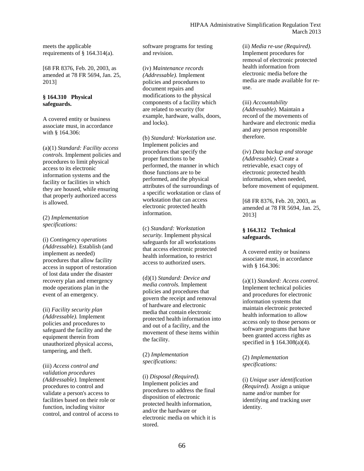meets the applicable requirements of § 164.314(a).

[68 FR 8376, Feb. 20, 2003, as amended at 78 FR 5694, Jan. 25, 2013]

### <span id="page-65-0"></span>**§ 164.310 Physical safeguards.**

A covered entity or business associate must, in accordance with § 164.306:

(a)(1) *Standard: Facility access controls.* Implement policies and procedures to limit physical access to its electronic information systems and the facility or facilities in which they are housed, while ensuring that properly authorized access is allowed.

(2) *Implementation specifications:*

(i) *Contingency operations (Addressable).* Establish (and implement as needed) procedures that allow facility access in support of restoration of lost data under the disaster recovery plan and emergency mode operations plan in the event of an emergency.

(ii) *Facility security plan (Addressable).* Implement policies and procedures to safeguard the facility and the equipment therein from unauthorized physical access, tampering, and theft.

(iii) *Access control and validation procedures (Addressable).* Implement procedures to control and validate a person's access to facilities based on their role or function, including visitor control, and control of access to

software programs for testing and revision.

(iv) *Maintenance records (Addressable).* Implement policies and procedures to document repairs and modifications to the physical components of a facility which are related to security (for example, hardware, walls, doors, and locks).

(b) *Standard: Workstation use.* Implement policies and procedures that specify the proper functions to be performed, the manner in which those functions are to be performed, and the physical attributes of the surroundings of a specific workstation or class of workstation that can access electronic protected health information.

(c) *Standard: Workstation security.* Implement physical safeguards for all workstations that access electronic protected health information, to restrict access to authorized users.

(d)(1) *Standard: Device and media controls.* Implement policies and procedures that govern the receipt and removal of hardware and electronic media that contain electronic protected health information into and out of a facility, and the movement of these items within the facility.

(2) *Implementation specifications:*

(i) *Disposal (Required).* Implement policies and procedures to address the final disposition of electronic protected health information, and/or the hardware or electronic media on which it is stored.

(ii) *Media re-use (Required).* Implement procedures for removal of electronic protected health information from electronic media before the media are made available for reuse.

(iii) *Accountability (Addressable).* Maintain a record of the movements of hardware and electronic media and any person responsible therefore.

(iv) *Data backup and storage (Addressable).* Create a retrievable, exact copy of electronic protected health information, when needed, before movement of equipment.

[68 FR 8376, Feb. 20, 2003, as amended at 78 FR 5694, Jan. 25, 2013]

# <span id="page-65-1"></span>**§ 164.312 Technical safeguards.**

A covered entity or business associate must, in accordance with § 164.306:

(a)(1) *Standard: Access control.* Implement technical policies and procedures for electronic information systems that maintain electronic protected health information to allow access only to those persons or software programs that have been granted access rights as specified in § 164.308(a)(4).

(2) *Implementation specifications:*

(i) *Unique user identification (Required).* Assign a unique name and/or number for identifying and tracking user identity.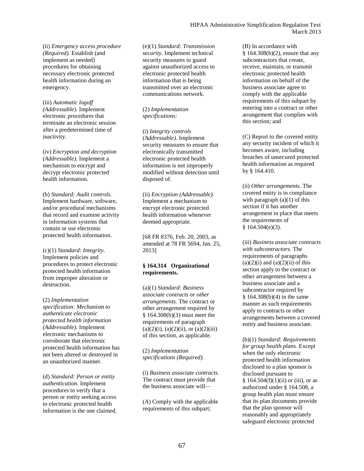(ii) *Emergency access procedure (Required).* Establish (and implement as needed) procedures for obtaining necessary electronic protected health information during an emergency.

(iii) *Automatic logoff (Addressable).* Implement electronic procedures that terminate an electronic session after a predetermined time of inactivity.

(iv) *Encryption and decryption (Addressable).* Implement a mechanism to encrypt and decrypt electronic protected health information.

(b) *Standard: Audit controls.* Implement hardware, software, and/or procedural mechanisms that record and examine activity in information systems that contain or use electronic protected health information.

(c)(1) *Standard: Integrity.* Implement policies and procedures to protect electronic protected health information from improper alteration or destruction.

(2) *Implementation specification: Mechanism to authenticate electronic protected health information (Addressable).* Implement electronic mechanisms to corroborate that electronic protected health information has not been altered or destroyed in an unauthorized manner.

(d) *Standard: Person or entity authentication.* Implement procedures to verify that a person or entity seeking access to electronic protected health information is the one claimed. (e)(1) *Standard: Transmission security.* Implement technical security measures to guard against unauthorized access to electronic protected health information that is being transmitted over an electronic communications network.

(2) *Implementation specifications:*

(i) *Integrity controls (Addressable).* Implement security measures to ensure that electronically transmitted electronic protected health information is not improperly modified without detection until disposed of.

(ii) *Encryption (Addressable).*  Implement a mechanism to encrypt electronic protected health information whenever deemed appropriate.

[68 FR 8376, Feb. 20, 2003, as amended at 78 FR 5694, Jan. 25, 2013]

# <span id="page-66-0"></span>**§ 164.314 Organizational requirements.**

(a)(1) *Standard: Business associate contracts or other arrangements.* The contract or other arrangement required by § 164.308(b)(3) must meet the requirements of paragraph  $(a)(2)(i)$ ,  $(a)(2)(ii)$ , or  $(a)(2)(iii)$ of this section, as applicable.

(2) *Implementation specifications (Required).*

(i) *Business associate contracts.* The contract must provide that the business associate will—

(A) Comply with the applicable requirements of this subpart;

(B) In accordance with § 164.308(b)(2), ensure that any subcontractors that create, receive, maintain, or transmit electronic protected health information on behalf of the business associate agree to comply with the applicable requirements of this subpart by entering into a contract or other arrangement that complies with this section; and

(C) Report to the covered entity any security incident of which it becomes aware, including breaches of unsecured protected health information as required by § 164.410.

(ii) *Other arrangements.* The covered entity is in compliance with paragraph  $(a)(1)$  of this section if it has another arrangement in place that meets the requirements of  $§$  164.504(e)(3).

(iii) *Business associate contracts with subcontractors.* The requirements of paragraphs  $(a)(2)(i)$  and  $(a)(2)(ii)$  of this section apply to the contract or other arrangement between a business associate and a subcontractor required by § 164.308(b)(4) in the same manner as such requirements apply to contracts or other arrangements between a covered entity and business associate.

(b)(1) *Standard: Requirements for group health plans.* Except when the only electronic protected health information disclosed to a plan sponsor is disclosed pursuant to  $§ 164.504(f)(1)(ii)$  or (iii), or as authorized under § 164.508, a group health plan must ensure that its plan documents provide that the plan sponsor will reasonably and appropriately safeguard electronic protected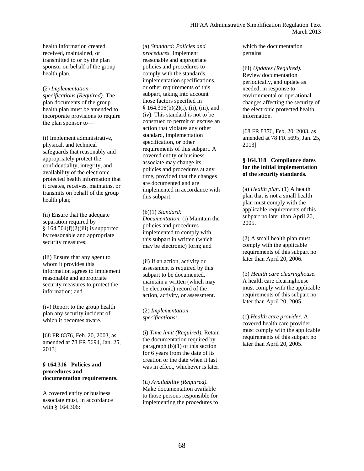health information created, received, maintained, or transmitted to or by the plan sponsor on behalf of the group health plan.

(2) *Implementation specifications (Required).* The plan documents of the group health plan must be amended to incorporate provisions to require the plan sponsor to—

(i) Implement administrative, physical, and technical safeguards that reasonably and appropriately protect the confidentiality, integrity, and availability of the electronic protected health information that it creates, receives, maintains, or transmits on behalf of the group health plan;

(ii) Ensure that the adequate separation required by  $§ 164.504(f)(2)(iii)$  is supported by reasonable and appropriate security measures;

(iii) Ensure that any agent to whom it provides this information agrees to implement reasonable and appropriate security measures to protect the information; and

(iv) Report to the group health plan any security incident of which it becomes aware.

[68 FR 8376, Feb. 20, 2003, as amended at 78 FR 5694, Jan. 25, 2013]

#### <span id="page-67-0"></span>**§ 164.316 Policies and procedures and documentation requirements.**

A covered entity or business associate must, in accordance with § 164.306:

(a) *Standard: Policies and procedures.* Implement reasonable and appropriate policies and procedures to comply with the standards, implementation specifications, or other requirements of this subpart, taking into account those factors specified in §  $164.306(b)(2)(i)$ , (ii), (iii), and (iv). This standard is not to be construed to permit or excuse an action that violates any other standard, implementation specification, or other requirements of this subpart. A covered entity or business associate may change its policies and procedures at any time, provided that the changes are documented and are implemented in accordance with this subpart.

(b)(1) *Standard:* 

*Documentation.* (i) Maintain the policies and procedures implemented to comply with this subpart in written (which may be electronic) form; and

(ii) If an action, activity or assessment is required by this subpart to be documented, maintain a written (which may be electronic) record of the action, activity, or assessment.

(2) *Implementation specifications:*

(i) *Time limit (Required).* Retain the documentation required by paragraph (b)(1) of this section for 6 years from the date of its creation or the date when it last was in effect, whichever is later.

(ii) *Availability (Required).*  Make documentation available to those persons responsible for implementing the procedures to

which the documentation pertains.

(iii) *Updates (Required).* Review documentation periodically, and update as needed, in response to environmental or operational changes affecting the security of the electronic protected health information.

[68 FR 8376, Feb. 20, 2003, as amended at 78 FR 5695, Jan. 25, 2013]

### <span id="page-67-1"></span>**§ 164.318 Compliance dates for the initial implementation of the security standards.**

(a) *Health plan.* (1) A health plan that is not a small health plan must comply with the applicable requirements of this subpart no later than April 20, 2005.

(2) A small health plan must comply with the applicable requirements of this subpart no later than April 20, 2006.

(b) *Health care clearinghouse.* A health care clearinghouse must comply with the applicable requirements of this subpart no later than April 20, 2005.

(c) *Health care provider.* A covered health care provider must comply with the applicable requirements of this subpart no later than April 20, 2005.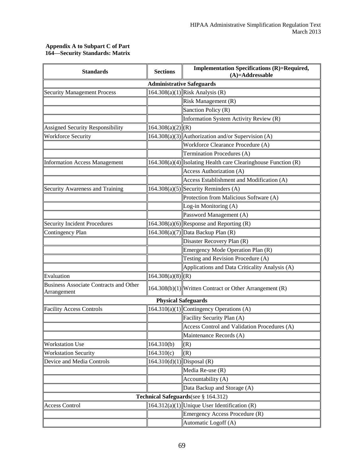### **Appendix A to Subpart C of Part 164—Security Standards: Matrix**

| <b>Standards</b>                                             | <b>Sections</b>                | <b>Implementation Specifications (R)=Required,</b><br>$(A)=$ Addressable |  |
|--------------------------------------------------------------|--------------------------------|--------------------------------------------------------------------------|--|
| <b>Administrative Safeguards</b>                             |                                |                                                                          |  |
| <b>Security Management Process</b>                           |                                | $164.308(a)(1)$ Risk Analysis (R)                                        |  |
|                                                              |                                | Risk Management (R)                                                      |  |
|                                                              |                                | Sanction Policy (R)                                                      |  |
|                                                              |                                | Information System Activity Review (R)                                   |  |
| <b>Assigned Security Responsibility</b>                      | $164.308(a)(2)$ <sub>(R)</sub> |                                                                          |  |
| <b>Workforce Security</b>                                    |                                | 164.308(a)(3) Authorization and/or Supervision (A)                       |  |
|                                                              |                                | Workforce Clearance Procedure (A)                                        |  |
|                                                              |                                | Termination Procedures (A)                                               |  |
| <b>Information Access Management</b>                         |                                | $164.308(a)(4)$ Isolating Health care Clearinghouse Function (R)         |  |
|                                                              |                                | Access Authorization (A)                                                 |  |
|                                                              |                                | Access Establishment and Modification (A)                                |  |
| <b>Security Awareness and Training</b>                       |                                | $164.308(a)(5)$ Security Reminders (A)                                   |  |
|                                                              |                                | Protection from Malicious Software (A)                                   |  |
|                                                              |                                | Log-in Monitoring (A)                                                    |  |
|                                                              |                                | Password Management (A)                                                  |  |
| <b>Security Incident Procedures</b>                          |                                | 164.308(a)(6) Response and Reporting (R)                                 |  |
| Contingency Plan                                             |                                | $164.308(a)(7)$ Data Backup Plan (R)                                     |  |
|                                                              |                                | Disaster Recovery Plan (R)                                               |  |
|                                                              |                                | Emergency Mode Operation Plan (R)                                        |  |
|                                                              |                                | Testing and Revision Procedure (A)                                       |  |
|                                                              |                                | Applications and Data Criticality Analysis (A)                           |  |
| Evaluation                                                   | $164.308(a)(8)$ <sub>(R)</sub> |                                                                          |  |
| <b>Business Associate Contracts and Other</b><br>Arrangement |                                | 164.308(b)(1) Written Contract or Other Arrangement (R)                  |  |
| <b>Physical Safeguards</b>                                   |                                |                                                                          |  |
| <b>Facility Access Controls</b>                              |                                | $164.310(a)(1)$ Contingency Operations (A)                               |  |
|                                                              |                                | Facility Security Plan (A)                                               |  |
|                                                              |                                | Access Control and Validation Procedures (A)                             |  |
|                                                              |                                | Maintenance Records (A)                                                  |  |
| <b>Workstation Use</b>                                       | 164.310(b)                     | (R)                                                                      |  |
| <b>Workstation Security</b>                                  | 164.310(c)                     | (R)                                                                      |  |
| Device and Media Controls                                    | $164.310(d)(1)$ Disposal (R)   |                                                                          |  |
|                                                              |                                | Media Re-use (R)                                                         |  |
|                                                              |                                | Accountability (A)                                                       |  |
|                                                              |                                | Data Backup and Storage (A)                                              |  |
| Technical Safeguards(see § 164.312)                          |                                |                                                                          |  |
| <b>Access Control</b>                                        |                                | $164.312(a)(1)$ Unique User Identification (R)                           |  |
|                                                              |                                | Emergency Access Procedure (R)                                           |  |
|                                                              |                                | Automatic Logoff (A)                                                     |  |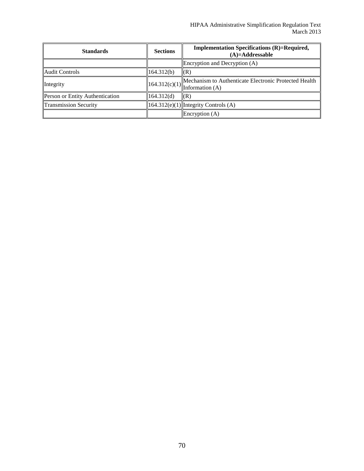| <b>Standards</b>                | <b>Sections</b> | <b>Implementation Specifications (R)=Required,</b><br>$(A)=$ Addressable               |
|---------------------------------|-----------------|----------------------------------------------------------------------------------------|
|                                 |                 | Encryption and Decryption (A)                                                          |
| <b>Audit Controls</b>           | 164.312(b)      | (R)                                                                                    |
| Integrity                       |                 | 164.312(c)(1) Mechanism to Authenticate Electronic Protected Health<br>Information (A) |
| Person or Entity Authentication | 164.312(d)      | (R)                                                                                    |
| <b>Transmission Security</b>    |                 | $164.312(e)(1)$ Integrity Controls (A)                                                 |
|                                 |                 | Encryption $(A)$                                                                       |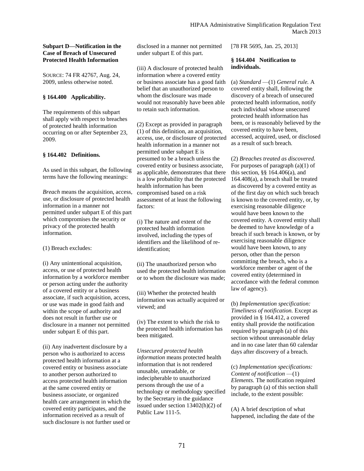### **Subpart D—Notification in the Case of Breach of Unsecured Protected Health Information**

SOURCE: 74 FR 42767, Aug. 24, 2009, unless otherwise noted.

### <span id="page-70-0"></span>**§ 164.400 Applicability.**

The requirements of this subpart shall apply with respect to breaches of protected health information occurring on or after September 23, 2009.

#### <span id="page-70-1"></span>**§ 164.402 Definitions.**

As used in this subpart, the following terms have the following meanings:

*Breach* means the acquisition, access , use, or disclosure of protected health information in a manner not permitted under subpart E of this part which compromises the security or privacy of the protected health information.

(1) Breach excludes:

(i) Any unintentional acquisition, access, or use of protected health information by a workforce member or person acting under the authority of a covered entity or a business associate, if such acquisition, access, or use was made in good faith and within the scope of authority and does not result in further use or disclosure in a manner not permitted under subpart E of this part.

(ii) Any inadvertent disclosure by a person who is authorized to access protected health information at a covered entity or business associate to another person authorized to access protected health information at the same covered entity or business associate, or organized health care arrangement in which the covered entity participates, and the information received as a result of such disclosure is not further used or disclosed in a manner not permitted under subpart E of this part.

(iii) A disclosure of protected health information where a covered entity or business associate has a good faith belief that an unauthorized person to whom the disclosure was made would not reasonably have been able to retain such information.

(2) Except as provided in paragraph (1) of this definition, an acquisition, access, use, or disclosure of protected health information in a manner not permitted under subpart E is presumed to be a breach unless the covered entity or business associate, as applicable, demonstrates that there is a low probability that the protected health information has been compromised based on a risk assessment of at least the following factors:

(i) The nature and extent of the protected health information involved, including the types of identifiers and the likelihood of reidentification;

(ii) The unauthorized person who used the protected health information or to whom the disclosure was made;

(iii) Whether the protected health information was actually acquired or viewed; and

(iv) The extent to which the risk to the protected health information has been mitigated.

*Unsecured protected health information* means protected health information that is not rendered unusable, unreadable, or indecipherable to unauthorized persons through the use of a technology or methodology specified by the Secretary in the guidance issued under section 13402(h)(2) of Public Law 111-5.

[78 FR 5695, Jan. 25, 2013]

#### <span id="page-70-2"></span>**§ 164.404 Notification to individuals.**

(a) *Standard* —(1) *General rule.* A covered entity shall, following the discovery of a breach of unsecured protected health information, notify each individual whose unsecured protected health information has been, or is reasonably believed by the covered entity to have been, accessed, acquired, used, or disclosed as a result of such breach.

(2) *Breaches treated as discovered.* For purposes of paragraph (a)(1) of this section, §§ 164.406(a), and 164.408(a), a breach shall be treated as discovered by a covered entity as of the first day on which such breach is known to the covered entity, or, by exercising reasonable diligence would have been known to the covered entity. A covered entity shall be deemed to have knowledge of a breach if such breach is known, or by exercising reasonable diligence would have been known, to any person, other than the person committing the breach, who is a workforce member or agent of the covered entity (determined in accordance with the federal common law of agency).

(b) *Implementation specification: Timeliness of notification.* Except as provided in § 164.412, a covered entity shall provide the notification required by paragraph (a) of this section without unreasonable delay and in no case later than 60 calendar days after discovery of a breach.

(c) *Implementation specifications: Content of notification* —(1) *Elements.* The notification required by paragraph (a) of this section shall include, to the extent possible:

(A) A brief description of what happened, including the date of the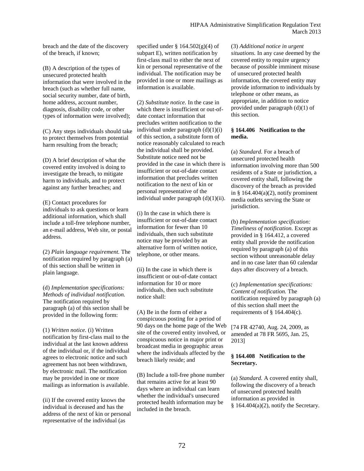breach and the date of the discovery of the breach, if known;

(B) A description of the types of unsecured protected health information that were involved in the breach (such as whether full name, social security number, date of birth, home address, account number, diagnosis, disability code, or other types of information were involved);

(C) Any steps individuals should tak e to protect themselves from potential harm resulting from the breach;

(D) A brief description of what the covered entity involved is doing to investigate the breach, to mitigate harm to individuals, and to protect against any further breaches; and

(E) Contact procedures for individuals to ask questions or learn additional information, which shall include a toll-free telephone number, an e-mail address, Web site, or postal address.

(2) *Plain language requirement.* The notification required by paragraph (a) of this section shall be written in plain language.

(d) *Implementation specifications: Methods of individual notification.* The notification required by paragraph (a) of this section shall be provided in the following form:

(1) *Written notice.* (i) Written notification by first-class mail to the individual at the last known address of the individual or, if the individual agrees to electronic notice and such agreement has not been withdrawn, by electronic mail. The notification may be provided in one or more mailings as information is available.

(ii) If the covered entity knows the individual is deceased and has the address of the next of kin or personal representative of the individual (as

specified under §  $164.502(g)(4)$  of subpart E), written notification by first-class mail to either the next of kin or personal representative of the individual. The notification may be provided in one or more mailings as information is available.

(2) *Substitute notice.* In the case in which there is insufficient or out-ofdate contact information that precludes written notification to the individual under paragraph (d)(1)(i) of this section, a substitute form of notice reasonably calculated to reach the individual shall be provided. Substitute notice need not be provided in the case in which there is insufficient or out-of-date contact information that precludes written notification to the next of kin or personal representative of the individual under paragraph (d)(1)(ii).

(i) In the case in which there is insufficient or out-of-date contact information for fewer than 10 individuals, then such substitute notice may be provided by an alternative form of written notice, telephone, or other means.

(ii) In the case in which there is insufficient or out-of-date contact information for 10 or more individuals, then such substitute notice shall:

(A) Be in the form of either a conspicuous posting for a period of 90 days on the home page of the Web site of the covered entity involved, or conspicuous notice in major print or broadcast media in geographic areas where the individuals affected by the breach likely reside; and

(B) Include a toll-free phone number that remains active for at least 90 days where an individual can learn whether the individual's unsecured protected health information may be included in the breach.

(3) *Additional notice in urgent situations.* In any case deemed by the covered entity to require urgency because of possible imminent misuse of unsecured protected health information, the covered entity may provide information to individuals by telephone or other means, as appropriate, in addition to notice provided under paragraph (d)(1) of this section.

### <span id="page-71-0"></span>**§ 164.406 Notification to the media.**

(a) *Standard.* For a breach of unsecured protected health information involving more than 500 residents of a State or jurisdiction, a covered entity shall, following the discovery of the breach as provided in § 164.404(a)(2), notify prominent media outlets serving the State or jurisdiction.

(b) *Implementation specification: Timeliness of notification.* Except as provided in § 164.412, a covered entity shall provide the notification required by paragraph (a) of this section without unreasonable delay and in no case later than 60 calendar days after discovery of a breach.

(c) *Implementation specifications: Content of notification.* The notification required by paragraph (a) of this section shall meet the requirements of  $\S$  164.404(c).

[74 FR 42740, Aug. 24, 2009, as amended at 78 FR 5695, Jan. 25, 2013]

### <span id="page-71-1"></span>**§ 164.408 Notification to the Secretary.**

(a) *Standard.* A covered entity shall, following the discovery of a breach of unsecured protected health information as provided in §  $164.404(a)(2)$ , notify the Secretary.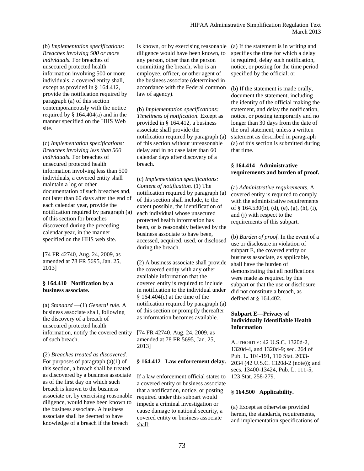(b) *Implementation specifications: Breaches involving 500 or more individuals.* For breaches of unsecured protected health information involving 500 or more individuals, a covered entity shall, except as provided in § 164.412, provide the notification required by paragraph (a) of this section contemporaneously with the notice required by  $\S$  164.404(a) and in the manner specified on the HHS Web site.

(c) *Implementation specifications: Breaches involving less than 500 individuals.* For breaches of unsecured protected health information involving less than 500 individuals, a covered entity shall maintain a log or other documentation of such breaches and, not later than 60 days after the end of each calendar year, provide the notification required by paragraph (a) of this section for breaches discovered during the preceding calendar year, in the manner specified on the HHS web site.

[74 FR 42740, Aug. 24, 2009, as amended at 78 FR 5695, Jan. 25, 2013]

### **§ 164.410 Notification by a business associate.**

(a) *Standard* —(1) *General rule.* A business associate shall, following the discovery of a breach of unsecured protected health information, notify the covered entity of such breach.

(2) *Breaches treated as discovered.* For purposes of paragraph  $(a)(1)$  of this section, a breach shall be treated as discovered by a business associate as of the first day on which such breach is known to the business associate or, by exercising reasonable diligence, would have been known to the business associate. A business associate shall be deemed to have knowledge of a breach if the breach

is known, or by exercising reasonable (a) If the statement is in writing and diligence would have been known, to any person, other than the person committing the breach, who is an employee, officer, or other agent of the business associate (determined in accordance with the Federal common law of agency).

(b) *Implementation specifications: Timeliness of notification.* Except as provided in § 164.412, a business associate shall provide the notification required by paragraph (a) of this section without unreasonable delay and in no case later than 60 calendar days after discovery of a breach.

(c) *Implementation specifications: Content of notification.* (1) The notification required by paragraph (a) of this section shall include, to the extent possible, the identification of each individual whose unsecured protected health information has been, or is reasonably believed by the business associate to have been, accessed, acquired, used, or disclosed during the breach.

(2) A business associate shall provide the covered entity with any other available information that the covered entity is required to include in notification to the individual under  $§ 164.404(c)$  at the time of the notification required by paragraph (a) of this section or promptly thereafter as information becomes available.

[74 FR 42740, Aug. 24, 2009, as amended at 78 FR 5695, Jan. 25, 2013]

# **§ 164.412 Law enforcement delay.**

If a law enforcement official states to a covered entity or business associate that a notification, notice, or posting required under this subpart would impede a criminal investigation or cause damage to national security, a covered entity or business associate shall:

specifies the time for which a delay is required, delay such notification, notice, or posting for the time period specified by the official; or

(b) If the statement is made orally, document the statement, including the identity of the official making the statement, and delay the notification, notice, or posting temporarily and no longer than 30 days from the date of the oral statement, unless a written statement as described in paragraph (a) of this section is submitted during that time.

### **§ 164.414 Administrative requirements and burden of proof.**

(a) *Administrative requirements.* A covered entity is required to comply with the administrative requirements of § 164.530(b), (d), (e), (g), (h), (i), and (j) with respect to the requirements of this subpart.

(b) *Burden of proof.* In the event of a use or disclosure in violation of subpart E, the covered entity or business associate, as applicable, shall have the burden of demonstrating that all notifications were made as required by this subpart or that the use or disclosure did not constitute a breach, as defined at § 164.402.

# **Subpart E—Privacy of Individually Identifiable Health Information**

AUTHORITY: 42 U.S.C. 1320d-2, 1320d-4, and 1320d-9; sec. 264 of Pub. L. 104-191, 110 Stat. 2033- 2034 (42 U.S.C. 1320d-2 (note)); and secs. 13400-13424, Pub. L. 111-5, 123 Stat. 258-279.

# **§ 164.500 Applicability.**

(a) Except as otherwise provided herein, the standards, requirements, and implementation specifications of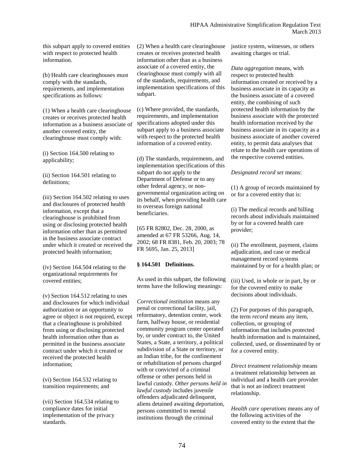this subpart apply to covered entities with respect to protected health information.

(b) Health care clearinghouses must comply with the standards, requirements, and implementation specifications as follows:

(1) When a health care clearinghouse creates or receives protected health information as a business associate of another covered entity, the clearinghouse must comply with:

(i) Section 164.500 relating to applicability;

(ii) Section 164.501 relating to definitions;

(iii) Section 164.502 relating to uses and disclosures of protected health information, except that a clearinghouse is prohibited from using or disclosing protected health information other than as permitted in the business associate contract under which it created or received the protected health information;

(iv) Section 164.504 relating to the organizational requirements for covered entities;

(v) Section 164.512 relating to uses and disclosures for which individual authorization or an opportunity to agree or object is not required, except that a clearinghouse is prohibited from using or disclosing protected health information other than as permitted in the business associate contract under which it created or received the protected health information;

(vi) Section 164.532 relating to transition requirements; and

(vii) Section 164.534 relating to compliance dates for initial implementation of the privacy standards.

(2) When a health care clearinghouse creates or receives protected health information other than as a business associate of a covered entity, the clearinghouse must comply with all of the standards, requirements, and implementation specifications of this subpart.

(c) Where provided, the standards, requirements, and implementation specifications adopted under this subpart apply to a business associate with respect to the protected health information of a covered entity.

(d) The standards, requirements, and implementation specifications of this subpart do not apply to the Department of Defense or to any other federal agency, or nongovernmental organization acting on its behalf, when providing health care to overseas foreign national beneficiaries.

[65 FR 82802, Dec. 28, 2000, as amended at 67 FR 53266, Aug. 14, 2002; 68 FR 8381, Feb. 20, 2003; 78 FR 5695, Jan. 25, 2013]

# **§ 164.501 Definitions.**

As used in this subpart, the following terms have the following meanings:

*Correctional institution* means any penal or correctional facility, jail, reformatory, detention center, work farm, halfway house, or residential community program center operated by, or under contract to, the United States, a State, a territory, a political subdivision of a State or territory, or an Indian tribe, for the confinement or rehabilitation of persons charged with or convicted of a criminal offense or other persons held in lawful custody. *Other persons held in lawful custody* includes juvenile offenders adjudicated delinquent, aliens detained awaiting deportation, persons committed to mental institutions through the criminal

justice system, witnesses, or others awaiting charges or trial.

*Data aggregation* means, with respect to protected health information created or received by a business associate in its capacity as the business associate of a covered entity, the combining of such protected health information by the business associate with the protected health information received by the business associate in its capacity as a business associate of another covered entity, to permit data analyses that relate to the health care operations of the respective covered entities.

*Designated record set* means:

(1) A group of records maintained by or for a covered entity that is:

(i) The medical records and billing records about individuals maintained by or for a covered health care provider;

(ii) The enrollment, payment, claims adjudication, and case or medical management record systems maintained by or for a health plan; or

(iii) Used, in whole or in part, by or for the covered entity to make decisions about individuals.

(2) For purposes of this paragraph, the term *record* means any item, collection, or grouping of information that includes protected health information and is maintained, collected, used, or disseminated by or for a covered entity.

*Direct treatment relationship* means a treatment relationship between an individual and a health care provider that is not an indirect treatment relationship.

*Health care operations* means any of the following activities of the covered entity to the extent that the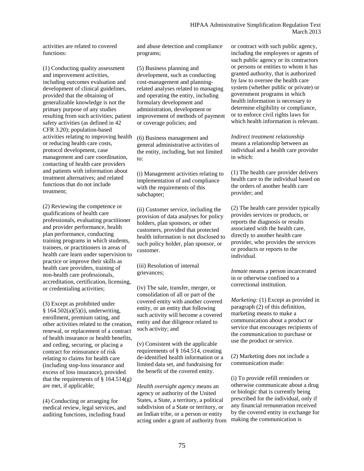activities are related to covered functions:

(1) Conducting quality assessment and improvement activities, including outcomes evaluation and development of clinical guidelines, provided that the obtaining of generalizable knowledge is not the primary purpose of any studies resulting from such activities; patient safety activities (as defined in 42 CFR 3.20); population-based activities relating to improving health or reducing health care costs, protocol development, case management and care coordination, contacting of health care providers and patients with information about treatment alternatives; and related functions that do not include treatment;

(2) Reviewing the competence or qualifications of health care professionals, evaluating practitioner and provider performance, health plan performance, conducting training programs in which students, trainees, or practitioners in areas of health care learn under supervision to practice or improve their skills as health care providers, training of non-health care professionals, accreditation, certification, licensing, or credentialing activities;

(3) Except as prohibited under § 164.502(a)(5)(i), underwriting, enrollment, premium rating, and other activities related to the creation, renewal, or replacement of a contract of health insurance or health benefits, and ceding, securing, or placing a contract for reinsurance of risk relating to claims for health care (including stop-loss insurance and excess of loss insurance), provided that the requirements of  $\S$  164.514(g) are met, if applicable;

(4) Conducting or arranging for medical review, legal services, and auditing functions, including fraud

and abuse detection and compliance programs;

(5) Business planning and development, such as conducting cost-management and planningrelated analyses related to managing and operating the entity, including formulary development and administration, development or improvement of methods of payment or coverage policies; and

(6) Business management and general administrative activities of the entity, including, but not limited to:

(i) Management activities relating to implementation of and compliance with the requirements of this subchapter;

(ii) Customer service, including the provision of data analyses for policy holders, plan sponsors, or other customers, provided that protected health information is not disclosed to such policy holder, plan sponsor, or customer.

(iii) Resolution of internal grievances;

(iv) The sale, transfer, merger, or consolidation of all or part of the covered entity with another covered entity, or an entity that following such activity will become a covered entity and due diligence related to such activity; and

(v) Consistent with the applicable requirements of § 164.514, creating de-identified health information or a limited data set, and fundraising for the benefit of the covered entity.

*Health oversight agency* means an agency or authority of the United States, a State, a territory, a political subdivision of a State or territory, or an Indian tribe, or a person or entity acting under a grant of authority from or contract with such public agency, including the employees or agents of such public agency or its contractors or persons or entities to whom it has granted authority, that is authorized by law to oversee the health care system (whether public or private) or government programs in which health information is necessary to determine eligibility or compliance, or to enforce civil rights laws for which health information is relevant.

*Indirect treatment relationship* means a relationship between an individual and a health care provider in which:

(1) The health care provider delivers health care to the individual based on the orders of another health care provider; and

(2) The health care provider typically provides services or products, or reports the diagnosis or results associated with the health care, directly to another health care provider, who provides the services or products or reports to the individual.

*Inmate* means a person incarcerated in or otherwise confined to a correctional institution.

*Marketing:* (1) Except as provided in paragraph (2) of this definition, marketing means to make a communication about a product or service that encourages recipients of the communication to purchase or use the product or service.

(2) Marketing does not include a communication made:

(i) To provide refill reminders or otherwise communicate about a drug or biologic that is currently being prescribed for the individual, only if any financial remuneration received by the covered entity in exchange for making the communication is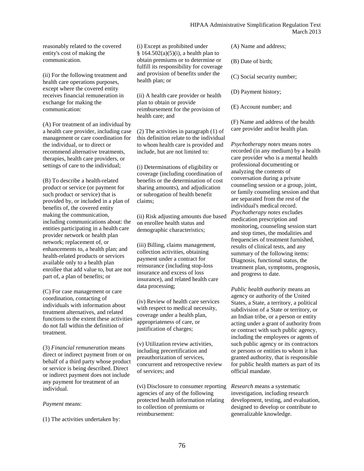reasonably related to the covered entity's cost of making the communication.

(ii) For the following treatment and health care operations purposes, except where the covered entity receives financial remuneration in exchange for making the communication:

(A) For treatment of an individual by a health care provider, including case management or care coordination for the individual, or to direct or recommend alternative treatments, therapies, health care providers, or settings of care to the individual;

(B) To describe a health-related product or service (or payment for such product or service) that is provided by, or included in a plan of benefits of, the covered entity making the communication, including communications about: the entities participating in a health care provider network or health plan network; replacement of, or enhancements to, a health plan; and health-related products or services available only to a health plan enrollee that add value to, but are not part of, a plan of benefits; or

(C) For case management or care coordination, contacting of individuals with information about treatment alternatives, and related functions to the extent these activities do not fall within the definition of treatment.

(3) *Financial remuneration* means direct or indirect payment from or on behalf of a third party whose product or service is being described. Direct or indirect payment does not include any payment for treatment of an individual.

*Payment* means:

(1) The activities undertaken by:

(i) Except as prohibited under §  $164.502(a)(5)(i)$ , a health plan to obtain premiums or to determine or fulfill its responsibility for coverage and provision of benefits under the health plan; or

(ii) A health care provider or health plan to obtain or provide reimbursement for the provision of health care; and

(2) The activities in paragraph (1) of this definition relate to the individual to whom health care is provided and include, but are not limited to:

(i) Determinations of eligibility or coverage (including coordination of benefits or the determination of cost sharing amounts), and adjudication or subrogation of health benefit claims;

(ii) Risk adjusting amounts due based on enrollee health status and demographic characteristics;

(iii) Billing, claims management, collection activities, obtaining payment under a contract for reinsurance (including stop-loss insurance and excess of loss insurance), and related health care data processing;

(iv) Review of health care services with respect to medical necessity, coverage under a health plan, appropriateness of care, or justification of charges;

(v) Utilization review activities, including precertification and preauthorization of services, concurrent and retrospective review of services; and

(vi) Disclosure to consumer reporting agencies of any of the following protected health information relating to collection of premiums or reimbursement:

(A) Name and address;

(B) Date of birth;

(C) Social security number;

(D) Payment history;

(E) Account number; and

(F) Name and address of the health care provider and/or health plan.

*Psychotherapy notes* means notes recorded (in any medium) by a health care provider who is a mental health professional documenting or analyzing the contents of conversation during a private counseling session or a group, joint, or family counseling session and that are separated from the rest of the individual's medical record. *Psychotherapy notes* excludes medication prescription and monitoring, counseling session start and stop times, the modalities and frequencies of treatment furnished, results of clinical tests, and any summary of the following items: Diagnosis, functional status, the treatment plan, symptoms, prognosis, and progress to date.

*Public health authority* means an agency or authority of the United States, a State, a territory, a political subdivision of a State or territory, or an Indian tribe, or a person or entity acting under a grant of authority from or contract with such public agency, including the employees or agents of such public agency or its contractors or persons or entities to whom it has granted authority, that is responsible for public health matters as part of its official mandate.

*Research* means a systematic investigation, including research development, testing, and evaluation, designed to develop or contribute to generalizable knowledge.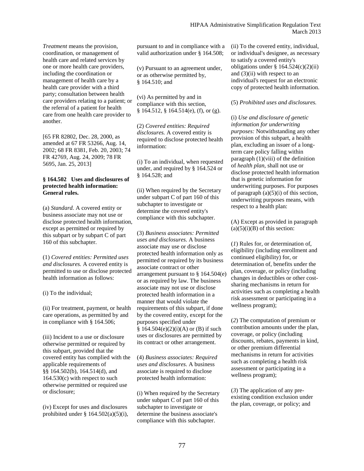*Treatment* means the provision, coordination, or management of health care and related services by one or more health care providers, including the coordination or management of health care by a health care provider with a third party; consultation between health care providers relating to a patient; or the referral of a patient for health care from one health care provider to another.

[65 FR 82802, Dec. 28, 2000, as amended at 67 FR 53266, Aug. 14, 2002; 68 FR 8381, Feb. 20, 2003; 74 FR 42769, Aug. 24, 2009; 78 FR 5695, Jan. 25, 2013]

## **§ 164.502 Uses and disclosures of protected health information: General rules.**

(a) *Standard.* A covered entity or business associate may not use or disclose protected health information , except as permitted or required by this subpart or by subpart C of part 160 of this subchapter.

(1) *Covered entities: Permitted uses and disclosures.* A covered entity is permitted to use or disclose protected health information as follows:

(i) To the individual;

(ii) For treatment, payment, or health care operations, as permitted by and in compliance with § 164.506;

(iii) Incident to a use or disclosure otherwise permitted or required by this subpart, provided that the covered entity has complied with the applicable requirements of §§ 164.502(b), 164.514(d), and 164.530(c) with respect to such otherwise permitted or required use or disclosure;

(iv) Except for uses and disclosures prohibited under  $§$  164.502(a)(5)(i), pursuant to and in compliance with a valid authorization under § 164.508;

(v) Pursuant to an agreement under, or as otherwise permitted by, § 164.510; and

(vi) As permitted by and in compliance with this section, § 164.512, § 164.514(e), (f), or (g).

(2) *Covered entities: Required disclosures.* A covered entity is required to disclose protected health information:

(i) To an individual, when requested under, and required by § 164.524 or § 164.528; and

(ii) When required by the Secretary under subpart C of part 160 of this subchapter to investigate or determine the covered entity's compliance with this subchapter.

(3) *Business associates: Permitted uses and disclosures.* A business associate may use or disclose protected health information only as permitted or required by its business associate contract or other arrangement pursuant to § 164.504( e) or as required by law. The business associate may not use or disclose protected health information in a manner that would violate the requirements of this subpart, if done by the covered entity, except for the purposes specified under  $§ 164.504(e)(2)(i)(A)$  or (B) if such uses or disclosures are permitted by its contract or other arrangement.

(4) *Business associates: Required uses and disclosures.* A business associate is required to disclose protected health information:

(i) When required by the Secretary under subpart C of part 160 of this subchapter to investigate or determine the business associate's compliance with this subchapter.

(ii) To the covered entity, individual, or individual's designee, as necessary to satisfy a covered entity's obligations under  $§$  164.524(c)(2)(ii) and  $(3)(ii)$  with respect to an individual's request for an electronic copy of protected health information.

## (5) *Prohibited uses and disclosures.*

(i) *Use and disclosure of genetic information for underwriting purposes:* Notwithstanding any other provision of this subpart, a health plan, excluding an issuer of a longterm care policy falling within paragraph (1)(viii) of the definition of *health plan,* shall not use or disclose protected health information that is genetic information for underwriting purposes. For purposes of paragraph  $(a)(5)(i)$  of this section, underwriting purposes means, with respect to a health plan:

(A) Except as provided in paragraph  $(a)(5)(i)(B)$  of this section:

(*1*) Rules for, or determination of, eligibility (including enrollment and continued eligibility) for, or determination of, benefits under the plan, coverage, or policy (including changes in deductibles or other costsharing mechanisms in return for activities such as completing a health risk assessment or participating in a wellness program);

(*2*) The computation of premium or contribution amounts under the plan, coverage, or policy (including discounts, rebates, payments in kind, or other premium differential mechanisms in return for activities such as completing a health risk assessment or participating in a wellness program);

(*3*) The application of any preexisting condition exclusion under the plan, coverage, or policy; and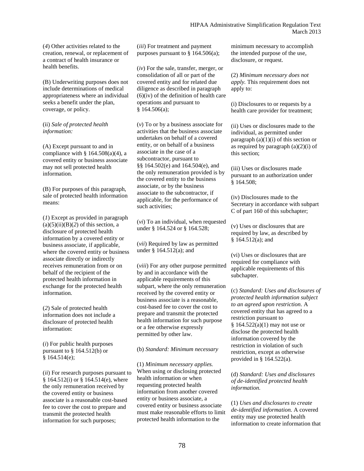(*4*) Other activities related to the creation, renewal, or replacement of a contract of health insurance or health benefits.

(B) Underwriting purposes does not include determinations of medical appropriateness where an individual seeks a benefit under the plan, coverage, or policy.

(ii) *Sale of protected health information:*

(A) Except pursuant to and in compliance with  $§ 164.508(a)(4)$ , a covered entity or business associate may not sell protected health information.

(B) For purposes of this paragraph, sale of protected health information means:

(*1*) Except as provided in paragraph  $(a)(5)(ii)(B)(2)$  of this section, a disclosure of protected health information by a covered entity or business associate, if applicable, where the covered entity or business associate directly or indirectly receives remuneration from or on behalf of the recipient of the protected health information in exchange for the protected health information.

(*2*) Sale of protected health information does not include a disclosure of protected health information:

(*i*) For public health purposes pursuant to § 164.512(b) or § 164.514(e);

(*ii*) For research purposes pursuant t o  $§ 164.512(i)$  or  $§ 164.514(e)$ , where the only remuneration received by the covered entity or business associate is a reasonable cost-based fee to cover the cost to prepare and transmit the protected health information for such purposes;

(*iii*) For treatment and payment purposes pursuant to  $§$  164.506(a);

(*iv*) For the sale, transfer, merger, or consolidation of all or part of the covered entity and for related due diligence as described in paragraph (6)(iv) of the definition of health care operations and pursuant to  $§$  164.506(a);

(*v*) To or by a business associate for activities that the business associate undertakes on behalf of a covered entity, or on behalf of a business associate in the case of a subcontractor, pursuant to §§ 164.502(e) and 164.504(e), and the only remuneration provided is by the covered entity to the business associate, or by the business associate to the subcontractor, if applicable, for the performance of such activities;

(*vi*) To an individual, when requested under § 164.524 or § 164.528;

(*vii*) Required by law as permitted under § 164.512(a); and

(*viii*) For any other purpose permitted by and in accordance with the applicable requirements of this subpart, where the only remuneration received by the covered entity or business associate is a reasonable, cost-based fee to cover the cost to prepare and transmit the protected health information for such purpose or a fee otherwise expressly permitted by other law.

(b) *Standard: Minimum necessary* 

(1) *Minimum necessary applies.* When using or disclosing protected health information or when requesting protected health information from another covered entity or business associate, a covered entity or business associate must make reasonable efforts to limit protected health information to the

minimum necessary to accomplish the intended purpose of the use, disclosure, or request.

(2) *Minimum necessary does not apply.* This requirement does not apply to:

(i) Disclosures to or requests by a health care provider for treatment;

(ii) Uses or disclosures made to the individual, as permitted under paragraph  $(a)(1)(i)$  of this section or as required by paragraph  $(a)(2)(i)$  of this section;

(iii) Uses or disclosures made pursuant to an authorization under § 164.508;

(iv) Disclosures made to the Secretary in accordance with subpart C of part 160 of this subchapter;

(v) Uses or disclosures that are required by law, as described by § 164.512(a); and

(vi) Uses or disclosures that are required for compliance with applicable requirements of this subchapter.

(c) *Standard: Uses and disclosures of protected health information subject to an agreed upon restriction.* A covered entity that has agreed to a restriction pursuant to § 164.522(a)(1) may not use or disclose the protected health information covered by the restriction in violation of such restriction, except as otherwise provided in § 164.522(a).

(d) *Standard: Uses and disclosures of de-identified protected health information.*

(1) *Uses and disclosures to create de-identified information.* A covered entity may use protected health information to create information that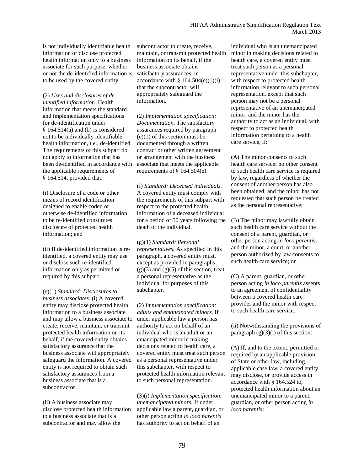is not individually identifiable health information or disclose protected health information only to a business associate for such purpose, whether or not the de-identified information is to be used by the covered entity.

(2) *Uses and disclosures of deidentified information.* Health information that meets the standard and implementation specifications for de-identification under § 164.514(a) and (b) is considered not to be individually identifiable health information, *i.e.,* de-identified. The requirements of this subpart do not apply to information that has been de-identified in accordance with the applicable requirements of § 164.514, provided that:

(i) Disclosure of a code or other means of record identification designed to enable coded or otherwise de-identified information to be re-identified constitutes disclosure of protected health information; and

(ii) If de-identified information is reidentified, a covered entity may use or disclose such re-identified information only as permitted or required by this subpart.

(e)(1) *Standard: Disclosures to business associates.* (i) A covered entity may disclose protected health information to a business associate and may allow a business associate to create, receive, maintain, or transmit protected health information on its behalf, if the covered entity obtains satisfactory assurance that the business associate will appropriately safeguard the information. A covered entity is not required to obtain such satisfactory assurances from a business associate that is a subcontractor.

(ii) A business associate may disclose protected health information to a business associate that is a subcontractor and may allow the

subcontractor to create, receive, maintain, or transmit protected health information on its behalf, if the business associate obtains satisfactory assurances, in accordance with §  $164.504(e)(1)(i)$ , that the subcontractor will appropriately safeguard the information.

(2) *Implementation specification: Documentation.* The satisfactory assurances required by paragraph  $(e)(1)$  of this section must be documented through a written contract or other written agreement or arrangement with the business associate that meets the applicable requirements of § 164.504(e).

(f) *Standard: Deceased individuals.* A covered entity must comply with the requirements of this subpart with respect to the protected health information of a deceased individual for a period of 50 years following the death of the individual.

(g)(1) *Standard: Personal representatives.* As specified in this paragraph, a covered entity must, except as provided in paragraphs  $(g)(3)$  and  $(g)(5)$  of this section, treat a personal representative as the individual for purposes of this subchapter.

(2) *Implementation specification: adults and emancipated minors.* If under applicable law a person has authority to act on behalf of an individual who is an adult or an emancipated minor in making decisions related to health care, a covered entity must treat such person as a personal representative under this subchapter, with respect to protected health information relevant to such personal representation.

(3)(i) *Implementation specification: unemancipated minors.* If under applicable law a parent, guardian, or other person acting *in loco parentis* has authority to act on behalf of an

individual who is an unemancipated minor in making decisions related to health care, a covered entity must treat such person as a personal representative under this subchapter, with respect to protected health information relevant to such personal representation, except that such person may not be a personal representative of an unemancipated minor, and the minor has the authority to act as an individual, with respect to protected health information pertaining to a health care service, if:

(A) The minor consents to such health care service; no other consent to such health care service is required by law, regardless of whether the consent of another person has also been obtained; and the minor has not requested that such person be treated as the personal representative;

 (B) The minor may lawfully obtain such health care service without the consent of a parent, guardian, or other person acting *in loco parentis,* and the minor, a court, or another person authorized by law consents to such health care service; or

(C) A parent, guardian, or other person acting *in loco parentis* assents to an agreement of confidentiality between a covered health care provider and the minor with respect to such health care service.

(ii) Notwithstanding the provisions of paragraph  $(g)(3)(i)$  of this section:

(A) If, and to the extent, permitted or required by an applicable provision of State or other law, including applicable case law, a covered entity may disclose, or provide access in accordance with § 164.524 to, protected health information about an unemancipated minor to a parent, guardian, or other person acting *in loco parentis*;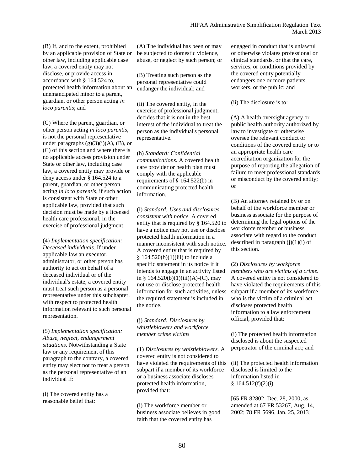(B) If, and to the extent, prohibited by an applicable provision of State or other law, including applicable case law, a covered entity may not disclose, or provide access in accordance with § 164.524 to, protected health information about an unemancipated minor to a parent, guardian, or other person acting *in loco parentis*; and

(C) Where the parent, guardian, or other person acting *in loco parentis,* is not the personal representative under paragraphs  $(g)(3)(i)(A)$ ,  $(B)$ , or (C) of this section and where there is no applicable access provision under State or other law, including case law, a covered entity may provide or deny access under § 164.524 to a parent, guardian, or other person acting *in loco parentis,* if such action is consistent with State or other applicable law, provided that such decision must be made by a licensed health care professional, in the exercise of professional judgment.

(4) *Implementation specification: Deceased individuals.* If under applicable law an executor, administrator, or other person has authority to act on behalf of a deceased individual or of the individual's estate, a covered entity must treat such person as a personal representative under this subchapter, with respect to protected health information relevant to such personal representation.

(5) *Implementation specification: Abuse, neglect, endangerment situations.* Notwithstanding a State law or any requirement of this paragraph to the contrary, a covered entity may elect not to treat a person as the personal representative of an individual if:

(i) The covered entity has a reasonable belief that:

(A) The individual has been or may be subjected to domestic violence, abuse, or neglect by such person; or

(B) Treating such person as the personal representative could endanger the individual; and

(ii) The covered entity, in the exercise of professional judgment, decides that it is not in the best interest of the individual to treat the person as the individual's personal representative.

(h) *Standard: Confidential communications.* A covered health care provider or health plan must comply with the applicable requirements of § 164.522(b) in communicating protected health information.

(i) *Standard: Uses and disclosures consistent with notice.* A covered entity that is required by § 164.520 to have a notice may not use or disclose protected health information in a manner inconsistent with such notice. A covered entity that is required by § 164.520(b)(1)(iii) to include a specific statement in its notice if it intends to engage in an activity listed in § 164.520(b)(1)(iii)(A)-(C), may not use or disclose protected health information for such activities, unless the required statement is included in the notice.

(j) *Standard: Disclosures by whistleblowers and workforce member crime victims*

(1) *Disclosures by whistleblowers.* A covered entity is not considered to have violated the requirements of this subpart if a member of its workforce or a business associate discloses protected health information, provided that:

(i) The workforce member or business associate believes in good faith that the covered entity has

engaged in conduct that is unlawful or otherwise violates professional or clinical standards, or that the care, services, or conditions provided by the covered entity potentially endangers one or more patients, workers, or the public; and

(ii) The disclosure is to:

(A) A health oversight agency or public health authority authorized by law to investigate or otherwise oversee the relevant conduct or conditions of the covered entity or to an appropriate health care accreditation organization for the purpose of reporting the allegation of failure to meet professional standards or misconduct by the covered entity; or

(B) An attorney retained by or on behalf of the workforce member or business associate for the purpose of determining the legal options of the workforce member or business associate with regard to the conduct described in paragraph  $(j)(1)(i)$  of this section.

(2) *Disclosures by workforce members who are victims of a crime.* A covered entity is not considered to have violated the requirements of this subpart if a member of its workforce who is the victim of a criminal act discloses protected health information to a law enforcement official, provided that:

(i) The protected health information disclosed is about the suspected perpetrator of the criminal act; and

(ii) The protected health information disclosed is limited to the information listed in  $§ 164.512(f)(2)(i).$ 

[65 FR 82802, Dec. 28, 2000, as amended at 67 FR 53267, Aug. 14, 2002; 78 FR 5696, Jan. 25, 2013]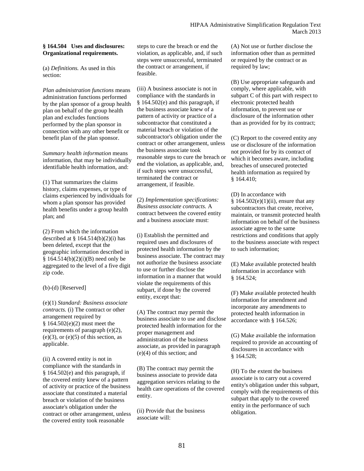# **§ 164.504 Uses and disclosures: Organizational requirements.**

(a) *Definitions.* As used in this section:

*Plan administration functions* means administration functions performed by the plan sponsor of a group health plan on behalf of the group health plan and excludes functions performed by the plan sponsor in connection with any other benefit or benefit plan of the plan sponsor.

*Summary health information* means information, that may be individually identifiable health information, and:

(1) That summarizes the claims history, claims expenses, or type of claims experienced by individuals for whom a plan sponsor has provided health benefits under a group health plan; and

(2) From which the information described at  $§$  164.514(b)(2)(i) has been deleted, except that the geographic information described in § 164.514(b)(2)(i)(B) need only be aggregated to the level of a five digit zip code.

(b)-(d) [Reserved]

(e)(1) *Standard: Business associate contracts.* (i) The contract or other arrangement required by § 164.502(e)(2) must meet the requirements of paragraph (e)(2),  $(e)(3)$ , or  $(e)(5)$  of this section, as applicable.

(ii) A covered entity is not in compliance with the standards in § 164.502(e) and this paragraph, if the covered entity knew of a pattern of activity or practice of the business associate that constituted a material breach or violation of the business associate's obligation under the contract or other arrangement, unless the covered entity took reasonable

steps to cure the breach or end the violation, as applicable, and, if such steps were unsuccessful, terminated the contract or arrangement, if feasible.

(iii) A business associate is not in compliance with the standards in § 164.502(e) and this paragraph, if the business associate knew of a pattern of activity or practice of a subcontractor that constituted a material breach or violation of the subcontractor's obligation under the contract or other arrangement, unless the business associate took reasonable steps to cure the breach or end the violation, as applicable, and, if such steps were unsuccessful, terminated the contract or arrangement, if feasible.

(2) *Implementation specifications: Business associate contracts.* A contract between the covered entity and a business associate must:

(i) Establish the permitted and required uses and disclosures of protected health information by the business associate. The contract may not authorize the business associate to use or further disclose the information in a manner that would violate the requirements of this subpart, if done by the covered entity, except that:

(A) The contract may permit the business associate to use and disclose protected health information for the proper management and administration of the business associate, as provided in paragraph (e)(4) of this section; and

(B) The contract may permit the business associate to provide data aggregation services relating to the health care operations of the covered entity.

(ii) Provide that the business associate will:

(A) Not use or further disclose the information other than as permitted or required by the contract or as required by law;

(B) Use appropriate safeguards and comply, where applicable, with subpart C of this part with respect to electronic protected health information, to prevent use or disclosure of the information other than as provided for by its contract;

(C) Report to the covered entity any use or disclosure of the information not provided for by its contract of which it becomes aware, including breaches of unsecured protected health information as required by § 164.410;

(D) In accordance with  $§ 164.502(e)(1)(ii)$ , ensure that any subcontractors that create, receive, maintain, or transmit protected health information on behalf of the business associate agree to the same restrictions and conditions that apply to the business associate with respect to such information;

(E) Make available protected health information in accordance with § 164.524;

(F) Make available protected health information for amendment and incorporate any amendments to protected health information in accordance with § 164.526;

(G) Make available the information required to provide an accounting of disclosures in accordance with § 164.528;

(H) To the extent the business associate is to carry out a covered entity's obligation under this subpart, comply with the requirements of this subpart that apply to the covered entity in the performance of such obligation.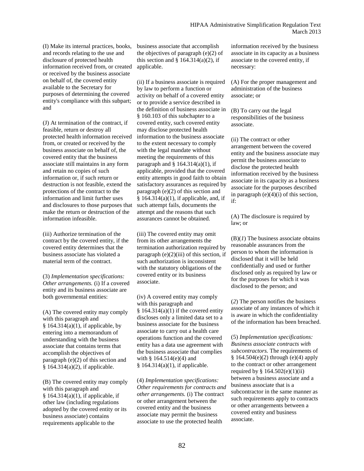(I) Make its internal practices, books, and records relating to the use and disclosure of protected health information received from, or created or received by the business associate on behalf of, the covered entity available to the Secretary for purposes of determining the covered entity's compliance with this subpart; and

(J) At termination of the contract, if feasible, return or destroy all protected health information received from, or created or received by the business associate on behalf of, the covered entity that the business associate still maintains in any form and retain no copies of such information or, if such return or destruction is not feasible, extend the protections of the contract to the information and limit further uses and disclosures to those purposes that make the return or destruction of the information infeasible.

(iii) Authorize termination of the contract by the covered entity, if the covered entity determines that the business associate has violated a material term of the contract.

(3) *Implementation specifications: Other arrangements.* (i) If a covered entity and its business associate are both governmental entities:

(A) The covered entity may comply with this paragraph and  $§ 164.314(a)(1)$ , if applicable, by entering into a memorandum of understanding with the business associate that contains terms that accomplish the objectives of paragraph (e)(2) of this section and § 164.314(a)(2), if applicable.

(B) The covered entity may comply with this paragraph and  $§ 164.314(a)(1)$ , if applicable, if other law (including regulations adopted by the covered entity or its business associate) contains requirements applicable to the

business associate that accomplish the objectives of paragraph  $(e)(2)$  of this section and  $§$  164.314(a)(2), if applicable.

(ii) If a business associate is required by law to perform a function or activity on behalf of a covered entity or to provide a service described in the definition of business associate in § 160.103 of this subchapter to a covered entity, such covered entity may disclose protected health information to the business associate to the extent necessary to comply with the legal mandate without meeting the requirements of this paragraph and  $\S$  164.314(a)(1), if applicable, provided that the covered entity attempts in good faith to obtain satisfactory assurances as required by paragraph (e)(2) of this section and  $§ 164.314(a)(1)$ , if applicable, and, if such attempt fails, documents the attempt and the reasons that such assurances cannot be obtained.

(iii) The covered entity may omit from its other arrangements the termination authorization required by paragraph  $(e)(2)(iii)$  of this section, if such authorization is inconsistent with the statutory obligations of the covered entity or its business associate.

(iv) A covered entity may comply with this paragraph and  $§ 164.314(a)(1)$  if the covered entity discloses only a limited data set to a business associate for the business associate to carry out a health care operations function and the covered entity has a data use agreement with the business associate that complies with  $§$  164.514(e)(4) and § 164.314(a)(1), if applicable.

(4) *Implementation specifications: Other requirements for contracts and other arrangements.* (i) The contract or other arrangement between the covered entity and the business associate may permit the business associate to use the protected health

information received by the business associate in its capacity as a business associate to the covered entity, if necessary:

(A) For the proper management and administration of the business associate; or

(B) To carry out the legal responsibilities of the business associate.

(ii) The contract or other arrangement between the covered entity and the business associate may permit the business associate to disclose the protected health information received by the business associate in its capacity as a business associate for the purposes described in paragraph  $(e)(4)(i)$  of this section, if:

(A) The disclosure is required by law; or

(B)(*1*) The business associate obtains reasonable assurances from the person to whom the information is disclosed that it will be held confidentially and used or further disclosed only as required by law or for the purposes for which it was disclosed to the person; and

(*2*) The person notifies the business associate of any instances of which it is aware in which the confidentiality of the information has been breached.

(5) *Implementation specifications: Business associate contracts with subcontractors.* The requirements of  $§ 164.504(e)(2)$  through  $(e)(4)$  apply to the contract or other arrangement required by  $§$  164.502(e)(1)(ii) between a business associate and a business associate that is a subcontractor in the same manner as such requirements apply to contracts or other arrangements between a covered entity and business associate.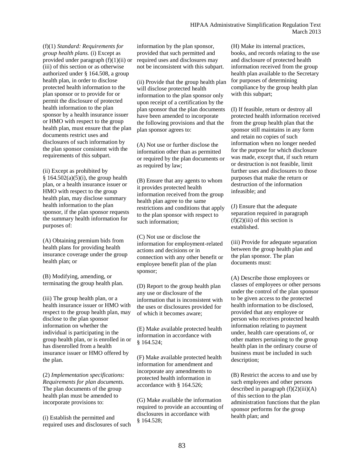(f)(1) *Standard: Requirements for group health plans.* (i) Except as provided under paragraph  $(f)(1)(ii)$  or (iii) of this section or as otherwise authorized under § 164.508, a group health plan, in order to disclose protected health information to the plan sponsor or to provide for or permit the disclosure of protected health information to the plan sponsor by a health insurance issuer or HMO with respect to the group health plan, must ensure that the plan documents restrict uses and disclosures of such information by the plan sponsor consistent with the requirements of this subpart.

(ii) Except as prohibited by  $§ 164.502(a)(5)(i)$ , the group health plan, or a health insurance issuer or HMO with respect to the group health plan, may disclose summary health information to the plan sponsor, if the plan sponsor requests the summary health information for purposes of:

(A) Obtaining premium bids from health plans for providing health insurance coverage under the group health plan; or

(B) Modifying, amending, or terminating the group health plan.

(iii) The group health plan, or a health insurance issuer or HMO with respect to the group health plan, may disclose to the plan sponsor information on whether the individual is participating in the group health plan, or is enrolled in or has disenrolled from a health insurance issuer or HMO offered by the plan.

(2) *Implementation specifications: Requirements for plan documents.* The plan documents of the group health plan must be amended to incorporate provisions to:

(i) Establish the permitted and required uses and disclosures of such

information by the plan sponsor, provided that such permitted and required uses and disclosures may not be inconsistent with this subpart.

(ii) Provide that the group health plan will disclose protected health information to the plan sponsor only upon receipt of a certification by the plan sponsor that the plan documents have been amended to incorporate the following provisions and that the plan sponsor agrees to:

(A) Not use or further disclose the information other than as permitted or required by the plan documents or as required by law;

(B) Ensure that any agents to whom it provides protected health information received from the group health plan agree to the same restrictions and conditions that apply to the plan sponsor with respect to such information;

(C) Not use or disclose the information for employment-related actions and decisions or in connection with any other benefit or employee benefit plan of the plan sponsor;

(D) Report to the group health plan any use or disclosure of the information that is inconsistent with the uses or disclosures provided for of which it becomes aware;

(E) Make available protected health information in accordance with § 164.524;

(F) Make available protected health information for amendment and incorporate any amendments to protected health information in accordance with § 164.526;

(G) Make available the information required to provide an accounting of disclosures in accordance with § 164.528;

(H) Make its internal practices, books, and records relating to the use and disclosure of protected health information received from the group health plan available to the Secretary for purposes of determining compliance by the group health plan with this subpart;

(I) If feasible, return or destroy all protected health information received from the group health plan that the sponsor still maintains in any form and retain no copies of such information when no longer needed for the purpose for which disclosure was made, except that, if such return or destruction is not feasible, limit further uses and disclosures to those purposes that make the return or destruction of the information infeasible; and

(J) Ensure that the adequate separation required in paragraph  $(f)(2)(iii)$  of this section is established.

(iii) Provide for adequate separation between the group health plan and the plan sponsor. The plan documents must:

(A) Describe those employees or classes of employees or other persons under the control of the plan sponsor to be given access to the protected health information to be disclosed, provided that any employee or person who receives protected health information relating to payment under, health care operations of, or other matters pertaining to the group health plan in the ordinary course of business must be included in such description;

(B) Restrict the access to and use by such employees and other persons described in paragraph  $(f)(2)(iii)(A)$ of this section to the plan administration functions that the plan sponsor performs for the group health plan; and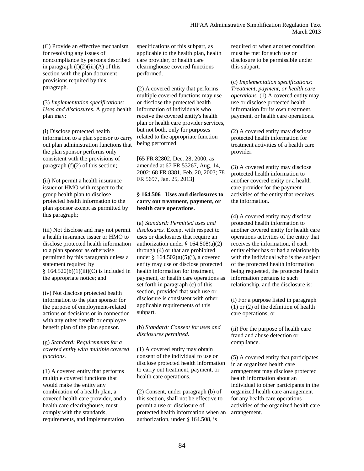(C) Provide an effective mechanism for resolving any issues of noncompliance by persons described in paragraph  $(f)(2)(iii)(A)$  of this section with the plan document provisions required by this paragraph.

(3) *Implementation specifications: Uses and disclosures.* A group health plan may:

(i) Disclose protected health information to a plan sponsor to carr y out plan administration functions that the plan sponsor performs only consistent with the provisions of paragraph (f)(2) of this section;

(ii) Not permit a health insurance issuer or HMO with respect to the group health plan to disclose protected health information to the plan sponsor except as permitted by this paragraph;

(iii) Not disclose and may not permit a health insurance issuer or HMO to disclose protected health information to a plan sponsor as otherwise permitted by this paragraph unless a statement required by §  $164.520(b)(1)(iii)(C)$  is included in the appropriate notice; and

(iv) Not disclose protected health information to the plan sponsor for the purpose of employment-related actions or decisions or in connection with any other benefit or employee benefit plan of the plan sponsor.

(g) *Standard: Requirements for a covered entity with multiple covered functions.*

(1) A covered entity that performs multiple covered functions that would make the entity any combination of a health plan, a covered health care provider, and a health care clearinghouse, must comply with the standards, requirements, and implementation

specifications of this subpart, as applicable to the health plan, health care provider, or health care clearinghouse covered functions performed.

(2) A covered entity that performs multiple covered functions may use or disclose the protected health information of individuals who receive the covered entity's health plan or health care provider services, but not both, only for purposes related to the appropriate function being performed.

[65 FR 82802, Dec. 28, 2000, as amended at 67 FR 53267, Aug. 14, 2002; 68 FR 8381, Feb. 20, 2003; 78 FR 5697, Jan. 25, 2013]

# **§ 164.506 Uses and disclosures to carry out treatment, payment, or health care operations.**

(a) *Standard: Permitted uses and disclosures.* Except with respect to uses or disclosures that require an authorization under § 164.508(a)(2) through (4) or that are prohibited under § 164.502(a)(5)(i), a covered entity may use or disclose protected health information for treatment, payment, or health care operations as set forth in paragraph (c) of this section, provided that such use or disclosure is consistent with other applicable requirements of this subpart.

(b) *Standard: Consent for uses and disclosures permitted.*

(1) A covered entity may obtain consent of the individual to use or disclose protected health information to carry out treatment, payment, or health care operations.

(2) Consent, under paragraph (b) of this section, shall not be effective to permit a use or disclosure of protected health information when an authorization, under § 164.508, is

required or when another condition must be met for such use or disclosure to be permissible under this subpart.

(c) *Implementation specifications: Treatment, payment, or health care operations.* (1) A covered entity may use or disclose protected health information for its own treatment, payment, or health care operations.

(2) A covered entity may disclose protected health information for treatment activities of a health care provider.

(3) A covered entity may disclose protected health information to another covered entity or a health care provider for the payment activities of the entity that receives the information.

(4) A covered entity may disclose protected health information to another covered entity for health care operations activities of the entity that receives the information, if each entity either has or had a relationship with the individual who is the subject of the protected health information being requested, the protected health information pertains to such relationship, and the disclosure is:

(i) For a purpose listed in paragraph (1) or (2) of the definition of health care operations; or

(ii) For the purpose of health care fraud and abuse detection or compliance.

(5) A covered entity that participates in an organized health care arrangement may disclose protected health information about an individual to other participants in the organized health care arrangement for any health care operations activities of the organized health care arrangement.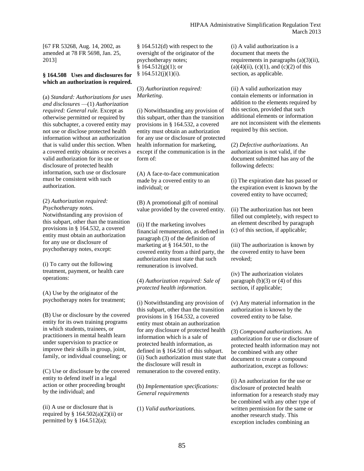[67 FR 53268, Aug. 14, 2002, as amended at 78 FR 5698, Jan. 25, 2013]

#### **§ 164.508 Uses and disclosures for which an authorization is required.**

(a) *Standard: Authorizations for use s and disclosures* —(1) *Authorization required: General rule.* Except as otherwise permitted or required by this subchapter, a covered entity ma y not use or disclose protected health information without an authorization that is valid under this section. When a covered entity obtains or receives a valid authorization for its use or disclosure of protected health information, such use or disclosure must be consistent with such authorization.

# (2) *Authorization required: Psychotherapy notes.*

Notwithstanding any provision of this subpart, other than the transition provisions in § 164.532, a covered entity must obtain an authorization for any use or disclosure of psychotherapy notes, except:

(i) To carry out the following treatment, payment, or health care operations:

(A) Use by the originator of the psychotherapy notes for treatment;

(B) Use or disclosure by the covered entity for its own training programs in which students, trainees, or practitioners in mental health learn under supervision to practice or improve their skills in group, joint, family, or individual counseling; or

(C) Use or disclosure by the covered entity to defend itself in a legal action or other proceeding brought by the individual; and

(ii) A use or disclosure that is required by  $§ 164.502(a)(2)(ii)$  or permitted by  $§$  164.512(a);

§ 164.512(d) with respect to the oversight of the originator of the sychotherapy notes; p  $§ 164.512(g)(1);$  or  $§ 164.512(j)(1)(i).$ 

3) *Authorization required:*  ( *Marketing.* 

i) Notwithstanding any provision of ( this subpart, other than the transition provisions in  $\S$  164.532, a covered entity must obtain an authorization for any use or disclosure of protected health information for marketing, xcept if the communication is in the e form of:

A) A face-to-face communication ( made by a covered entity to an ndividual; or i

B) A promotional gift of nominal ( value provided by the covered entity.

(ii) If the marketing involves financial remuneration, as defined in paragraph (3) of the definition of marketing at  $\S$  164.501, to the overed entity from a third party, the c authorization must state that such remuneration is involved.

4) *Authorization required: Sale of*  ( *rotected health information. p*

i) Notwithstanding any provision of ( this subpart, other than the transition provisions in  $§$  164.532, a covered entity must obtain an authorization for any disclosure of protected health information which is a sale of protected health information, as defined in  $\S$  164.501 of this subpart. (ii) Such authorization must state that the disclosure will result in remuneration to the covered entity.

b) *Implementation specifications:*  ( General requirements

1) *Valid authorizations.* (

(i) A valid authorization is a document that meets the requirements in paragraphs (a)(3)(ii),  $(a)(4)(ii)$ ,  $(c)(1)$ , and  $(c)(2)$  of this section, as applicable.

(ii) A valid authorization may contain elements or information in addition to the elements required by this section, provided that such additional elements or information are not inconsistent with the elements required by this section.

(2) *Defective authorizations.* An authorization is not valid, if the document submitted has any of the following defects:

(i) The expiration date has passed or the expiration event is known by the covered entity to have occurred;

(ii) The authorization has not been filled out completely, with respect to an element described by paragraph (c) of this section, if applicable;

(iii) The authorization is known by the covered entity to have been revoked;

(iv) The authorization violates paragraph  $(b)(3)$  or  $(4)$  of this section, if applicable;

(v) Any material information in the authorization is known by the covered entity to be false.

(3) *Compound authorizations.* An authorization for use or disclosure of protected health information may not be combined with any other document to create a compound authorization, except as follows:

(i) An authorization for the use or disclosure of protected health information for a research study may be combined with any other type of written permission for the same or another research study. This exception includes combining an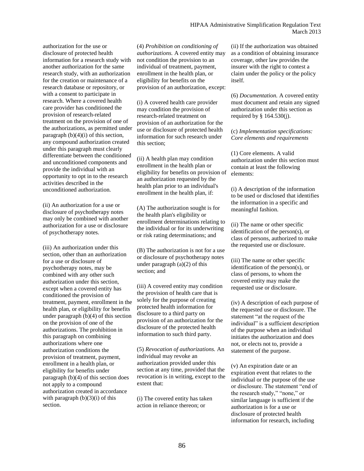authorization for the use or disclosure of protected health information for a research study with another authorization for the same research study, with an authorization for the creation or maintenance of a research database or repository, or with a consent to participate in research. Where a covered health care provider has conditioned the provision of research-related treatment on the provision of one of the authorizations, as permitted under paragraph  $(b)(4)(i)$  of this section, any compound authorization created under this paragraph must clearly differentiate between the conditioned and unconditioned components and provide the individual with an opportunity to opt in to the research activities described in the unconditioned authorization.

(ii) An authorization for a use or disclosure of psychotherapy notes may only be combined with another authorization for a use or disclosure of psychotherapy notes.

(iii) An authorization under this section, other than an authorization for a use or disclosure of psychotherapy notes, may be combined with any other such authorization under this section, except when a covered entity has conditioned the provision of treatment, payment, enrollment in the health plan, or eligibility for benefits under paragraph (b)(4) of this section on the provision of one of the authorizations. The prohibition in this paragraph on combining authorizations where one authorization conditions the provision of treatment, payment, enrollment in a health plan, or eligibility for benefits under paragraph (b)(4) of this section does not apply to a compound authorization created in accordance with paragraph  $(b)(3)(i)$  of this section.

(4) *Prohibition on conditioning of*  authorizations. A covered entity may not condition the provision to an individual of treatment, payment, enrollment in the health plan, or eligibility for benefits on the provision of an authorization, excep t:

(i) A covered health care provider may condition the provision of research-related treatment on provision of an authorization for the use or disclosure of protected health information for such research under this section;

(ii) A health plan may condition enrollment in the health plan or eligibility for benefits on provision of an authorization requested by the health plan prior to an individual's enrollment in the health plan, if:

(A) The authorization sought is for the health plan's eligibility or enrollment determinations relating t o the individual or for its underwritin g or risk rating determinations; and

(B) The authorization is not for a us e or disclosure of psychotherapy note s under paragraph (a)(2) of this section; and

(iii) A covered entity may condition the provision of health care that is solely for the purpose of creating protected health information for disclosure to a third party on provision of an authorization for the disclosure of the protected health information to such third party.

(5) *Revocation of authorizations.* A n individual may revoke an authorization provided under this section at any time, provided that th e revocation is in writing, except to th e extent that:

(i) The covered entity has taken action in reliance thereon; or

(ii) If the authorization was obtained as a condition of obtaining insurance coverage, other law provides the insurer with the right to contest a claim under the policy or the policy itself.

(6) *Documentation.* A covered entity must document and retain any signed authorization under this section as required by § 164.530(j).

(c) *Implementation specifications: Core elements and requirements*

(1) Core elements. A valid authorization under this section must contain at least the following elements:

(i) A description of the information to be used or disclosed that identifies the information in a specific and meaningful fashion.

(ii) The name or other specific identification of the person(s), or class of persons, authorized to make the requested use or disclosure.

(iii) The name or other specific identification of the person(s), or class of persons, to whom the covered entity may make the requested use or disclosure.

(iv) A description of each purpose of the requested use or disclosure. The statement "at the request of the individual" is a sufficient description of the purpose when an individual initiates the authorization and does not, or elects not to, provide a statement of the purpose.

(v) An expiration date or an expiration event that relates to the individual or the purpose of the use or disclosure. The statement "end of the research study," "none," or similar language is sufficient if the authorization is for a use or disclosure of protected health information for research, including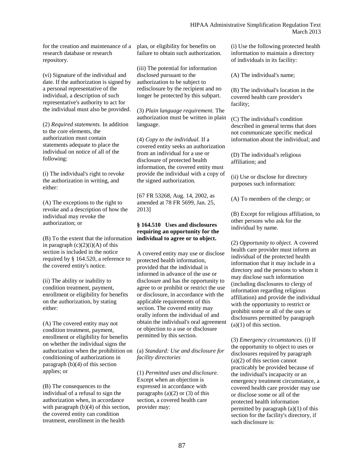for the creation and maintenance of a plan, or eligibility for benefits on research database or research repository.

(vi) Signature of the individual and date. If the authorization is signed by a personal representative of the individual, a description of such representative's authority to act for the individual must also be provided.

(2) *Required statements.* In addition to the core elements, the authorization must contain statements adequate to place the individual on notice of all of the following:

(i) The individual's right to revoke the authorization in writing, and either:

(A) The exceptions to the right to revoke and a description of how the individual may revoke the authorization; or

(B) To the extent that the information in paragraph  $(c)(2)(i)(A)$  of this section is included in the notice required by § 164.520, a reference to the covered entity's notice.

(ii) The ability or inability to condition treatment, payment, enrollment or eligibility for benefits on the authorization, by stating either:

(A) The covered entity may not condition treatment, payment, enrollment or eligibility for benefits on whether the individual signs the conditioning of authorizations in paragraph (b)(4) of this section applies; or

(B) The consequences to the individual of a refusal to sign the authorization when, in accordance with paragraph (b)(4) of this section, the covered entity can condition treatment, enrollment in the health

failure to obtain such authorization.

(iii) The potential for information disclosed pursuant to the authorization to be subject to redisclosure by the recipient and no longer be protected by this subpart.

(3) *Plain language requirement.* The authorization must be written in plain language.

(4) *Copy to the individual.* If a covered entity seeks an authorization from an individual for a use or disclosure of protected health information, the covered entity must provide the individual with a copy of the signed authorization.

[67 FR 53268, Aug. 14, 2002, as amended at 78 FR 5699, Jan. 25, 2013]

# **§ 164.510 Uses and disclosures requiring an opportunity for the individual to agree or to object.**

A covered entity may use or disclose protected health information, provided that the individual is informed in advance of the use or disclosure and has the opportunity to agree to or prohibit or restrict the use or disclosure, in accordance with the applicable requirements of this section. The covered entity may orally inform the individual of and obtain the individual's oral agreement or objection to a use or disclosure permitted by this section.

authorization when the prohibition on (a) *Standard: Use and disclosure for facility directories*

> (1) *Permitted uses and disclosure.* Except when an objection is expressed in accordance with paragraphs  $(a)(2)$  or  $(3)$  of this section, a covered health care provider may:

(i) Use the following protected health information to maintain a directory of individuals in its facility:

(A) The individual's name;

(B) The individual's location in the covered health care provider's facility;

(C) The individual's condition described in general terms that does not communicate specific medical information about the individual; and

(D) The individual's religious affiliation; and

(ii) Use or disclose for directory purposes such information:

(A) To members of the clergy; or

(B) Except for religious affiliation, to other persons who ask for the individual by name.

(2) *Opportunity to object.* A covered health care provider must inform an individual of the protected health information that it may include in a directory and the persons to whom it may disclose such information (including disclosures to clergy of information regarding religious affiliation) and provide the individual with the opportunity to restrict or prohibit some or all of the uses or disclosures permitted by paragraph  $(a)(1)$  of this section.

(3) *Emergency circumstances.* (i) If the opportunity to object to uses or disclosures required by paragraph (a)(2) of this section cannot practicably be provided because of the individual's incapacity or an emergency treatment circumstance, a covered health care provider may use or disclose some or all of the protected health information permitted by paragraph  $(a)(1)$  of this section for the facility's directory, if such disclosure is: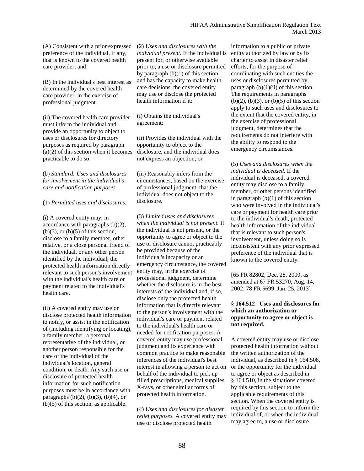(A) Consistent with a prior expressed (2) *Uses and disclosures with the*  preference of the individual, if any, that is known to the covered health care provider; and

(B) In the individual's best interest as determined by the covered health care provider, in the exercise of professional judgment.

(ii) The covered health care provider must inform the individual and provide an opportunity to object to uses or disclosures for directory purposes as required by paragraph (a)(2) of this section when it become s practicable to do so.

(b) *Standard: Uses and disclosures for involvement in the individual's care and notification purposes*

(1) *Permitted uses and disclosures.*

(i) A covered entity may, in accordance with paragraphs (b)(2),  $(b)(3)$ , or  $(b)(5)$  of this section, disclose to a family member, other relative, or a close personal friend of the individual, or any other person identified by the individual, the protected health information directly relevant to such person's involvement with the individual's health care or payment related to the individual's health care.

(ii) A covered entity may use or disclose protected health information to notify, or assist in the notification of (including identifying or locating), a family member, a personal representative of the individual, or another person responsible for the care of the individual of the individual's location, general condition, or death. Any such use or disclosure of protected health information for such notification purposes must be in accordance with paragraphs  $(b)(2)$ ,  $(b)(3)$ ,  $(b)(4)$ , or (b)(5) of this section, as applicable.

*individual present.* If the individual is present for, or otherwise available prior to, a use or disclosure permitted by paragraph  $(b)(1)$  of this section and has the capacity to make health care decisions, the covered entity may use or disclose the protected health information if it:

(i) Obtains the individual's agreement;

(ii) Provides the individual with the opportunity to object to the disclosure, and the individual does not express an objection; or

(iii) Reasonably infers from the circumstances, based on the exercise of professional judgment, that the individual does not object to the disclosure.

(3) *Limited uses and disclosures when the individual is not present.* If the individual is not present, or the opportunity to agree or object to the use or disclosure cannot practicably be provided because of the individual's incapacity or an emergency circumstance, the covered entity may, in the exercise of professional judgment, determine whether the disclosure is in the best interests of the individual and, if so, disclose only the protected health information that is directly relevant to the person's involvement with the individual's care or payment related to the individual's health care or needed for notification purposes. A covered entity may use professional judgment and its experience with common practice to make reasonable inferences of the individual's best interest in allowing a person to act on behalf of the individual to pick up filled prescriptions, medical supplies, X-rays, or other similar forms of protected health information.

(4) *Uses and disclosures for disaster relief purposes.* A covered entity may use or disclose protected health

information to a public or private entity authorized by law or by its charter to assist in disaster relief efforts, for the purpose of coordinating with such entities the uses or disclosures permitted by paragraph  $(b)(1)(ii)$  of this section. The requirements in paragraphs  $(b)(2)$ ,  $(b)(3)$ , or  $(b)(5)$  of this section apply to such uses and disclosures to the extent that the covered entity, in the exercise of professional judgment, determines that the requirements do not interfere with the ability to respond to the emergency circumstances.

(5) *Uses and disclosures when the individual is deceased.* If the individual is deceased, a covered entity may disclose to a family member, or other persons identified in paragraph (b)(1) of this section who were involved in the individual's care or payment for health care prior to the individual's death, protected health information of the individual that is relevant to such person's involvement, unless doing so is inconsistent with any prior expressed preference of the individual that is known to the covered entity.

[65 FR 82802, Dec. 28, 2000, as amended at 67 FR 53270, Aug. 14, 2002; 78 FR 5699, Jan. 25, 2013]

# **§ 164.512 Uses and disclosures for which an authorization or opportunity to agree or object is not required.**

A covered entity may use or disclose protected health information without the written authorization of the individual, as described in § 164.508, or the opportunity for the individual to agree or object as described in § 164.510, in the situations covered by this section, subject to the applicable requirements of this section. When the covered entity is required by this section to inform the individual of, or when the individual may agree to, a use or disclosure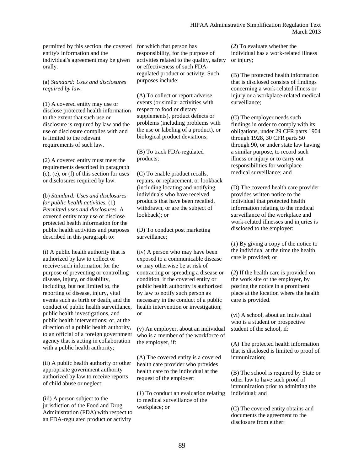permitted by this section, the covered for which that person has entity's information and the individual's agreement may be given orally.

#### (a) *Standard: Uses and disclosures required by law.*

(1) A covered entity may use or disclose protected health information to the extent that such use or disclosure is required by law and the use or disclosure complies with and is limited to the relevant requirements of such law.

(2) A covered entity must meet the requirements described in paragraph (c), (e), or (f) of this section for uses or disclosures required by law.

(b) *Standard: Uses and disclosures for public health activities.* (1) *Permitted uses and disclosures.* A covered entity may use or disclose protected health information for the public health activities and purposes described in this paragraph to:

(i) A public health authority that is authorized by law to collect or receive such information for the purpose of preventing or controlling disease, injury, or disability, including, but not limited to, the reporting of disease, injury, vital events such as birth or death, and the conduct of public health surveillance, public health investigations, and public health interventions; or, at the direction of a public health authority, to an official of a foreign government agency that is acting in collaboration with a public health authority;

(ii) A public health authority or other appropriate government authority authorized by law to receive reports of child abuse or neglect;

(iii) A person subject to the jurisdiction of the Food and Drug Administration (FDA) with respect to an FDA-regulated product or activity

responsibility, for the purpose of activities related to the quality, safety or effectiveness of such FDAregulated product or activity. Such purposes include:

(A) To collect or report adverse events (or similar activities with respect to food or dietary supplements), product defects or problems (including problems with the use or labeling of a product), or biological product deviations;

(B) To track FDA-regulated products;

(C) To enable product recalls, repairs, or replacement, or lookback (including locating and notifying individuals who have received products that have been recalled, withdrawn, or are the subject of lookback); or

(D) To conduct post marketing surveillance;

(iv) A person who may have been exposed to a communicable disease or may otherwise be at risk of contracting or spreading a disease or condition, if the covered entity or public health authority is authorized by law to notify such person as necessary in the conduct of a public health intervention or investigation; or

(v) An employer, about an individual who is a member of the workforce of the employer, if:

(A) The covered entity is a covered health care provider who provides health care to the individual at the request of the employer:

(*1*) To conduct an evaluation relating to medical surveillance of the workplace; or

(*2*) To evaluate whether the individual has a work-related illness or injury;

(B) The protected health information that is disclosed consists of findings concerning a work-related illness or injury or a workplace-related medical surveillance;

(C) The employer needs such findings in order to comply with its obligations, under 29 CFR parts 1904 through 1928, 30 CFR parts 50 through 90, or under state law having a similar purpose, to record such illness or injury or to carry out responsibilities for workplace medical surveillance; and

(D) The covered health care provider provides written notice to the individual that protected health information relating to the medical surveillance of the workplace and work-related illnesses and injuries is disclosed to the employer:

(*1*) By giving a copy of the notice to the individual at the time the health care is provided; or

(*2*) If the health care is provided on the work site of the employer, by posting the notice in a prominent place at the location where the health care is provided.

(vi) A school, about an individual who is a student or prospective student of the school, if:

(A) The protected health information that is disclosed is limited to proof of immunization;

(B) The school is required by State or other law to have such proof of immunization prior to admitting the individual; and

(C) The covered entity obtains and documents the agreement to the disclosure from either: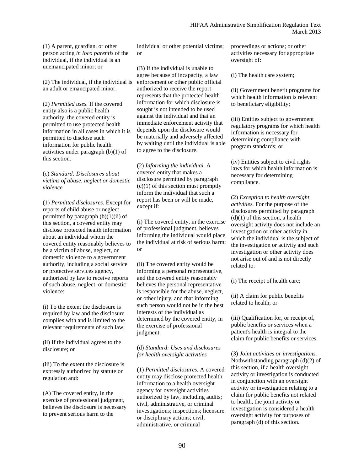(1) A parent, guardian, or other person acting *in loco parentis* of the individual, if the individual is an unemancipated minor; or

(2) The individual, if the individual is an adult or emancipated minor.

(2) *Permitted uses.* If the covered entity also is a public health authority, the covered entity is permitted to use protected health information in all cases in which it is permitted to disclose such information for public health activities under paragraph (b)(1) of this section.

(c) *Standard: Disclosures about victims of abuse, neglect or domestic violence*

(1) *Permitted disclosures.* Except for reports of child abuse or neglect permitted by paragraph  $(b)(1)(ii)$  of this section, a covered entity may disclose protected health information about an individual whom the covered entity reasonably believes to be a victim of abuse, neglect, or domestic violence to a government authority, including a social service or protective services agency, authorized by law to receive reports of such abuse, neglect, or domestic violence:

(i) To the extent the disclosure is required by law and the disclosure complies with and is limited to the relevant requirements of such law;

(ii) If the individual agrees to the disclosure; or

(iii) To the extent the disclosure is expressly authorized by statute or regulation and:

(A) The covered entity, in the exercise of professional judgment, believes the disclosure is necessary to prevent serious harm to the

individual or other potential victims; or

(B) If the individual is unable to agree because of incapacity, a law enforcement or other public official authorized to receive the report represents that the protected health information for which disclosure is sought is not intended to be used against the individual and that an immediate enforcement activity that depends upon the disclosure would be materially and adversely affected by waiting until the individual is able to agree to the disclosure.

(2) *Informing the individual.* A covered entity that makes a disclosure permitted by paragraph  $(c)(1)$  of this section must promptly inform the individual that such a report has been or will be made, except if:

(i) The covered entity, in the exercise of professional judgment, believes informing the individual would place the individual at risk of serious harm; or

(ii) The covered entity would be informing a personal representative, and the covered entity reasonably believes the personal representative is responsible for the abuse, neglect, or other injury, and that informing such person would not be in the best interests of the individual as determined by the covered entity, in the exercise of professional judgment.

(d) *Standard: Uses and disclosures for health oversight activities*

(1) *Permitted disclosures.* A covered entity may disclose protected health information to a health oversight agency for oversight activities authorized by law, including audits; civil, administrative, or criminal investigations; inspections; licensure or disciplinary actions; civil, administrative, or criminal

proceedings or actions; or other activities necessary for appropriate oversight of:

(i) The health care system;

(ii) Government benefit programs for which health information is relevant to beneficiary eligibility;

(iii) Entities subject to government regulatory programs for which health information is necessary for determining compliance with program standards; or

(iv) Entities subject to civil rights laws for which health information is necessary for determining compliance.

(2) *Exception to health oversight activities.* For the purpose of the disclosures permitted by paragraph  $(d)(1)$  of this section, a health oversight activity does not include an investigation or other activity in which the individual is the subject of the investigation or activity and such investigation or other activity does not arise out of and is not directly related to:

(i) The receipt of health care;

(ii) A claim for public benefits related to health; or

(iii) Qualification for, or receipt of, public benefits or services when a patient's health is integral to the claim for public benefits or services.

(3) *Joint activities or investigations.* Nothwithstanding paragraph (d)(2) of this section, if a health oversight activity or investigation is conducted in conjunction with an oversight activity or investigation relating to a claim for public benefits not related to health, the joint activity or investigation is considered a health oversight activity for purposes of paragraph (d) of this section.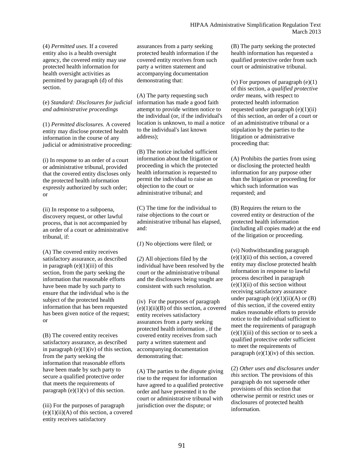(4) *Permitted uses.* If a covered entity also is a health oversight agency, the covered entity may use protected health information for health oversight activities as permitted by paragraph (d) of this section.

(e) *Standard: Disclosures for judicial and administrative proceedings*

(1) *Permitted disclosures.* A covered entity may disclose protected health information in the course of any judicial or administrative proceeding:

(i) In response to an order of a court or administrative tribunal, provided that the covered entity discloses only the protected health information expressly authorized by such order; or

(ii) In response to a subpoena, discovery request, or other lawful process, that is not accompanied by an order of a court or administrative tribunal, if:

(A) The covered entity receives satisfactory assurance, as described in paragraph  $(e)(1)(iii)$  of this section, from the party seeking the information that reasonable efforts have been made by such party to ensure that the individual who is the subject of the protected health information that has been requested has been given notice of the request; or

(B) The covered entity receives satisfactory assurance, as described in paragraph  $(e)(1)(iv)$  of this section, from the party seeking the information that reasonable efforts have been made by such party to secure a qualified protective order that meets the requirements of paragraph  $(e)(1)(v)$  of this section.

(iii) For the purposes of paragraph  $(e)(1)(ii)(A)$  of this section, a covered entity receives satisfactory

assurances from a party seeking protected health information if the covered entity receives from such party a written statement and accompanying documentation demonstrating that:

(A) The party requesting such information has made a good faith attempt to provide written notice to the individual (or, if the individual's location is unknown, to mail a notice to the individual's last known address);

(B) The notice included sufficient information about the litigation or proceeding in which the protected health information is requested to permit the individual to raise an objection to the court or administrative tribunal; and

(C) The time for the individual to raise objections to the court or administrative tribunal has elapsed, and:

(*1*) No objections were filed; or

(*2*) All objections filed by the individual have been resolved by the court or the administrative tribunal and the disclosures being sought are consistent with such resolution.

(iv) For the purposes of paragraph  $(e)(1)(ii)(B)$  of this section, a covered entity receives satisfactory assurances from a party seeking protected health information , if the covered entity receives from such party a written statement and accompanying documentation demonstrating that:

(A) The parties to the dispute giving rise to the request for information have agreed to a qualified protective order and have presented it to the court or administrative tribunal with jurisdiction over the dispute; or

(B) The party seeking the protected health information has requested a qualified protective order from such court or administrative tribunal.

(v) For purposes of paragraph  $(e)(1)$ of this section, a *qualified protective order* means, with respect to protected health information requested under paragraph  $(e)(1)(ii)$ of this section, an order of a court or of an administrative tribunal or a stipulation by the parties to the litigation or administrative proceeding that:

(A) Prohibits the parties from using or disclosing the protected health information for any purpose other than the litigation or proceeding for which such information was requested; and

(B) Requires the return to the covered entity or destruction of the protected health information (including all copies made) at the end of the litigation or proceeding.

(vi) Nothwithstanding paragraph  $(e)(1)(ii)$  of this section, a covered entity may disclose protected health information in response to lawful process described in paragraph  $(e)(1)(ii)$  of this section without receiving satisfactory assurance under paragraph  $(e)(1)(ii)(A)$  or  $(B)$ of this section, if the covered entity makes reasonable efforts to provide notice to the individual sufficient to meet the requirements of paragraph  $(e)(1)(iii)$  of this section or to seek a qualified protective order sufficient to meet the requirements of paragraph  $(e)(1)(iv)$  of this section.

(2) *Other uses and disclosures under this section.* The provisions of this paragraph do not supersede other provisions of this section that otherwise permit or restrict uses or disclosures of protected health information.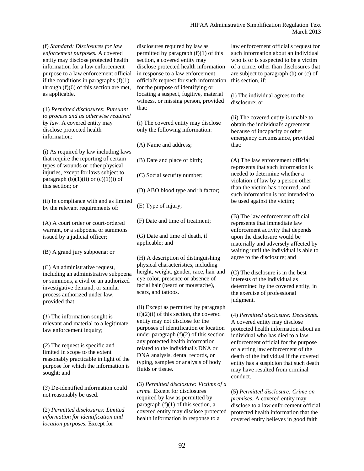(f) *Standard: Disclosures for law enforcement purposes.* A covered entity may disclose protected health information for a law enforcement purpose to a law enforcement official if the conditions in paragraphs  $(f)(1)$ through (f)(6) of this section are met, as applicable.

(1) *Permitted disclosures: Pursuant to process and as otherwise required by law.* A covered entity may disclose protected health information:

(i) As required by law including laws that require the reporting of certain types of wounds or other physical injuries, except for laws subject to paragraph  $(b)(1)(ii)$  or  $(c)(1)(i)$  of this section; or

(ii) In compliance with and as limited by the relevant requirements of:

(A) A court order or court-ordered warrant, or a subpoena or summons issued by a judicial officer;

(B) A grand jury subpoena; or

(C) An administrative request, including an administrative subpoena or summons, a civil or an authorized investigative demand, or similar process authorized under law, provided that:

(*1*) The information sought is relevant and material to a legitimate law enforcement inquiry;

(*2*) The request is specific and limited in scope to the extent reasonably practicable in light of the purpose for which the information is sought; and

(*3*) De-identified information could not reasonably be used.

(2) *Permitted disclosures: Limited information for identification and location purposes.* Except for

disclosures required by law as permitted by paragraph  $(f)(1)$  of this section, a covered entity may disclose protected health information in response to a law enforcement official's request for such information for the purpose of identifying or locating a suspect, fugitive, material witness, or missing person, provided that:

(i) The covered entity may disclose only the following information:

(A) Name and address;

(B) Date and place of birth;

(C) Social security number;

(D) ABO blood type and rh factor;

(E) Type of injury;

(F) Date and time of treatment;

(G) Date and time of death, if applicable; and

(H) A description of distinguishing physical characteristics, including height, weight, gender, race, hair and eye color, presence or absence of facial hair (beard or moustache), scars, and tattoos.

(ii) Except as permitted by paragraph  $(f)(2)(i)$  of this section, the covered entity may not disclose for the purposes of identification or location under paragraph  $(f)(2)$  of this section any protected health information related to the individual's DNA or DNA analysis, dental records, or typing, samples or analysis of body fluids or tissue.

(3) *Permitted disclosure: Victims of a crime.* Except for disclosures required by law as permitted by paragraph  $(f)(1)$  of this section, a covered entity may disclose protected health information in response to a

law enforcement official's request for such information about an individual who is or is suspected to be a victim of a crime, other than disclosures that are subject to paragraph (b) or (c) of this section, if:

(i) The individual agrees to the disclosure; or

(ii) The covered entity is unable to obtain the individual's agreement because of incapacity or other emergency circumstance, provided that:

(A) The law enforcement official represents that such information is needed to determine whether a violation of law by a person other than the victim has occurred, and such information is not intended to be used against the victim;

(B) The law enforcement official represents that immediate law enforcement activity that depends upon the disclosure would be materially and adversely affected by waiting until the individual is able to agree to the disclosure; and

(C) The disclosure is in the best interests of the individual as determined by the covered entity, in the exercise of professional judgment.

(4) *Permitted disclosure: Decedents.* A covered entity may disclose protected health information about an individual who has died to a law enforcement official for the purpose of alerting law enforcement of the death of the individual if the covered entity has a suspicion that such death may have resulted from criminal conduct.

(5) *Permitted disclosure: Crime on premises.* A covered entity may disclose to a law enforcement official protected health information that the covered entity believes in good faith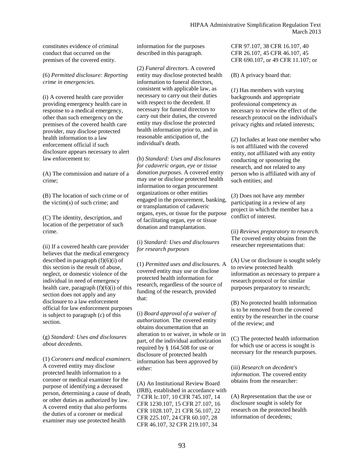constitutes evidence of criminal conduct that occurred on the premises of the covered entity.

(6) *Permitted disclosure: Reporting crime in emergencies.*

(i) A covered health care provider providing emergency health care in response to a medical emergency, other than such emergency on the premises of the covered health care provider, may disclose protected health information to a law enforcement official if such disclosure appears necessary to alert law enforcement to:

(A) The commission and nature of a crime;

(B) The location of such crime or of the victim(s) of such crime; and

(C) The identity, description, and location of the perpetrator of such crime.

(ii) If a covered health care provider believes that the medical emergency described in paragraph  $(f)(6)(i)$  of this section is the result of abuse, neglect, or domestic violence of the individual in need of emergency health care, paragraph  $(f)(6)(i)$  of this section does not apply and any disclosure to a law enforcement official for law enforcement purposes is subject to paragraph (c) of this section.

(g) *Standard: Uses and disclosures about decedents.*

(1) *Coroners and medical examiners.* A covered entity may disclose protected health information to a coroner or medical examiner for the purpose of identifying a deceased person, determining a cause of death, or other duties as authorized by law. A covered entity that also performs the duties of a coroner or medical examiner may use protected health

information for the purposes described in this paragraph.

(2) *Funeral directors.* A covered entity may disclose protected health information to funeral directors, consistent with applicable law, as necessary to carry out their duties with respect to the decedent. If necessary for funeral directors to carry out their duties, the covered entity may disclose the protected health information prior to, and in reasonable anticipation of, the individual's death.

(h) *Standard: Uses and disclosures for cadaveric organ, eye or tissue donation purposes.* A covered entity may use or disclose protected health information to organ procurement organizations or other entities engaged in the procurement, banking or transplantation of cadaveric organs, eyes, or tissue for the purpose of facilitating organ, eye or tissue donation and transplantation.

(i) *Standard: Uses and disclosures for research purposes*

(1) *Permitted uses and disclosures.* A covered entity may use or disclose protected health information for research, regardless of the source of funding of the research, provided that:

(i) *Board approval of a waiver of authorization.* The covered entity obtains documentation that an alteration to or waiver, in whole or in part, of the individual authorization required by § 164.508 for use or disclosure of protected health information has been approved by either:

(A) An Institutional Review Board (IRB), established in accordance with 7 CFR lc.107, 10 CFR 745.107, 14 CFR 1230.107, 15 CFR 27.107, 16 CFR 1028.107, 21 CFR 56.107, 22 CFR 225.107, 24 CFR 60.107, 28 CFR 46.107, 32 CFR 219.107, 34

CFR 97.107, 38 CFR 16.107, 40 CFR 26.107, 45 CFR 46.107, 45 CFR 690.107, or 49 CFR 11.107; or

(B) A privacy board that:

(*1*) Has members with varying backgrounds and appropriate professional competency as necessary to review the effect of the research protocol on the individual's privacy rights and related interests;

(*2*) Includes at least one member who is not affiliated with the covered entity, not affiliated with any entity conducting or sponsoring the research, and not related to any person who is affiliated with any of such entities; and

(*3*) Does not have any member , participating in a review of any project in which the member has a conflict of interest.

(ii) *Reviews preparatory to research.* The covered entity obtains from the researcher representations that:

(A) Use or disclosure is sought solely to review protected health information as necessary to prepare a research protocol or for similar purposes preparatory to research;

(B) No protected health information is to be removed from the covered entity by the researcher in the course of the review; and

(C) The protected health information for which use or access is sought is necessary for the research purposes.

(iii) *Research on decedent's information.* The covered entity obtains from the researcher:

(A) Representation that the use or disclosure sought is solely for research on the protected health information of decedents;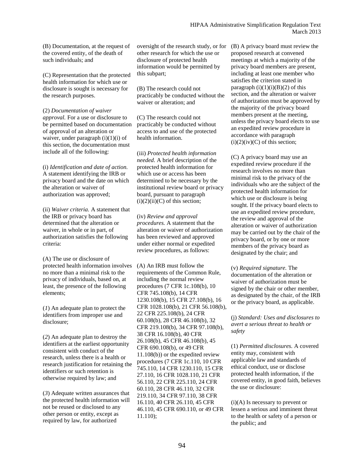(B) Documentation, at the request of the covered entity, of the death of such individuals; and

(C) Representation that the protected health information for which use or disclosure is sought is necessary for the research purposes.

(2) *Documentation of waiver approval.* For a use or disclosure to be permitted based on documentation of approval of an alteration or waiver, under paragraph  $(i)(1)(i)$  of this section, the documentation must include all of the following:

(i) *Identification and date of action.* A statement identifying the IRB or privacy board and the date on which the alteration or waiver of authorization was approved;

(ii) *Waiver criteria.* A statement that the IRB or privacy board has determined that the alteration or waiver, in whole or in part, of authorization satisfies the following criteria:

(A) The use or disclosure of protected health information involves no more than a minimal risk to the privacy of individuals, based on, at least, the presence of the following elements;

(*1*) An adequate plan to protect the identifiers from improper use and disclosure;

(*2*) An adequate plan to destroy the identifiers at the earliest opportunity consistent with conduct of the research, unless there is a health or research justification for retaining the identifiers or such retention is otherwise required by law; and

(*3*) Adequate written assurances that the protected health information will not be reused or disclosed to any other person or entity, except as required by law, for authorized

other research for which the use or disclosure of protected health information would be permitted by this subpart;

(B) The research could not practicably be conducted without th e waiver or alteration; and

(C) The research could not practicably be conducted without access to and use of the protected health information.

(iii) *Protected health information needed.* A brief description of the protected health information for which use or access has been determined to be necessary by the institutional review board or privacy board, pursuant to paragraph  $(i)(2)(ii)(C)$  of this section;

(iv) *Review and approval procedures.* A statement that the alteration or waiver of authorization has been reviewed and approved under either normal or expedited review procedures, as follows:

(A) An IRB must follow the requirements of the Common Rule, including the normal review procedures (7 CFR 1c.108(b), 10 CFR 745.108(b), 14 CFR 1230.108(b), 15 CFR 27.108(b), 16 CFR 1028.108(b), 21 CFR 56.108(b ),22 CFR 225.108(b), 24 CFR 60.108(b), 28 CFR 46.108(b), 32 CFR 219.108(b), 34 CFR 97.108(b), 38 CFR 16.108(b), 40 CFR 26.108(b), 45 CFR 46.108(b), 45 CFR 690.108(b), or 49 CFR 11.108(b)) or the expedited review procedures (7 CFR 1c.110, 10 CFR 745.110, 14 CFR 1230.110, 15 CFR 27.110, 16 CFR 1028.110, 21 CFR 56.110, 22 CFR 225.110, 24 CFR 60.110, 28 CFR 46.110, 32 CFR 219.110, 34 CFR 97.110, 38 CFR 16.110, 40 CFR 26.110, 45 CFR 46.110, 45 CFR 690.110, or 49 CFR 11.110);

oversight of the research study, or for (B) A privacy board must review the proposed research at convened meetings at which a majority of the privacy board members are present, including at least one member who satisfies the criterion stated in paragraph  $(i)(1)(i)(B)(2)$  of this section, and the alteration or waiver of authorization must be approved by the majority of the privacy board members present at the meeting, unless the privacy board elects to use an expedited review procedure in accordance with paragraph  $(i)(2)(iv)(C)$  of this section;

> (C) A privacy board may use an expedited review procedure if the research involves no more than minimal risk to the privacy of the individuals who are the subject of the protected health information for which use or disclosure is being sought. If the privacy board elects to use an expedited review procedure, the review and approval of the alteration or waiver of authorization may be carried out by the chair of the privacy board, or by one or more members of the privacy board as designated by the chair; and

> (v) *Required signature.* The documentation of the alteration or waiver of authorization must be signed by the chair or other member, as designated by the chair, of the IRB or the privacy board, as applicable.

> (j) *Standard: Uses and disclosures to avert a serious threat to health or safety*

> (1) *Permitted disclosures.* A covered entity may, consistent with applicable law and standards of ethical conduct, use or disclose protected health information, if the covered entity, in good faith, believes the use or disclosure:

(i)(A) Is necessary to prevent or lessen a serious and imminent threat to the health or safety of a person or the public; and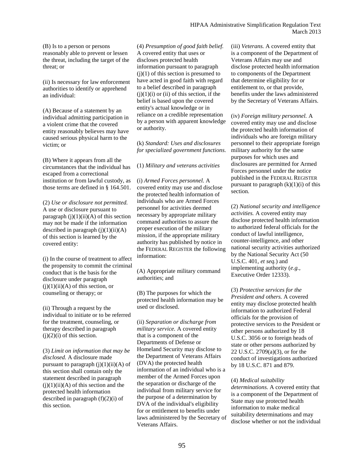(B) Is to a person or persons reasonably able to prevent or lessen the threat, including the target of the threat; or

(ii) Is necessary for law enforcement authorities to identify or apprehend an individual:

(A) Because of a statement by an individual admitting participation in a violent crime that the covered entity reasonably believes may have caused serious physical harm to the victim; or

(B) Where it appears from all the circumstances that the individual has escaped from a correctional institution or from lawful custody, as those terms are defined in § 164.501.

(2) *Use or disclosure not permitted.* A use or disclosure pursuant to paragraph  $(j)(1)(ii)(A)$  of this section may not be made if the information described in paragraph  $(i)(1)(ii)(A)$ of this section is learned by the covered entity:

(i) In the course of treatment to affect the propensity to commit the crimina l conduct that is the basis for the disclosure under paragraph  $(i)(1)(ii)(A)$  of this section, or counseling or therapy; or

(ii) Through a request by the individual to initiate or to be referred for the treatment, counseling, or therapy described in paragraph  $(j)(2)(i)$  of this section.

(3) *Limit on information that may be disclosed.* A disclosure made pursuant to paragraph  $(i)(1)(ii)(A)$  of this section shall contain only the statement described in paragraph  $(i)(1)(ii)(A)$  of this section and the protected health information described in paragraph  $(f)(2)(i)$  of this section.

(4) *Presumption of good faith belief.* A covered entity that uses or discloses protected health information pursuant to paragraph  $(i)(1)$  of this section is presumed to have acted in good faith with regard to a belief described in paragraph  $(i)(1)(i)$  or  $(ii)$  of this section, if the belief is based upon the covered entity's actual knowledge or in reliance on a credible representation by a person with apparent knowledge or authority.

(k) *Standard: Uses and disclosures for specialized government functions.*

(1) *Military and veterans activities*

(i) *Armed Forces personnel.* A covered entity may use and disclose the protected health information of individuals who are Armed Forces personnel for activities deemed necessary by appropriate military command authorities to assure the proper execution of the military mission, if the appropriate military authority has published by notice in the FEDERAL REGISTER the following information:

(A) Appropriate military command authorities; and

(B) The purposes for which the protected health information may be used or disclosed.

(ii) *Separation or discharge from military service.* A covered entity that is a component of the Departments of Defense or Homeland Security may disclose to the Department of Veterans Affairs (DVA) the protected health information of an individual who is a member of the Armed Forces upon the separation or discharge of the individual from military service for the purpose of a determination by DVA of the individual's eligibility for or entitlement to benefits under laws administered by the Secretary of Veterans Affairs.

(iii) *Veterans.* A covered entity that is a component of the Department of Veterans Affairs may use and disclose protected health information to components of the Department that determine eligibility for or entitlement to, or that provide, benefits under the laws administered by the Secretary of Veterans Affairs.

(iv) *Foreign military personnel.* A covered entity may use and disclose the protected health information of individuals who are foreign military personnel to their appropriate foreign military authority for the same purposes for which uses and disclosures are permitted for Armed Forces personnel under the notice published in the FEDERAL REGISTER pursuant to paragraph  $(k)(1)(i)$  of this section.

(2) *National security and intelligence activities.* A covered entity may disclose protected health information to authorized federal officials for the conduct of lawful intelligence, counter-intelligence, and other national security activities authorized by the National Security Act (50 U.S.C. 401, *et seq.*) and implementing authority (*e.g.,* Executive Order 12333).

(3) *Protective services for the President and others.* A covered entity may disclose protected health information to authorized Federal officials for the provision of protective services to the President or other persons authorized by 18 U.S.C. 3056 or to foreign heads of state or other persons authorized by 22 U.S.C. 2709(a)(3), or for the conduct of investigations authorized by 18 U.S.C. 871 and 879.

# (4) *Medical suitability*

*determinations.* A covered entity that is a component of the Department of State may use protected health information to make medical suitability determinations and may disclose whether or not the individual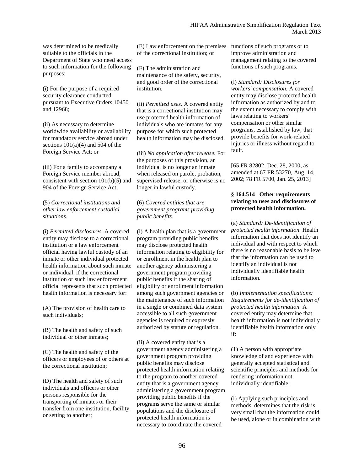was determined to be medically suitable to the officials in the Department of State who need access to such information for the following purposes:

(i) For the purpose of a required security clearance conducted pursuant to Executive Orders 10450 and 12968;

(ii) As necessary to determine worldwide availability or availability for mandatory service abroad under sections  $101(a)(4)$  and 504 of the Foreign Service Act; or

(iii) For a family to accompany a Foreign Service member abroad, consistent with section 101(b)(5) and 904 of the Foreign Service Act.

(5) *Correctional institutions and other law enforcement custodial situations.*

(i) *Permitted disclosures.* A covered entity may disclose to a correctional institution or a law enforcement official having lawful custody of an inmate or other individual protected health information about such inmate or individual, if the correctional institution or such law enforcement official represents that such protected health information is necessary for:

(A) The provision of health care to such individuals;

(B) The health and safety of such individual or other inmates;

(C) The health and safety of the officers or employees of or others at the correctional institution;

(D) The health and safety of such individuals and officers or other persons responsible for the transporting of inmates or their transfer from one institution, facility, or setting to another;

(E) Law enforcement on the premises functions of such programs or to of the correctional institution; or

(F) The administration and maintenance of the safety, security, and good order of the correctional institution.

(ii) *Permitted uses.* A covered entity that is a correctional institution may use protected health information of individuals who are inmates for any purpose for which such protected health information may be disclosed.

(iii) *No application after release.* For the purposes of this provision, an individual is no longer an inmate when released on parole, probation, supervised release, or otherwise is no longer in lawful custody.

(6) *Covered entities that are government programs providing public benefits.*

(i) A health plan that is a government program providing public benefits may disclose protected health information relating to eligibility for or enrollment in the health plan to another agency administering a government program providing public benefits if the sharing of eligibility or enrollment information among such government agencies or the maintenance of such information in a single or combined data system accessible to all such government agencies is required or expressly authorized by statute or regulation.

(ii) A covered entity that is a government agency administering a government program providing public benefits may disclose protected health information relating to the program to another covered entity that is a government agency administering a government program providing public benefits if the programs serve the same or similar populations and the disclosure of protected health information is necessary to coordinate the covered

improve administration and management relating to the covered functions of such programs.

(l) *Standard: Disclosures for workers' compensation.* A covered entity may disclose protected health information as authorized by and to the extent necessary to comply with laws relating to workers' compensation or other similar programs, established by law, that provide benefits for work-related injuries or illness without regard to fault.

[65 FR 82802, Dec. 28, 2000, as amended at 67 FR 53270, Aug. 14, 2002; 78 FR 5700, Jan. 25, 2013]

## **§ 164.514 Other requirements relating to uses and disclosures of protected health information.**

(a) *Standard: De-identification of protected health information.* Health information that does not identify an individual and with respect to which there is no reasonable basis to believe that the information can be used to identify an individual is not individually identifiable health information.

(b) *Implementation specifications: Requirements for de-identification of protected health information.* A covered entity may determine that health information is not individually identifiable health information only if:

(1) A person with appropriate knowledge of and experience with generally accepted statistical and scientific principles and methods for rendering information not individually identifiable:

(i) Applying such principles and methods, determines that the risk is very small that the information could be used, alone or in combination with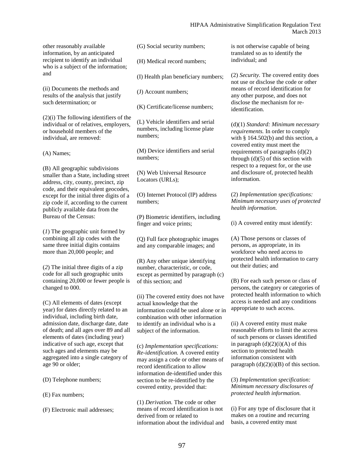other reasonably available information, by an anticipated recipient to identify an individual who is a subject of the information; and

(ii) Documents the methods and results of the analysis that justify such determination; or

(2)(i) The following identifiers of the individual or of relatives, employers, or household members of the individual, are removed:

(A) Names;

(B) All geographic subdivisions smaller than a State, including street address, city, county, precinct, zip code, and their equivalent geocodes, except for the initial three digits of a zip code if, according to the current publicly available data from the Bureau of the Census:

(*1*) The geographic unit formed by combining all zip codes with the same three initial digits contains more than 20,000 people; and

(*2*) The initial three digits of a zip code for all such geographic units containing 20,000 or fewer people is changed to 000.

(C) All elements of dates (except year) for dates directly related to an individual, including birth date, admission date, discharge date, date of death; and all ages over 89 and all elements of dates (including year) indicative of such age, except that such ages and elements may be aggregated into a single category of age 90 or older;

(D) Telephone numbers;

(E) Fax numbers;

(F) Electronic mail addresses;

(G) Social security numbers;

(H) Medical record numbers;

(I) Health plan beneficiary numbers;

(J) Account numbers;

(K) Certificate/license numbers;

(L) Vehicle identifiers and serial numbers, including license plate numbers;

(M) Device identifiers and serial numbers;

(N) Web Universal Resource Locators (URLs);

(O) Internet Protocol (IP) address numbers;

(P) Biometric identifiers, including finger and voice prints;

(Q) Full face photographic images and any comparable images; and

(R) Any other unique identifying number, characteristic, or code, except as permitted by paragraph (c) of this section; and

(ii) The covered entity does not have actual knowledge that the information could be used alone or in combination with other information to identify an individual who is a subject of the information.

(c) *Implementation specifications: Re-identification.* A covered entity may assign a code or other means of record identification to allow information de-identified under this section to be re-identified by the covered entity, provided that:

(1) *Derivation.* The code or other means of record identification is not derived from or related to information about the individual and is not otherwise capable of being translated so as to identify the individual; and

(2) *Security.* The covered entity does not use or disclose the code or other means of record identification for any other purpose, and does not disclose the mechanism for reidentification.

(d)(1) *Standard: Minimum necessary requirements.* In order to comply with § 164.502(b) and this section, a covered entity must meet the requirements of paragraphs (d)(2) through  $(d)(5)$  of this section with respect to a request for, or the use and disclosure of, protected health information.

(2) *Implementation specifications: Minimum necessary uses of protected health information.*

(i) A covered entity must identify:

(A) Those persons or classes of persons, as appropriate, in its workforce who need access to protected health information to carry out their duties; and

(B) For each such person or class of persons, the category or categories of protected health information to which access is needed and any conditions appropriate to such access.

(ii) A covered entity must make reasonable efforts to limit the access of such persons or classes identified in paragraph  $(d)(2)(i)(A)$  of this section to protected health information consistent with paragraph  $(d)(2)(i)(B)$  of this section.

(3) *Implementation specification: Minimum necessary disclosures of protected health information.*

(i) For any type of disclosure that it makes on a routine and recurring basis, a covered entity must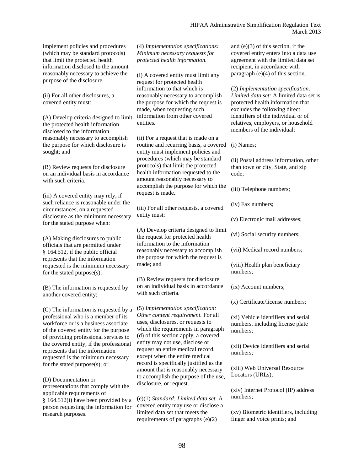implement policies and procedures (which may be standard protocols) that limit the protected health information disclosed to the amount reasonably necessary to achieve the purpose of the disclosure.

(ii) For all other disclosures, a covered entity must:

(A) Develop criteria designed to limit the protected health information disclosed to the information reasonably necessary to accomplish the purpose for which disclosure is sought; and

(B) Review requests for disclosure on an individual basis in accordance with such criteria.

(iii) A covered entity may rely, if such reliance is reasonable under the circumstances, on a requested disclosure as the minimum necessary for the stated purpose when:

(A) Making disclosures to public officials that are permitted under § 164.512, if the public official represents that the information requested is the minimum necessary for the stated purpose(s);

(B) The information is requested by another covered entity;

(C) The information is requested by a professional who is a member of its workforce or is a business associate of the covered entity for the purpose of providing professional services to the covered entity, if the professional represents that the information requested is the minimum necessary for the stated purpose(s); or

(D) Documentation or representations that comply with the applicable requirements of § 164.512(i) have been provided by a person requesting the information for research purposes.

(4) *Implementation specifications: Minimum necessary requests for protected health information.*

(i) A covered entity must limit any request for protected health information to that which is reasonably necessary to accomplish the purpose for which the request is made, when requesting such information from other covered entities.

(ii) For a request that is made on a routine and recurring basis, a covered (i) Names; entity must implement policies and procedures (which may be standard protocols) that limit the protected health information requested to the amount reasonably necessary to accomplish the purpose for which the request is made.

(iii) For all other requests, a covered entity must:

(A) Develop criteria designed to limit the request for protected health information to the information reasonably necessary to accomplish the purpose for which the request is made; and

(B) Review requests for disclosure on an individual basis in accordance with such criteria.

(5) *Implementation specification: Other content requirement.* For all uses, disclosures, or requests to which the requirements in paragraph (d) of this section apply, a covered entity may not use, disclose or request an entire medical record, except when the entire medical record is specifically justified as the amount that is reasonably necessary to accomplish the purpose of the use, disclosure, or request.

(e)(1) *Standard: Limited data set.* A covered entity may use or disclose a limited data set that meets the requirements of paragraphs (e)(2)

and (e)(3) of this section, if the covered entity enters into a data use agreement with the limited data set recipient, in accordance with paragraph (e)(4) of this section.

(2) *Implementation specification: Limited data set:* A limited data set is protected health information that excludes the following direct identifiers of the individual or of relatives, employers, or household members of the individual:

(ii) Postal address information, other than town or city, State, and zip code;

(iii) Telephone numbers;

(iv) Fax numbers;

(v) Electronic mail addresses;

(vi) Social security numbers;

(vii) Medical record numbers;

(viii) Health plan beneficiary numbers;

(ix) Account numbers;

(x) Certificate/license numbers;

(xi) Vehicle identifiers and serial numbers, including license plate numbers;

(xii) Device identifiers and serial numbers;

(xiii) Web Universal Resource Locators (URLs);

(xiv) Internet Protocol (IP) address numbers;

(xv) Biometric identifiers, including finger and voice prints; and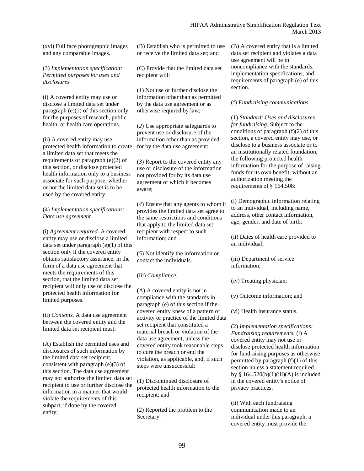(xvi) Full face photographic images and any comparable images.

(3) *Implementation specification: Permitted purposes for uses and disclosures.*

(i) A covered entity may use or disclose a limited data set under paragraph  $(e)(1)$  of this section only for the purposes of research, public health, or health care operations.

(ii) A covered entity may use protected health information to create a limited data set that meets the requirements of paragraph (e)(2) of this section, or disclose protected health information only to a business associate for such purpose, whether or not the limited data set is to be used by the covered entity.

(4) *Implementation specifications: Data use agreement*

(i) *Agreement required.* A covered entity may use or disclose a limited data set under paragraph (e)(1) of this section only if the covered entity obtains satisfactory assurance, in the form of a data use agreement that meets the requirements of this section, that the limited data set recipient will only use or disclose the protected health information for limited purposes.

(ii) *Contents.* A data use agreement between the covered entity and the limited data set recipient must:

(A) Establish the permitted uses and disclosures of such information by the limited data set recipient, consistent with paragraph (e)(3) of this section. The data use agreement may not authorize the limited data set recipient to use or further disclose the information in a manner that would violate the requirements of this subpart, if done by the covered entity;

(B) Establish who is permitted to use or receive the limited data set; and

(C) Provide that the limited data set recipient will:

(*1*) Not use or further disclose the information other than as permitted by the data use agreement or as otherwise required by law;

(*2*) Use appropriate safeguards to prevent use or disclosure of the information other than as provided for by the data use agreement;

(*3*) Report to the covered entity any use or disclosure of the information not provided for by its data use agreement of which it becomes aware;

(*4*) Ensure that any agents to whom it provides the limited data set agree to the same restrictions and conditions that apply to the limited data set recipient with respect to such information; and

(*5*) Not identify the information or contact the individuals.

(iii) *Compliance.*

(A) A covered entity is not in compliance with the standards in paragraph (e) of this section if the covered entity knew of a pattern of activity or practice of the limited data set recipient that constituted a material breach or violation of the data use agreement, unless the covered entity took reasonable steps to cure the breach or end the violation, as applicable, and, if such steps were unsuccessful:

(1) Discontinued disclosure of protected health information to the recipient; and

(2) Reported the problem to the Secretary.

(B) A covered entity that is a limited data set recipient and violates a data use agreement will be in noncompliance with the standards, implementation specifications, and requirements of paragraph (e) of this section.

(f) *Fundraising communications.*

(1) *Standard: Uses and disclosures for fundraising.* Subject to the conditions of paragraph  $(f)(2)$  of this section, a covered entity may use, or disclose to a business associate or to an institutionally related foundation, the following protected health information for the purpose of raising funds for its own benefit, without an authorization meeting the requirements of § 164.508:

(i) Demographic information relating to an individual, including name, address, other contact information, age, gender, and date of birth;

(ii) Dates of health care provided to an individual;

(iii) Department of service information;

(iv) Treating physician;

(v) Outcome information; and

(vi) Health insurance status.

(2) *Implementation specifications: Fundraising requirements.* (i) A covered entity may not use or disclose protected health information for fundraising purposes as otherwise permitted by paragraph  $(f)(1)$  of this section unless a statement required by  $§$  164.520(b)(1)(iii)(A) is included in the covered entity's notice of privacy practices.

(ii) With each fundraising communication made to an individual under this paragraph, a covered entity must provide the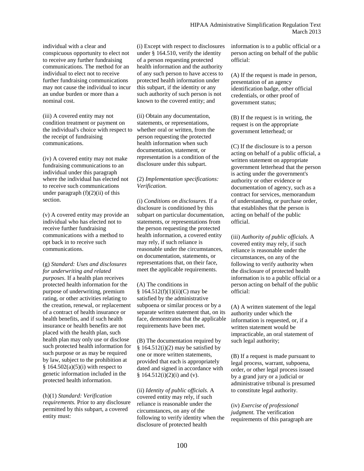individual with a clear and conspicuous opportunity to elect not to receive any further fundraising communications. The method for an individual to elect not to receive further fundraising communications may not cause the individual to incur an undue burden or more than a nominal cost.

(iii) A covered entity may not condition treatment or payment on the individual's choice with respect to the receipt of fundraising communications.

(iv) A covered entity may not make fundraising communications to an individual under this paragraph where the individual has elected not to receive such communications under paragraph  $(f)(2)(ii)$  of this section.

(v) A covered entity may provide an individual who has elected not to receive further fundraising communications with a method to opt back in to receive such communications.

(g) *Standard: Uses and disclosures for underwriting and related purposes.* If a health plan receives protected health information for the purpose of underwriting, premium rating, or other activities relating to the creation, renewal, or replacement of a contract of health insurance or health benefits, and if such health insurance or health benefits are not placed with the health plan, such health plan may only use or disclose such protected health information for such purpose or as may be required by law, subject to the prohibition at  $§$  164.502(a)(5)(i) with respect to genetic information included in the protected health information.

(h)(1) *Standard: Verification requirements.* Prior to any disclosure permitted by this subpart, a covered entity must:

(i) Except with respect to disclosures under § 164.510, verify the identity of a person requesting protected health information and the authority of any such person to have access to protected health information under this subpart, if the identity or any such authority of such person is not known to the covered entity; and

(ii) Obtain any documentation, statements, or representations, whether oral or written, from the person requesting the protected health information when such documentation, statement, or representation is a condition of the disclosure under this subpart.

## (2) *Implementation specifications: Verification.*

(i) *Conditions on disclosures.* If a disclosure is conditioned by this subpart on particular documentation, statements, or representations from the person requesting the protected health information, a covered entity may rely, if such reliance is reasonable under the circumstances, on documentation, statements, or representations that, on their face, meet the applicable requirements.

(A) The conditions in § 164.512(f)(1)(ii)(C) may be satisfied by the administrative subpoena or similar process or by a separate written statement that, on its face, demonstrates that the applicable requirements have been met.

(B) The documentation required by  $§ 164.512(i)(2)$  may be satisfied by one or more written statements, provided that each is appropriately dated and signed in accordance with §  $164.512(i)(2)(i)$  and (v).

(ii) *Identity of public officials.* A covered entity may rely, if such reliance is reasonable under the circumstances, on any of the following to verify identity when the disclosure of protected health

information is to a public official or a person acting on behalf of the public official:

(A) If the request is made in person, presentation of an agency identification badge, other official credentials, or other proof of government status;

(B) If the request is in writing, the request is on the appropriate government letterhead; or

(C) If the disclosure is to a person acting on behalf of a public official, a written statement on appropriate government letterhead that the person is acting under the government's authority or other evidence or documentation of agency, such as a contract for services, memorandum of understanding, or purchase order, that establishes that the person is acting on behalf of the public official.

(iii) *Authority of public officials.* A covered entity may rely, if such reliance is reasonable under the circumstances, on any of the following to verify authority when the disclosure of protected health information is to a public official or a person acting on behalf of the public official:

(A) A written statement of the legal authority under which the information is requested, or, if a written statement would be impracticable, an oral statement of such legal authority;

(B) If a request is made pursuant to legal process, warrant, subpoena, order, or other legal process issued by a grand jury or a judicial or administrative tribunal is presumed to constitute legal authority.

(iv) *Exercise of professional judgment.* The verification requirements of this paragraph are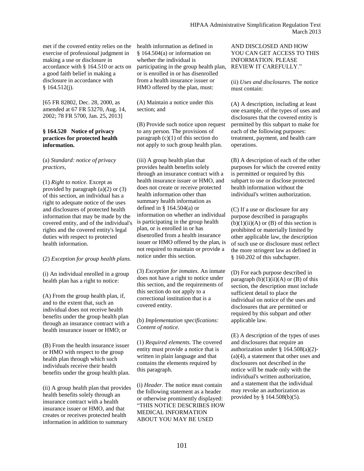met if the covered entity relies on the exercise of professional judgment in making a use or disclosure in accordance with § 164.510 or acts on a good faith belief in making a disclosure in accordance with § 164.512(j).

[65 FR 82802, Dec. 28, 2000, as amended at 67 FR 53270, Aug. 14, 2002; 78 FR 5700, Jan. 25, 2013]

#### **§ 164.520 Notice of privacy practices for protected health information.**

(a) *Standard: notice of privacy practices,* 

(1) *Right to notice.* Except as provided by paragraph (a)(2) or (3) of this section, an individual has a right to adequate notice of the uses and disclosures of protected health information that may be made by the covered entity, and of the individual's rights and the covered entity's legal duties with respect to protected health information.

(2) *Exception for group health plans.*

(i) An individual enrolled in a group health plan has a right to notice:

(A) From the group health plan, if, and to the extent that, such an individual does not receive health benefits under the group health plan through an insurance contract with a health insurance issuer or HMO; or

(B) From the health insurance issuer or HMO with respect to the group health plan through which such individuals receive their health benefits under the group health plan.

(ii) A group health plan that provides health benefits solely through an insurance contract with a health insurance issuer or HMO, and that creates or receives protected health information in addition to summary

health information as defined in § 164.504(a) or information on whether the individual is participating in the group health plan, or is enrolled in or has disenrolled from a health insurance issuer or HMO offered by the plan, must:

(A) Maintain a notice under this section; and

(B) Provide such notice upon request to any person. The provisions of paragraph  $(c)(1)$  of this section do not apply to such group health plan.

(iii) A group health plan that provides health benefits solely through an insurance contract with a health insurance issuer or HMO, and does not create or receive protected health information other than summary health information as defined in § 164.504(a) or information on whether an individual is participating in the group health plan, or is enrolled in or has disenrolled from a health insurance issuer or HMO offered by the plan, is not required to maintain or provide a notice under this section.

(3) *Exception for inmates.* An inmate does not have a right to notice under this section, and the requirements of this section do not apply to a correctional institution that is a covered entity.

(b) *Implementation specifications: Content of notice.*

(1) *Required elements.* The covered entity must provide a notice that is written in plain language and that contains the elements required by this paragraph.

(i) *Header.* The notice must contain the following statement as a header or otherwise prominently displayed: "THIS NOTICE DESCRIBES HOW MEDICAL INFORMATION ABOUT YOU MAY BE USED

AND DISCLOSED AND HOW YOU CAN GET ACCESS TO THIS INFORMATION. PLEASE REVIEW IT CAREFULLY."

(ii) *Uses and disclosures.* The notice must contain:

(A) A description, including at least one example, of the types of uses and disclosures that the covered entity is permitted by this subpart to make for each of the following purposes: treatment, payment, and health care operations.

(B) A description of each of the other purposes for which the covered entity is permitted or required by this subpart to use or disclose protected health information without the individual's written authorization.

(C) If a use or disclosure for any purpose described in paragraphs  $(b)(1)(ii)(A)$  or  $(B)$  of this section is prohibited or materially limited by other applicable law, the description of such use or disclosure must reflect the more stringent law as defined in § 160.202 of this subchapter.

(D) For each purpose described in paragraph  $(b)(1)(ii)(A)$  or  $(B)$  of this section, the description must include sufficient detail to place the individual on notice of the uses and disclosures that are permitted or required by this subpart and other applicable law.

(E) A description of the types of uses and disclosures that require an authorization under § 164.508(a)(2)- (a)(4), a statement that other uses and disclosures not described in the notice will be made only with the individual's written authorization, and a statement that the individual may revoke an authorization as provided by § 164.508(b)(5).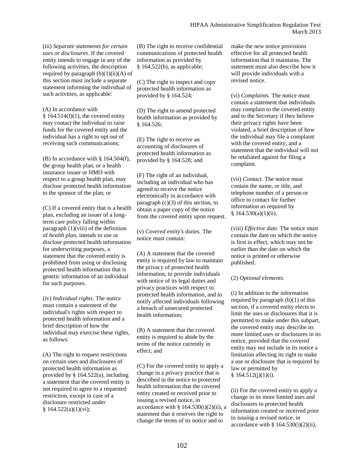(iii) *Separate statements for certain uses or disclosures.* If the covered entity intends to engage in any of the following activities, the description required by paragraph  $(b)(1)(ii)(A)$  of this section must include a separate statement informing the individual of such activities, as applicable:

(A) In accordance with  $§$  164.514(f)(1), the covered entity may contact the individual to raise funds for the covered entity and the individual has a right to opt out of receiving such communications;

(B) In accordance with § 164.504(f), the group health plan, or a health insurance issuer or HMO with respect to a group health plan, may disclose protected health information to the sponsor of the plan; or

(C) If a covered entity that is a health plan, excluding an issuer of a longterm care policy falling within paragraph  $(1)(viii)$  of the definition of *health plan,* intends to use or disclose protected health information for underwriting purposes, a statement that the covered entity is prohibited from using or disclosing protected health information that is genetic information of an individual for such purposes.

(iv) *Individual rights.* The notice must contain a statement of the individual's rights with respect to protected health information and a brief description of how the individual may exercise these rights, as follows:

(A) The right to request restrictions on certain uses and disclosures of protected health information as provided by  $§$  164.522(a), including a statement that the covered entity is not required to agree to a requested restriction, except in case of a disclosure restricted under § 164.522(a)(1)(vi);

(B) The right to receive confidential communications of protected health information as provided by § 164.522(b), as applicable;

(C) The right to inspect and copy protected health information as provided by § 164.524;

(D) The right to amend protected health information as provided by § 164.526;

(E) The right to receive an accounting of disclosures of protected health information as provided by § 164.528; and

(F) The right of an individual, including an individual who has agreed to receive the notice electronically in accordance with paragraph  $(c)(3)$  of this section, to obtain a paper copy of the notice from the covered entity upon request.

(v) *Covered entity's duties.* The notice must contain:

(A) A statement that the covered entity is required by law to maintain the privacy of protected health information, to provide individuals with notice of its legal duties and privacy practices with respect to protected health information, and to notify affected individuals following a breach of unsecured protected health information;

(B) A statement that the covered entity is required to abide by the terms of the notice currently in effect; and

(C) For the covered entity to apply a change in a privacy practice that is described in the notice to protected health information that the covered entity created or received prior to issuing a revised notice, in accordance with  $§$  164.530(i)(2)(ii), a statement that it reserves the right to change the terms of its notice and to

make the new notice provisions effective for all protected health information that it maintains. The statement must also describe how it will provide individuals with a revised notice.

(vi) *Complaints.* The notice must contain a statement that individuals may complain to the covered entity and to the Secretary if they believe their privacy rights have been violated, a brief description of how the individual may file a complaint with the covered entity, and a statement that the individual will not be retaliated against for filing a complaint.

(vii) *Contact.* The notice must contain the name, or title, and telephone number of a person or office to contact for further information as required by  $§ 164.530(a)(1)(ii).$ 

(viii) *Effective date.* The notice must contain the date on which the notice is first in effect, which may not be earlier than the date on which the notice is printed or otherwise published.

# (2) *Optional elements.*

(i) In addition to the information required by paragraph  $(b)(1)$  of this section, if a covered entity elects to limit the uses or disclosures that it is permitted to make under this subpart, the covered entity may describe its more limited uses or disclosures in its notice, provided that the covered entity may not include in its notice a limitation affecting its right to make a use or disclosure that is required by law or permitted by  $§ 164.512(j)(1)(i).$ 

(ii) For the covered entity to apply a change in its more limited uses and disclosures to protected health information created or received prior to issuing a revised notice, in accordance with  $§ 164.530(i)(2)(ii)$ ,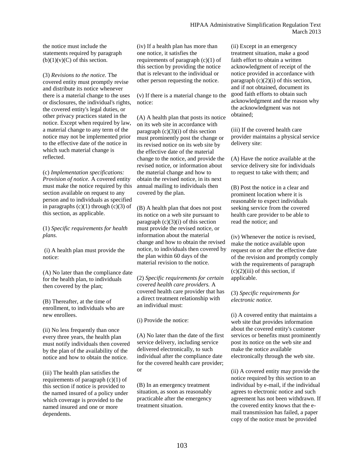the notice must include the statements required by paragraph  $(b)(1)(v)(C)$  of this section.

(3) *Revisions to the notice.* The covered entity must promptly revise and distribute its notice whenever there is a material change to the uses or disclosures, the individual's rights, the covered entity's legal duties, or other privacy practices stated in the notice. Except when required by law, a material change to any term of the notice may not be implemented prior to the effective date of the notice in which such material change is reflected.

(c) *Implementation specifications: Provision of notice.* A covered entity must make the notice required by this section available on request to any person and to individuals as specified in paragraphs  $(c)(1)$  through  $(c)(3)$  of this section, as applicable.

(1) *Specific requirements for health plans.* 

 (i) A health plan must provide the notice:

(A) No later than the compliance date for the health plan, to individuals then covered by the plan;

(B) Thereafter, at the time of enrollment, to individuals who are new enrollees.

(ii) No less frequently than once every three years, the health plan must notify individuals then covered by the plan of the availability of the notice and how to obtain the notice.

(iii) The health plan satisfies the requirements of paragraph  $(c)(1)$  of this section if notice is provided to the named insured of a policy under which coverage is provided to the named insured and one or more dependents.

(iv) If a health plan has more than one notice, it satisfies the requirements of paragraph  $(c)(1)$  of this section by providing the notice that is relevant to the individual or other person requesting the notice.

(v) If there is a material change to the notice:

(A) A health plan that posts its notice on its web site in accordance with paragraph  $(c)(3)(i)$  of this section must prominently post the change or its revised notice on its web site by the effective date of the material change to the notice, and provide the revised notice, or information about the material change and how to obtain the revised notice, in its next annual mailing to individuals then covered by the plan.

(B) A health plan that does not post its notice on a web site pursuant to paragraph  $(c)(3)(i)$  of this section must provide the revised notice, or information about the material change and how to obtain the revised notice, to individuals then covered by the plan within 60 days of the material revision to the notice.

(2) *Specific requirements for certain covered health care providers.* A covered health care provider that has a direct treatment relationship with an individual must:

(i) Provide the notice:

(A) No later than the date of the first service delivery, including service delivered electronically, to such individual after the compliance date for the covered health care provider; or

(B) In an emergency treatment situation, as soon as reasonably practicable after the emergency treatment situation.

(ii) Except in an emergency treatment situation, make a good faith effort to obtain a written acknowledgment of receipt of the notice provided in accordance with paragraph  $(c)(2)(i)$  of this section, and if not obtained, document its good faith efforts to obtain such acknowledgment and the reason why the acknowledgment was not obtained;

(iii) If the covered health care provider maintains a physical service delivery site:

(A) Have the notice available at the service delivery site for individuals to request to take with them; and

(B) Post the notice in a clear and prominent location where it is reasonable to expect individuals seeking service from the covered health care provider to be able to read the notice; and

(iv) Whenever the notice is revised, make the notice available upon request on or after the effective date of the revision and promptly comply with the requirements of paragraph  $(c)(2)(iii)$  of this section, if applicable.

(3) *Specific requirements for electronic notice.*

(i) A covered entity that maintains a web site that provides information about the covered entity's customer services or benefits must prominently post its notice on the web site and make the notice available electronically through the web site.

(ii) A covered entity may provide the notice required by this section to an individual by e-mail, if the individual agrees to electronic notice and such agreement has not been withdrawn. If the covered entity knows that the email transmission has failed, a paper copy of the notice must be provided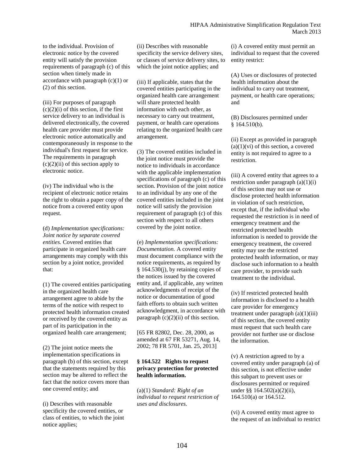to the individual. Provision of electronic notice by the covered entity will satisfy the provision requirements of paragraph (c) of this section when timely made in accordance with paragraph  $(c)(1)$  or (2) of this section.

(iii) For purposes of paragraph  $(c)(2)(i)$  of this section, if the first service delivery to an individual is delivered electronically, the covered health care provider must provide electronic notice automatically and contemporaneously in response to the individual's first request for service. The requirements in paragraph  $(c)(2)(ii)$  of this section apply to electronic notice.

(iv) The individual who is the recipient of electronic notice retains the right to obtain a paper copy of the notice from a covered entity upon request.

(d) *Implementation specifications: Joint notice by separate covered entities.* Covered entities that participate in organized health care arrangements may comply with this section by a joint notice, provided that:

(1) The covered entities participating in the organized health care arrangement agree to abide by the terms of the notice with respect to protected health information created or received by the covered entity as part of its participation in the organized health care arrangement;

(2) The joint notice meets the implementation specifications in paragraph (b) of this section, except that the statements required by this section may be altered to reflect the fact that the notice covers more than one covered entity; and

(i) Describes with reasonable specificity the covered entities, or class of entities, to which the joint notice applies;

(ii) Describes with reasonable specificity the service delivery sites, or classes of service delivery sites, to which the joint notice applies; and

(iii) If applicable, states that the covered entities participating in the organized health care arrangement will share protected health information with each other, as necessary to carry out treatment, payment, or health care operations relating to the organized health care arrangement.

(3) The covered entities included in the joint notice must provide the notice to individuals in accordance with the applicable implementation specifications of paragraph (c) of this section. Provision of the joint notice to an individual by any one of the covered entities included in the joint notice will satisfy the provision requirement of paragraph (c) of this section with respect to all others covered by the joint notice.

(e) *Implementation specifications: Documentation.* A covered entity must document compliance with the notice requirements, as required by § 164.530(j), by retaining copies of the notices issued by the covered entity and, if applicable, any written acknowledgments of receipt of the notice or documentation of good faith efforts to obtain such written acknowledgment, in accordance with paragraph  $(c)(2)(ii)$  of this section.

[65 FR 82802, Dec. 28, 2000, as amended at 67 FR 53271, Aug. 14, 2002; 78 FR 5701, Jan. 25, 2013]

# **§ 164.522 Rights to request privacy protection for protected health information.**

(a)(1) *Standard: Right of an individual to request restriction of uses and disclosures.*

(i) A covered entity must permit an individual to request that the covered entity restrict:

(A) Uses or disclosures of protected health information about the individual to carry out treatment, payment, or health care operations; and

(B) Disclosures permitted under  $§ 164.510(b).$ 

(ii) Except as provided in paragraph  $(a)(1)(vi)$  of this section, a covered entity is not required to agree to a restriction.

(iii) A covered entity that agrees to a restriction under paragraph  $(a)(1)(i)$ of this section may not use or disclose protected health information in violation of such restriction, except that, if the individual who requested the restriction is in need of emergency treatment and the restricted protected health information is needed to provide the emergency treatment, the covered entity may use the restricted protected health information, or may disclose such information to a health care provider, to provide such treatment to the individual.

(iv) If restricted protected health information is disclosed to a health care provider for emergency treatment under paragraph  $(a)(1)(iii)$ of this section, the covered entity must request that such health care provider not further use or disclose the information.

(v) A restriction agreed to by a covered entity under paragraph (a) of this section, is not effective under this subpart to prevent uses or disclosures permitted or required under §§ 164.502(a)(2)(ii), 164.510(a) or 164.512.

(vi) A covered entity must agree to the request of an individual to restrict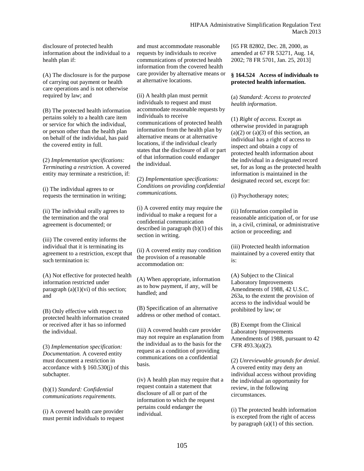disclosure of protected health information about the individual to a health plan if:

(A) The disclosure is for the purpose of carrying out payment or health care operations and is not otherwise required by law; and

(B) The protected health information pertains solely to a health care item or service for which the individual, or person other than the health plan on behalf of the individual, has paid the covered entity in full.

(2) *Implementation specifications: Terminating a restriction.* A covered entity may terminate a restriction, if:

(i) The individual agrees to or requests the termination in writing;

(ii) The individual orally agrees to the termination and the oral agreement is documented; or

(iii) The covered entity informs the individual that it is terminating its agreement to a restriction, except that such termination is:

(A) Not effective for protected health information restricted under paragraph  $(a)(1)(vi)$  of this section; and

(B) Only effective with respect to protected health information created or received after it has so informed the individual.

(3) *Implementation specification: Documentation.* A covered entity must document a restriction in accordance with § 160.530(j) of this subchapter.

(b)(1) *Standard: Confidential communications requirements.*

(i) A covered health care provider must permit individuals to request

and must accommodate reasonable requests by individuals to receive communications of protected health information from the covered health care provider by alternative means or at alternative locations.

(ii) A health plan must permit individuals to request and must accommodate reasonable requests by individuals to receive communications of protected health information from the health plan by alternative means or at alternative locations, if the individual clearly states that the disclosure of all or part of that information could endanger the individual.

(2) *Implementation specifications: Conditions on providing confidential communications.*

(i) A covered entity may require the individual to make a request for a confidential communication described in paragraph (b)(1) of this section in writing.

(ii) A covered entity may condition the provision of a reasonable accommodation on:

(A) When appropriate, information as to how payment, if any, will be handled; and

(B) Specification of an alternative address or other method of contact.

(iii) A covered health care provider may not require an explanation from the individual as to the basis for the request as a condition of providing communications on a confidential basis.

(iv) A health plan may require that a request contain a statement that disclosure of all or part of the information to which the request pertains could endanger the individual.

[65 FR 82802, Dec. 28, 2000, as amended at 67 FR 53271, Aug. 14, 2002; 78 FR 5701, Jan. 25, 2013]

## **§ 164.524 Access of individuals to protected health information.**

(a) *Standard: Access to protected health information.*

(1) *Right of access.* Except as otherwise provided in paragraph  $(a)(2)$  or  $(a)(3)$  of this section, an individual has a right of access to inspect and obtain a copy of protected health information about the individual in a designated record set, for as long as the protected health information is maintained in the designated record set, except for:

(i) Psychotherapy notes;

(ii) Information compiled in reasonable anticipation of, or for use in, a civil, criminal, or administrative action or proceeding; and

(iii) Protected health information maintained by a covered entity that is:

(A) Subject to the Clinical Laboratory Improvements Amendments of 1988, 42 U.S.C. 263a, to the extent the provision of access to the individual would be prohibited by law; or

(B) Exempt from the Clinical Laboratory Improvements Amendments of 1988, pursuant to 42 CFR 493.3(a)(2).

(2) *Unreviewable grounds for denial.* A covered entity may deny an individual access without providing the individual an opportunity for review, in the following circumstances.

(i) The protected health information is excepted from the right of access by paragraph (a)(1) of this section.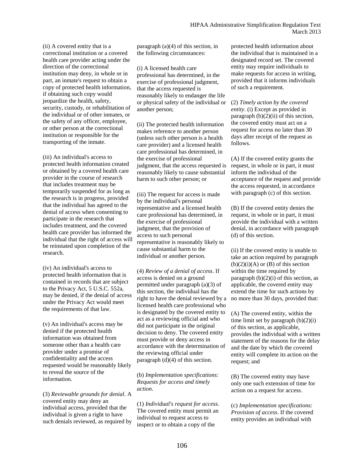(ii) A covered entity that is a correctional institution or a covered health care provider acting under the direction of the correctional institution may deny, in whole or in part, an inmate's request to obtain a copy of protected health information, if obtaining such copy would jeopardize the health, safety, security, custody, or rehabilitation of the individual or of other inmates, or the safety of any officer, employee, or other person at the correctional institution or responsible for the transporting of the inmate.

(iii) An individual's access to protected health information created or obtained by a covered health care provider in the course of research that includes treatment may be temporarily suspended for as long as the research is in progress, provided that the individual has agreed to the denial of access when consenting to participate in the research that includes treatment, and the covered health care provider has informed the individual that the right of access will be reinstated upon completion of the research.

(iv) An individual's access to protected health information that is contained in records that are subject to the Privacy Act, 5 U.S.C. 552a, may be denied, if the denial of access under the Privacy Act would meet the requirements of that law.

(v) An individual's access may be denied if the protected health information was obtained from someone other than a health care provider under a promise of confidentiality and the access requested would be reasonably likely to reveal the source of the information.

(3) *Reviewable grounds for denial*. A covered entity may deny an individual access, provided that the individual is given a right to have such denials reviewed, as required by paragraph (a)(4) of this section, in the following circumstances:

(i) A licensed health care professional has determined, in the exercise of professional judgment, that the access requested is reasonably likely to endanger the life or physical safety of the individual or another person;

(ii) The protected health information makes reference to another person (unless such other person is a health care provider) and a licensed health care professional has determined, in the exercise of professional judgment, that the access requested is reasonably likely to cause substantial harm to such other person; or

(iii) The request for access is made by the individual's personal representative and a licensed health care professional has determined, in the exercise of professional judgment, that the provision of access to such personal representative is reasonably likely to cause substantial harm to the individual or another person.

(4) *Review of a denial of access*. If access is denied on a ground permitted under paragraph (a)(3) of this section, the individual has the right to have the denial reviewed by a licensed health care professional who is designated by the covered entity to act as a reviewing official and who did not participate in the original decision to deny. The covered entity must provide or deny access in accordance with the determination of the reviewing official under paragraph (d)(4) of this section.

(b) *Implementation specifications: Requests for access and timely action*.

(1) *Individual's request for access*. The covered entity must permit an individual to request access to inspect or to obtain a copy of the

protected health information about the individual that is maintained in a designated record set. The covered entity may require individuals to make requests for access in writing, provided that it informs individuals of such a requirement.

(2) *Timely action by the covered entity*. (i) Except as provided in paragraph  $(b)(2)(ii)$  of this section, the covered entity must act on a request for access no later than 30 days after receipt of the request as follows.

(A) If the covered entity grants the request, in whole or in part, it must inform the individual of the acceptance of the request and provide the access requested, in accordance with paragraph (c) of this section.

(B) If the covered entity denies the request, in whole or in part, it must provide the individual with a written denial, in accordance with paragraph (d) of this section.

(ii) If the covered entity is unable to take an action required by paragraph  $(b)(2)(i)(A)$  or  $(B)$  of this section within the time required by paragraph  $(b)(2)(i)$  of this section, as applicable, the covered entity may extend the time for such actions by no more than 30 days, provided that:

(A) The covered entity, within the time limit set by paragraph  $(b)(2)(i)$ of this section, as applicable, provides the individual with a written statement of the reasons for the delay and the date by which the covered entity will complete its action on the request; and

(B) The covered entity may have only one such extension of time for action on a request for access.

(c) *Implementation specifications: Provision of access*. If the covered entity provides an individual with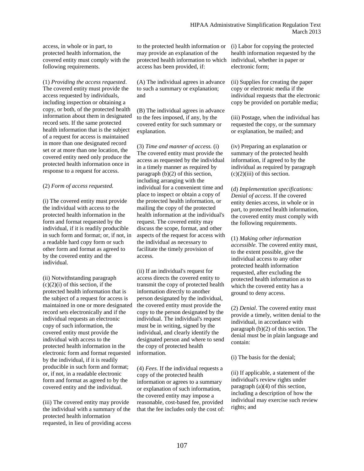access, in whole or in part, to protected health information, the covered entity must comply with the following requirements.

(1) *Providing the access requested*. The covered entity must provide the access requested by individuals, including inspection or obtaining a copy, or both, of the protected health information about them in designated record sets. If the same protected health information that is the subject of a request for access is maintained in more than one designated record set or at more than one location, the covered entity need only produce the protected health information once in response to a request for access.

#### (2) *Form of access requested.*

(i) The covered entity must provide the individual with access to the protected health information in the form and format requested by the individual, if it is readily producible in such form and format; or, if not, in a readable hard copy form or such other form and format as agreed to by the covered entity and the individual.

(ii) Notwithstanding paragraph  $(c)(2)(i)$  of this section, if the protected health information that is the subject of a request for access is maintained in one or more designated record sets electronically and if the individual requests an electronic copy of such information, the covered entity must provide the individual with access to the protected health information in the electronic form and format requested by the individual, if it is readily producible in such form and format; or, if not, in a readable electronic form and format as agreed to by the covered entity and the individual.

(iii) The covered entity may provide the individual with a summary of the protected health information requested, in lieu of providing access

to the protected health information o r (i) Labor for copying the protected may provide an explanation of the protected health information to whic h access has been provided, if:

(A) The individual agrees in advanc e to such a summary or explanation; and

(B) The individual agrees in advanc e to the fees imposed, if any, by the covered entity for such summary or explanation.

(3) *Time and manner of access.* (i) The covered entity must provide the access as requested by the individual in a timely manner as required by paragraph (b)(2) of this section, including arranging with the individual for a convenient time and place to inspect or obtain a copy of the protected health information, or mailing the copy of the protected health information at the individual's request. The covered entity may discuss the scope, format, and other aspects of the request for access wit h the individual as necessary to facilitate the timely provision of access.

(ii) If an individual's request for access directs the covered entity to transmit the copy of protected health information directly to another person designated by the individual, the covered entity must provide the copy to the person designated by the individual. The individual's request must be in writing, signed by the individual, and clearly identify the designated person and where to send the copy of protected health information.

(4) *Fees*. If the individual requests a copy of the protected health information or agrees to a summary or explanation of such information, the covered entity may impose a reasonable, cost-based fee, provided that the fee includes only the cost of: health information requested by the individual, whether in paper or electronic form;

(ii) Supplies for creating the paper copy or electronic media if the individual requests that the electronic copy be provided on portable media;

(iii) Postage, when the individual has requested the copy, or the summary or explanation, be mailed; and

(iv) Preparing an explanation or summary of the protected health information, if agreed to by the individual as required by paragraph  $(c)(2)(iii)$  of this section.

(d) *Implementation specifications: Denial of access*. If the covered entity denies access, in whole or in part, to protected health information, the covered entity must comply with the following requirements.

(1) *Making other information accessible*. The covered entity must, to the extent possible, give the individual access to any other protected health information requested, after excluding the protected health information as to which the covered entity has a ground to deny access.

(2) *Denial*. The covered entity must provide a timely, written denial to the individual, in accordance with paragraph (b)(2) of this section. The denial must be in plain language and contain:

(i) The basis for the denial;

(ii) If applicable, a statement of the individual's review rights under paragraph (a)(4) of this section, including a description of how the individual may exercise such review rights; and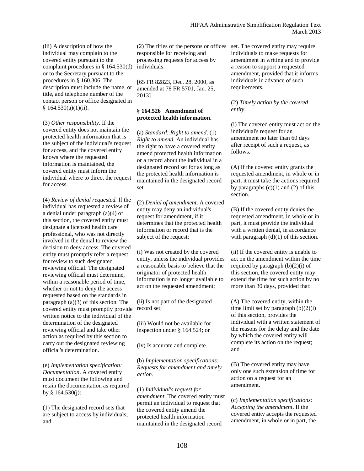(iii) A description of how the individual may complain to the covered entity pursuant to the complaint procedures in § 164.530(d) or to the Secretary pursuant to the procedures in § 160.306. The description must include the name, or title, and telephone number of the contact person or office designated in  $§ 164.530(a)(1)(ii).$ 

(3) *Other responsibility*. If the covered entity does not maintain the protected health information that is the subject of the individual's request for access, and the covered entity knows where the requested information is maintained, the covered entity must inform the individual where to direct the request for access.

(4) *Review of denial requested.* If the individual has requested a review of a denial under paragraph (a)(4) of this section, the covered entity must designate a licensed health care professional, who was not directly involved in the denial to review the decision to deny access. The covered entity must promptly refer a request for review to such designated reviewing official. The designated reviewing official must determine, within a reasonable period of time, whether or not to deny the access requested based on the standards in paragraph (a)(3) of this section. The covered entity must promptly provide written notice to the individual of the determination of the designated reviewing official and take other action as required by this section to carry out the designated reviewing official's determination.

(e) *Implementation specification: Documentation*. A covered entity must document the following and retain the documentation as required by § 164.530(j):

(1) The designated record sets that are subject to access by individuals; and

(2) The titles of the persons or office s set. The covered entity may require responsible for receiving and processing requests for access by individuals.

[65 FR 82823, Dec. 28, 2000, as amended at 78 FR 5701, Jan. 25, 2013]

# **§ 164.526 Amendment of protected health information.**

(a) *Standard: Right to amend*. (1) *Right to amend*. An individual has the right to have a covered entity amend protected health information or a record about the individual in a designated record set for as long as the protected health information is maintained in the designated record set.

(2) *Denial of amendment*. A covered entity may deny an individual's request for amendment, if it determines that the protected health information or record that is the subject of the request:

(i) Was not created by the covered entity, unless the individual provides a reasonable basis to believe that the originator of protected health information is no longer available to act on the requested amendment;

(ii) Is not part of the designated record set;

(iii) Would not be available for inspection under § 164.524; or

(iv) Is accurate and complete.

(b) *Implementation specifications: Requests for amendment and timely action*.

(1) *Individual's request for amendment*. The covered entity must permit an individual to request that the covered entity amend the protected health information maintained in the designated record

individuals to make requests for amendment in writing and to provide a reason to support a requested amendment, provided that it informs individuals in advance of such requirements.

(2) *Timely action by the covered entity*.

(i) The covered entity must act on the individual's request for an amendment no later than 60 days after receipt of such a request, as follows.

(A) If the covered entity grants the requested amendment, in whole or in part, it must take the actions required by paragraphs  $(c)(1)$  and  $(2)$  of this section.

(B) If the covered entity denies the requested amendment, in whole or in part, it must provide the individual with a written denial, in accordance with paragraph  $(d)(1)$  of this section.

(ii) If the covered entity is unable to act on the amendment within the time required by paragraph  $(b)(2)(i)$  of this section, the covered entity may extend the time for such action by no more than 30 days, provided that:

(A) The covered entity, within the time limit set by paragraph  $(b)(2)(i)$ of this section, provides the individual with a written statement of the reasons for the delay and the date by which the covered entity will complete its action on the request; and

(B) The covered entity may have only one such extension of time for action on a request for an amendment.

(c) *Implementation specifications: Accepting the amendment*. If the covered entity accepts the requested amendment, in whole or in part, the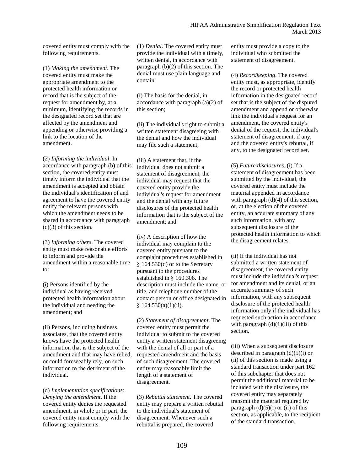covered entity must comply with the following requirements.

(1) *Making the amendment*. The covered entity must make the appropriate amendment to the protected health information or record that is the subject of the request for amendment by, at a minimum, identifying the records in the designated record set that are affected by the amendment and appending or otherwise providing a link to the location of the amendment.

(2) *Informing the individual*. In accordance with paragraph (b) of this section, the covered entity must timely inform the individual that the amendment is accepted and obtain the individual's identification of and agreement to have the covered entity notify the relevant persons with which the amendment needs to be shared in accordance with paragraph (c)(3) of this section.

(3) *Informing others*. The covered entity must make reasonable efforts to inform and provide the amendment within a reasonable time to:

(i) Persons identified by the individual as having received protected health information about the individual and needing the amendment; and

(ii) Persons, including business associates, that the covered entity knows have the protected health information that is the subject of the amendment and that may have relied, or could foreseeably rely, on such information to the detriment of the individual.

(d) *Implementation specifications: Denying the amendment*. If the covered entity denies the requested amendment, in whole or in part, the covered entity must comply with the following requirements.

(1) *Denial*. The covered entity must provide the individual with a timely, written denial, in accordance with paragraph (b)(2) of this section. The denial must use plain language and contain:

(i) The basis for the denial, in accordance with paragraph (a)(2) of this section;

(ii) The individual's right to submit a written statement disagreeing with the denial and how the individual may file such a statement;

(iii) A statement that, if the individual does not submit a statement of disagreement, the individual may request that the covered entity provide the individual's request for amendment and the denial with any future disclosures of the protected health information that is the subject of the amendment; and

(iv) A description of how the individual may complain to the covered entity pursuant to the complaint procedures established in § 164.530(d) or to the Secretary pursuant to the procedures established in § 160.306. The description must include the name, or title, and telephone number of the contact person or office designated in  $§ 164.530(a)(1)(ii).$ 

(2) *Statement of disagreement*. The covered entity must permit the individual to submit to the covered entity a written statement disagreeing with the denial of all or part of a requested amendment and the basis of such disagreement. The covered entity may reasonably limit the length of a statement of disagreement.

(3) *Rebuttal statement*. The covered entity may prepare a written rebuttal to the individual's statement of disagreement. Whenever such a rebuttal is prepared, the covered

entity must provide a copy to the individual who submitted the statement of disagreement.

(4) *Recordkeeping*. The covered entity must, as appropriate, identify the record or protected health information in the designated record set that is the subject of the disputed amendment and append or otherwise link the individual's request for an amendment, the covered entity's denial of the request, the individual's statement of disagreement, if any, and the covered entity's rebuttal, if any, to the designated record set.

(5) *Future disclosures*. (i) If a statement of disagreement has been submitted by the individual, the covered entity must include the material appended in accordance with paragraph  $(d)(4)$  of this section, or, at the election of the covered entity, an accurate summary of any such information, with any subsequent disclosure of the protected health information to which the disagreement relates.

(ii) If the individual has not submitted a written statement of disagreement, the covered entity must include the individual's request for amendment and its denial, or an accurate summary of such information, with any subsequent disclosure of the protected health information only if the individual has requested such action in accordance with paragraph  $(d)(1)(iii)$  of this section.

(iii) When a subsequent disclosure described in paragraph  $(d)(5)(i)$  or (ii) of this section is made using a standard transaction under part 162 of this subchapter that does not permit the additional material to be included with the disclosure, the covered entity may separately transmit the material required by paragraph  $(d)(5)(i)$  or  $(ii)$  of this section, as applicable, to the recipient of the standard transaction.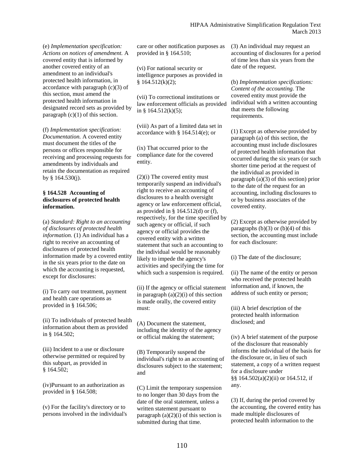(e) *Implementation specification: Actions on notices of amendment.* A covered entity that is informed by another covered entity of an amendment to an individual's protected health information, in accordance with paragraph  $(c)(3)$  of this section, must amend the protected health information in designated record sets as provided by paragraph  $(c)(1)$  of this section.

(f) *Implementation specification: Documentation.* A covered entity must document the titles of the persons or offices responsible for receiving and processing requests for amendments by individuals and retain the documentation as required by § 164.530(j).

## **§ 164.528 Accounting of disclosures of protected health information.**

(a) *Standard: Right to an accounting of disclosures of protected health information.* (1) An individual has a right to receive an accounting of disclosures of protected health information made by a covered entity in the six years prior to the date on which the accounting is requested, except for disclosures:

(i) To carry out treatment, payment and health care operations as provided in § 164.506;

(ii) To individuals of protected health information about them as provided in § 164.502;

(iii) Incident to a use or disclosure otherwise permitted or required by this subpart, as provided in § 164.502;

(iv)Pursuant to an authorization as provided in § 164.508;

(v) For the facility's directory or to persons involved in the individual's

care or other notification purposes as provided in § 164.510;

(vi) For national security or intelligence purposes as provided in  $§ 164.512(k)(2);$ 

(vii) To correctional institutions or law enforcement officials as provided in § 164.512(k)(5);

(viii) As part of a limited data set in accordance with § 164.514(e); or

(ix) That occurred prior to the compliance date for the covered entity.

(2)(i) The covered entity must temporarily suspend an individual's right to receive an accounting of disclosures to a health oversight agency or law enforcement official, as provided in  $§$  164.512(d) or (f), respectively, for the time specified by such agency or official, if such agency or official provides the covered entity with a written statement that such an accounting to the individual would be reasonably likely to impede the agency's activities and specifying the time for which such a suspension is required.

(ii) If the agency or official statement in paragraph  $(a)(2)(i)$  of this section is made orally, the covered entity must:

(A) Document the statement, including the identity of the agency or official making the statement;

(B) Temporarily suspend the individual's right to an accounting of disclosures subject to the statement; and

(C) Limit the temporary suspension to no longer than 30 days from the date of the oral statement, unless a written statement pursuant to paragraph  $(a)(2)(i)$  of this section is submitted during that time.

(3) An individual may request an accounting of disclosures for a period of time less than six years from the date of the request.

(b) *Implementation specifications: Content of the accounting.* The covered entity must provide the individual with a written accounting that meets the following requirements.

(1) Except as otherwise provided by paragraph (a) of this section, the accounting must include disclosures of protected health information that occurred during the six years (or such shorter time period at the request of the individual as provided in paragraph (a)(3) of this section) prior to the date of the request for an accounting, including disclosures to or by business associates of the covered entity.

(2) Except as otherwise provided by paragraphs  $(b)(3)$  or  $(b)(4)$  of this section, the accounting must include for each disclosure:

(i) The date of the disclosure;

(ii) The name of the entity or person who received the protected health information and, if known, the address of such entity or person;

(iii) A brief description of the protected health information disclosed; and

(iv) A brief statement of the purpose of the disclosure that reasonably informs the individual of the basis for the disclosure or, in lieu of such statement, a copy of a written request for a disclosure under §§ 164.502(a)(2)(ii) or 164.512, if any.

(3) If, during the period covered by the accounting, the covered entity has made multiple disclosures of protected health information to the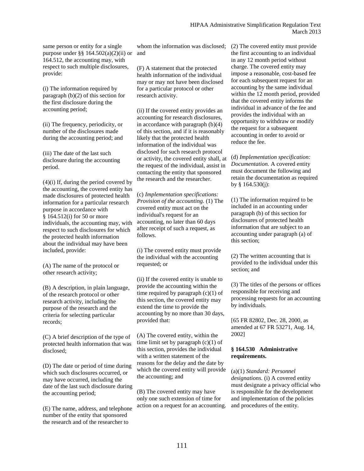same person or entity for a single purpose under  $\S$ § 164.502(a)(2)(ii) or and 164.512, the accounting may, with respect to such multiple disclosures, provide:

(i) The information required by paragraph (b)(2) of this section for the first disclosure during the accounting period;

(ii) The frequency, periodicity, or number of the disclosures made during the accounting period; and

(iii) The date of the last such disclosure during the accounting period.

(4)(i) If, during the period covered by the accounting, the covered entity has made disclosures of protected health information for a particular research purpose in accordance with § 164.512(i) for 50 or more individuals, the accounting may, with respect to such disclosures for which the protected health information about the individual may have been included, provide:

(A) The name of the protocol or other research activity;

(B) A description, in plain language, of the research protocol or other research activity, including the purpose of the research and the criteria for selecting particular records;

(C) A brief description of the type of protected health information that was disclosed;

(D) The date or period of time during which such disclosures occurred, or may have occurred, including the date of the last such disclosure during the accounting period;

(E) The name, address, and telephone number of the entity that sponsored the research and of the researcher to

whom the information was disclosed; (2) The covered entity must provide

F) A statement that the protected ( health information of the individual may or may not have been disclosed for a particular protocol or other research activity.

(ii) If the covered entity provides an accounting for research disclosures, in accordance with paragraph  $(b)(4)$ of this section, and if it is reasonably likely that the protected health information of the individual was disclosed for such research protocol or activity, the covered entity shall, at he request of the individual, assist in t contacting the entity that sponsored the research and the researcher.

c) *Implementation specifications:*  ( Provision of the accounting. (1) The covered entity must act on the individual's request for an accounting, no later than 60 days after receipt of such a request, as follows.

i) The covered entity must provide ( the individual with the accounting requested; or

(ii) If the covered entity is unable to provide the accounting within the time required by paragraph  $(c)(1)$  of this section, the covered entity may xtend the time to provide the e accounting by no more than 30 days, provided that:

A) The covered entity, within the ( time limit set by paragraph  $(c)(1)$  of this section, provides the individual with a written statement of the reasons for the delay and the date by which the covered entity will provide the accounting; and

B) The covered entity may have ( only one such extension of time for action on a request for an accounting.

the first accounting to an individual in any 12 month period without charge. The covered entity may impose a reasonable, cost-based fee for each subsequent request for an accounting by the same individual within the 12 month period, provided that the covered entity informs the individual in advance of the fee and provides the individual with an opportunity to withdraw or modify the request for a subsequent accounting in order to avoid or reduce the fee.

(d) *Implementation specification: Documentation.* A covered entity must document the following and retain the documentation as required by § 164.530(j):

(1) The information required to be included in an accounting under paragraph (b) of this section for disclosures of protected health information that are subject to an accounting under paragraph (a) of this section;

(2) The written accounting that is provided to the individual under this section; and

(3) The titles of the persons or offices responsible for receiving and processing requests for an accounting by individuals.

[65 FR 82802, Dec. 28, 2000, as amended at 67 FR 53271, Aug. 14, 2002]

## **§ 164.530 Administrative requirements.**

(a)(1) *Standard: Personnel designations.* (i) A covered entity must designate a privacy official who is responsible for the development and implementation of the policies and procedures of the entity.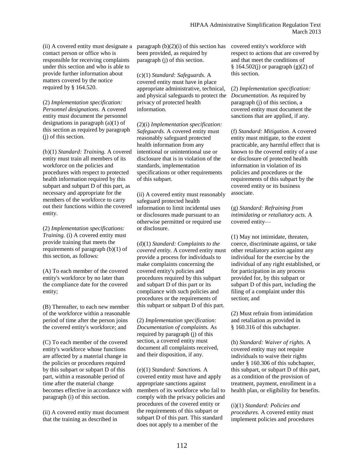$(ii)$  A covered entity must designate a paragraph  $(b)(2)(i)$  of this section has contact person or office who is responsible for receiving complaints under this section and who is able to provide further information about matters covered by the notice required by § 164.520.

(2) *Implementation specification: Personnel designations.* A covered entity must document the personnel designations in paragraph (a)(1) of this section as required by paragraph (j) of this section.

(b)(1) *Standard: Training.* A covered entity must train all members of its workforce on the policies and procedures with respect to protected health information required by this subpart and subpart D of this part, as necessary and appropriate for the members of the workforce to carry out their functions within the covered entity.

(2) *Implementation specifications: Training.* (i) A covered entity must provide training that meets the requirements of paragraph (b)(1) of this section, as follows:

(A) To each member of the covered entity's workforce by no later than the compliance date for the covered entity;

(B) Thereafter, to each new member of the workforce within a reasonable period of time after the person joins the covered entity's workforce; and

(C) To each member of the covered entity's workforce whose functions are affected by a material change in the policies or procedures required by this subpart or subpart D of this part, within a reasonable period of time after the material change becomes effective in accordance with paragraph (i) of this section.

(ii) A covered entity must document that the training as described in

been provided, as required by paragraph (j) of this section.

(c)(1) *Standard: Safeguards.* A covered entity must have in place appropriate administrative, technical, and physical safeguards to protect the privacy of protected health information.

(2)(i) *Implementation specification: Safeguards.* A covered entity must reasonably safeguard protected health information from any intentional or unintentional use or disclosure that is in violation of the standards, implementation specifications or other requirements of this subpart.

(ii) A covered entity must reasonably safeguard protected health information to limit incidental uses or disclosures made pursuant to an otherwise permitted or required use or disclosure.

(d)(1) *Standard: Complaints to the covered entity.* A covered entity must provide a process for individuals to make complaints concerning the covered entity's policies and procedures required by this subpart and subpart D of this part or its compliance with such policies and procedures or the requirements of this subpart or subpart D of this part.

(2) *Implementation specification: Documentation of complaints.* As required by paragraph (j) of this section, a covered entity must document all complaints received, and their disposition, if any.

(e)(1) *Standard: Sanctions.* A covered entity must have and apply appropriate sanctions against members of its workforce who fail to comply with the privacy policies and procedures of the covered entity or the requirements of this subpart or subpart D of this part. This standard does not apply to a member of the

covered entity's workforce with respect to actions that are covered by and that meet the conditions of  $§$  164.502(j) or paragraph (g)(2) of this section.

(2) *Implementation specification: Documentation.* As required by paragraph (j) of this section, a covered entity must document the sanctions that are applied, if any.

(f) *Standard: Mitigation.* A covered entity must mitigate, to the extent practicable, any harmful effect that is known to the covered entity of a use or disclosure of protected health information in violation of its policies and procedures or the requirements of this subpart by the covered entity or its business associate.

(g) *Standard: Refraining from intimidating or retaliatory acts.* A covered entity—

(1) May not intimidate, threaten, coerce, discriminate against, or take other retaliatory action against any individual for the exercise by the individual of any right established, or for participation in any process provided for, by this subpart or subpart D of this part, including the filing of a complaint under this section; and

(2) Must refrain from intimidation and retaliation as provided in § 160.316 of this subchapter.

(h) *Standard: Waiver of rights.* A covered entity may not require individuals to waive their rights under § 160.306 of this subchapter, this subpart, or subpart D of this part, as a condition of the provision of treatment, payment, enrollment in a health plan, or eligibility for benefits.

(i)(1) *Standard: Policies and procedures.* A covered entity must implement policies and procedures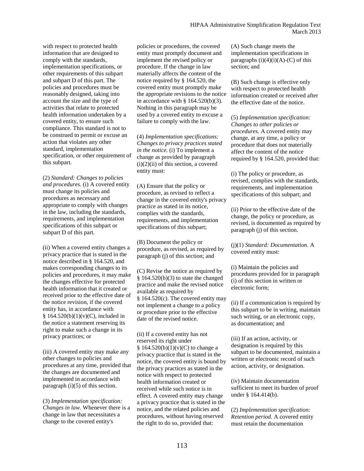with respect to protected health information that are designed to comply with the standards, implementation specifications, or other requirements of this subpart and subpart D of this part. The policies and procedures must be reasonably designed, taking into account the size and the type of activities that relate to protected health information undertaken by a covered entity, to ensure such compliance. This standard is not to be construed to permit or excuse an action that violates any other standard, implementation specification, or other requirement of this subpart.

(2) *Standard: Changes to policies and procedures.* (i) A covered entity must change its policies and procedures as necessary and appropriate to comply with changes in the law, including the standards, requirements, and implementation specifications of this subpart or subpart D of this part.

(ii) When a covered entity changes a privacy practice that is stated in the notice described in § 164.520, and makes corresponding changes to its policies and procedures, it may make the changes effective for protected health information that it created or received prior to the effective date of the notice revision, if the covered entity has, in accordance with  $§ 164.520(b)(1)(v)(C)$ , included in the notice a statement reserving its right to make such a change in its privacy practices; or

(iii) A covered entity may make any other changes to policies and procedures at any time, provided that the changes are documented and implemented in accordance with paragraph  $(i)(5)$  of this section.

(3) *Implementation specification: Changes in law.* Whenever there is a change in law that necessitates a change to the covered entity's

policies or procedures, the covered entity must promptly document and implement the revised policy or procedure. If the change in law materially affects the content of the notice required by § 164.520, the covered entity must promptly make the appropriate revisions to the notice in accordance with  $§$  164.520(b)(3). Nothing in this paragraph may be used by a covered entity to excuse a failure to comply with the law.

(4) *Implementation specifications: Changes to privacy practices stated in the notice.* (i) To implement a change as provided by paragraph  $(i)(2)(ii)$  of this section, a covered entity must:

(A) Ensure that the policy or procedure, as revised to reflect a change in the covered entity's privacy practice as stated in its notice, complies with the standards, requirements, and implementation specifications of this subpart;

(B) Document the policy or procedure, as revised, as required by paragraph (j) of this section; and

(C) Revise the notice as required by  $§$  164.520(b)(3) to state the changed practice and make the revised notice available as required by § 164.520(c). The covered entity may not implement a change to a policy or procedure prior to the effective date of the revised notice.

(ii) If a covered entity has not reserved its right under § 164.520(b)(1)(v)(C) to change a privacy practice that is stated in the notice, the covered entity is bound by the privacy practices as stated in the notice with respect to protected health information created or received while such notice is in effect. A covered entity may change a privacy practice that is stated in the notice, and the related policies and procedures, without having reserved the right to do so, provided that:

(A) Such change meets the implementation specifications in paragraphs  $(i)(4)(i)(A)-(C)$  of this section; and

(B) Such change is effective only with respect to protected health information created or received after the effective date of the notice.

(5) *Implementation specification: Changes to other policies or procedures.* A covered entity may change, at any time, a policy or procedure that does not materially affect the content of the notice required by § 164.520, provided that:

(i) The policy or procedure, as revised, complies with the standards, requirements, and implementation specifications of this subpart; and

(ii) Prior to the effective date of the change, the policy or procedure, as revised, is documented as required by paragraph (j) of this section.

(j)(1) *Standard: Documentation.* A covered entity must:

(i) Maintain the policies and procedures provided for in paragraph (i) of this section in written or electronic form;

(ii) If a communication is required by this subpart to be in writing, maintain such writing, or an electronic copy, as documentation; and

(iii) If an action, activity, or designation is required by this subpart to be documented, maintain a written or electronic record of such action, activity, or designation.

(iv) Maintain documentation sufficient to meet its burden of proof under § 164.414(b).

(2) *Implementation specification: Retention period.* A covered entity must retain the documentation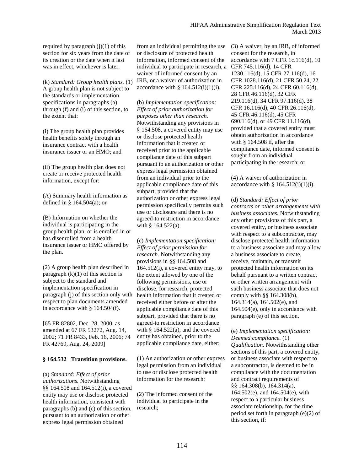required by paragraph  $(j)(1)$  of this section for six years from the date of its creation or the date when it last was in effect, whichever is later.

(k) *Standard: Group health plans.* (1) A group health plan is not subject to the standards or implementation specifications in paragraphs (a) through (f) and (i) of this section, to the extent that:

(i) The group health plan provides health benefits solely through an insurance contract with a health insurance issuer or an HMO; and

(ii) The group health plan does not create or receive protected health information, except for:

(A) Summary health information as defined in § 164.504(a); or

(B) Information on whether the individual is participating in the group health plan, or is enrolled in or has disenrolled from a health insurance issuer or HMO offered by the plan.

(2) A group health plan described in paragraph  $(k)(1)$  of this section is subject to the standard and implementation specification in paragraph (j) of this section only with respect to plan documents amended in accordance with § 164.504(f).

[65 FR 82802, Dec. 28, 2000, as amended at 67 FR 53272, Aug. 14, 2002; 71 FR 8433, Feb. 16, 2006; 74 FR 42769, Aug. 24, 2009]

## **§ 164.532 Transition provisions.**

(a) *Standard: Effect of prior authorizations.* Notwithstanding §§ 164.508 and 164.512(i), a covered entity may use or disclose protected health information, consistent with paragraphs (b) and (c) of this section, pursuant to an authorization or other express legal permission obtained

from an individual permitting the use or disclosure of protected health information, informed consent of the individual to participate in research, a waiver of informed consent by an IRB, or a waiver of authorization in accordance with  $§$  164.512(i)(1)(i).

(b) *Implementation specification: Effect of prior authorization for purposes other than research.* Notwithstanding any provisions in § 164.508, a covered entity may use or disclose protected health information that it created or received prior to the applicable compliance date of this subpart pursuant to an authorization or other express legal permission obtained from an individual prior to the applicable compliance date of this subpart, provided that the authorization or other express legal permission specifically permits such use or disclosure and there is no agreed-to restriction in accordance with § 164.522(a).

(c) *Implementation specification: Effect of prior permission for research.* Notwithstanding any provisions in §§ 164.508 and 164.512(i), a covered entity may, to the extent allowed by one of the following permissions, use or disclose, for research, protected health information that it created or received either before or after the applicable compliance date of this subpart, provided that there is no agreed-to restriction in accordance with  $§$  164.522(a), and the covered entity has obtained, prior to the applicable compliance date, either:

(1) An authorization or other express legal permission from an individual to use or disclose protected health information for the research;

(2) The informed consent of the individual to participate in the research;

(3) A waiver, by an IRB, of informed consent for the research, in accordance with 7 CFR 1c.116(d), 10 CFR 745.116(d), 14 CFR 1230.116(d), 15 CFR 27.116(d), 16 CFR 1028.116(d), 21 CFR 50.24, 22 CFR 225.116(d), 24 CFR 60.116(d), 28 CFR 46.116(d), 32 CFR 219.116(d), 34 CFR 97.116(d), 38 CFR 16.116(d), 40 CFR 26.116(d), 45 CFR 46.116(d), 45 CFR 690.116(d), or 49 CFR 11.116(d), provided that a covered entity must obtain authorization in accordance with § 164.508 if, after the compliance date, informed consent is sought from an individual participating in the research; or

(4) A waiver of authorization in accordance with  $§$  164.512(i)(1)(i).

(d) *Standard: Effect of prior contracts or other arrangements with business associates.* Notwithstanding any other provisions of this part, a covered entity, or business associate with respect to a subcontractor, may disclose protected health information to a business associate and may allow a business associate to create, receive, maintain, or transmit protected health information on its behalf pursuant to a written contract or other written arrangement with such business associate that does not comply with §§ 164.308(b), 164.314(a), 164.502(e), and 164.504(e), only in accordance with paragraph (e) of this section.

(e) *Implementation specification: Deemed compliance.* (1)

*Qualification.* Notwithstanding other sections of this part, a covered entity, or business associate with respect to a subcontractor, is deemed to be in compliance with the documentation and contract requirements of §§ 164.308(b), 164.314(a), 164.502(e), and 164.504(e), with respect to a particular business associate relationship, for the time period set forth in paragraph (e)(2) of this section, if: